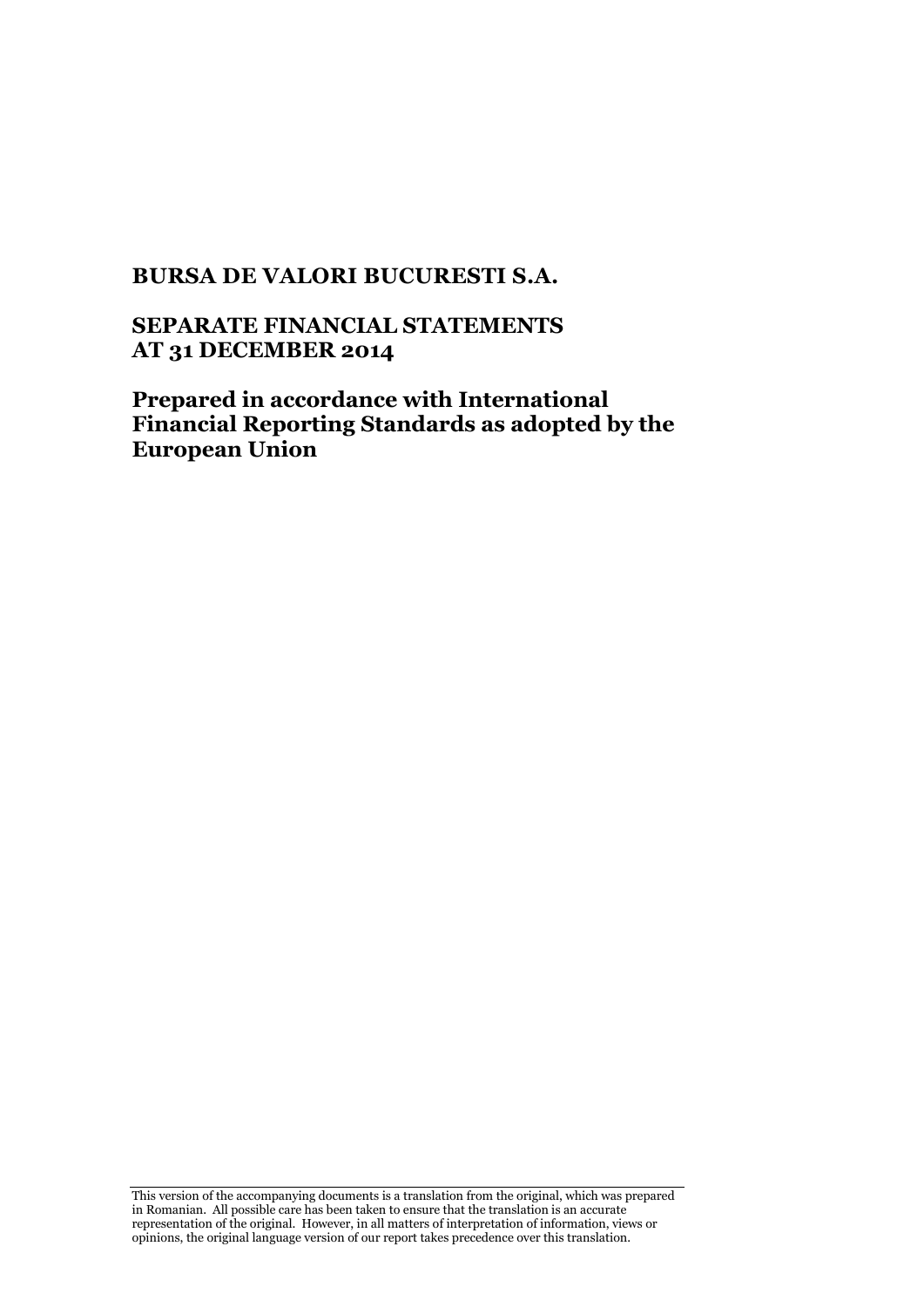# **SEPARATE FINANCIAL STATEMENTS AT 31 DECEMBER 2014**

**Prepared in accordance with International Financial Reporting Standards as adopted by the European Union**

This version of the accompanying documents is a translation from the original, which was prepared in Romanian. All possible care has been taken to ensure that the translation is an accurate representation of the original. However, in all matters of interpretation of information, views or opinions, the original language version of our report takes precedence over this translation.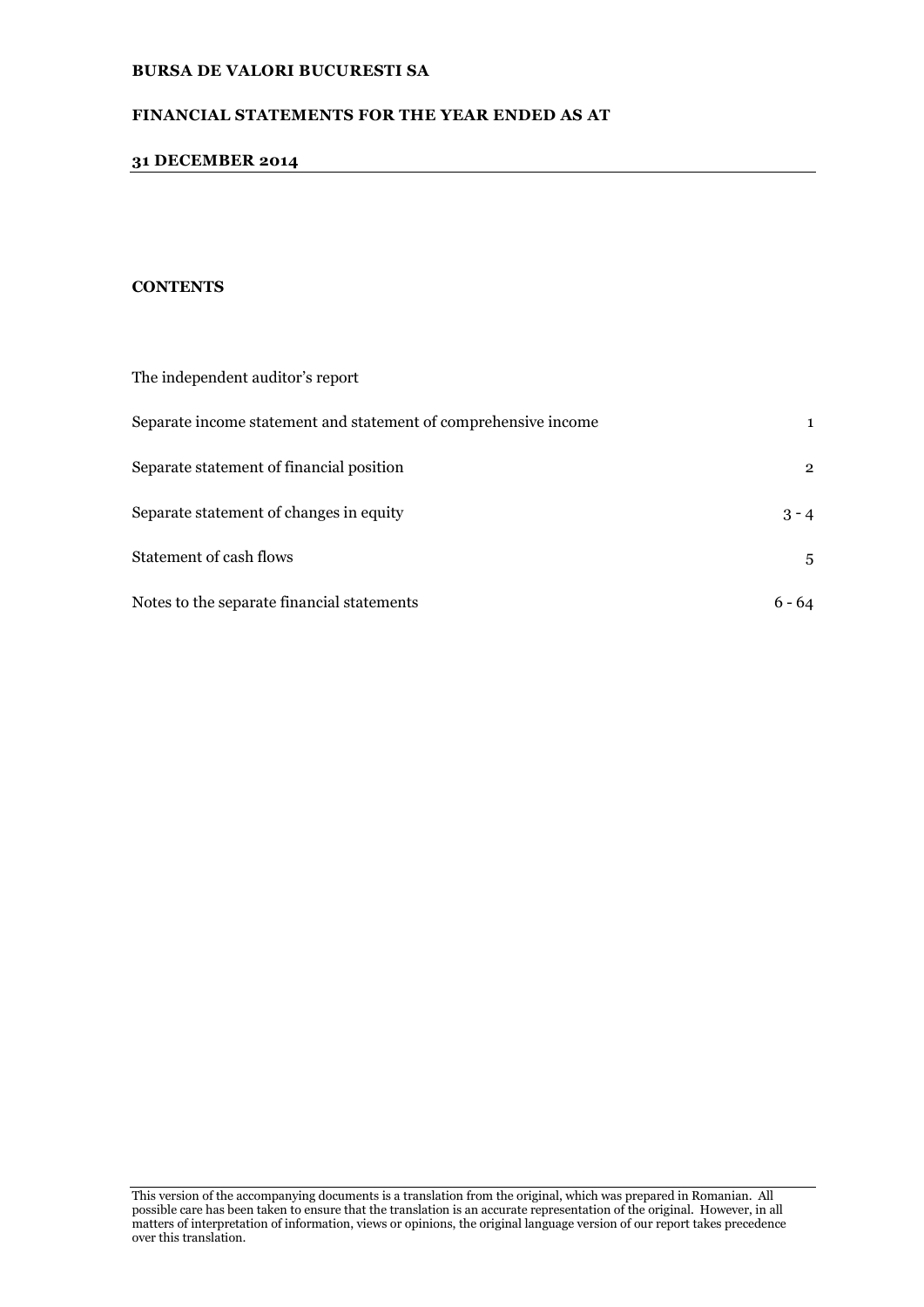# **FINANCIAL STATEMENTS FOR THE YEAR ENDED AS AT**

# **31 DECEMBER 2014**

# **CONTENTS**

| The independent auditor's report                                |                |
|-----------------------------------------------------------------|----------------|
| Separate income statement and statement of comprehensive income | 1              |
| Separate statement of financial position                        | $\overline{2}$ |
| Separate statement of changes in equity                         | $3 - 4$        |
| Statement of cash flows                                         | 5              |
| Notes to the separate financial statements                      | 6 - 64         |

This version of the accompanying documents is a translation from the original, which was prepared in Romanian. All possible care has been taken to ensure that the translation is an accurate representation of the original. However, in all matters of interpretation of information, views or opinions, the original language version of our report takes precedence over this translation.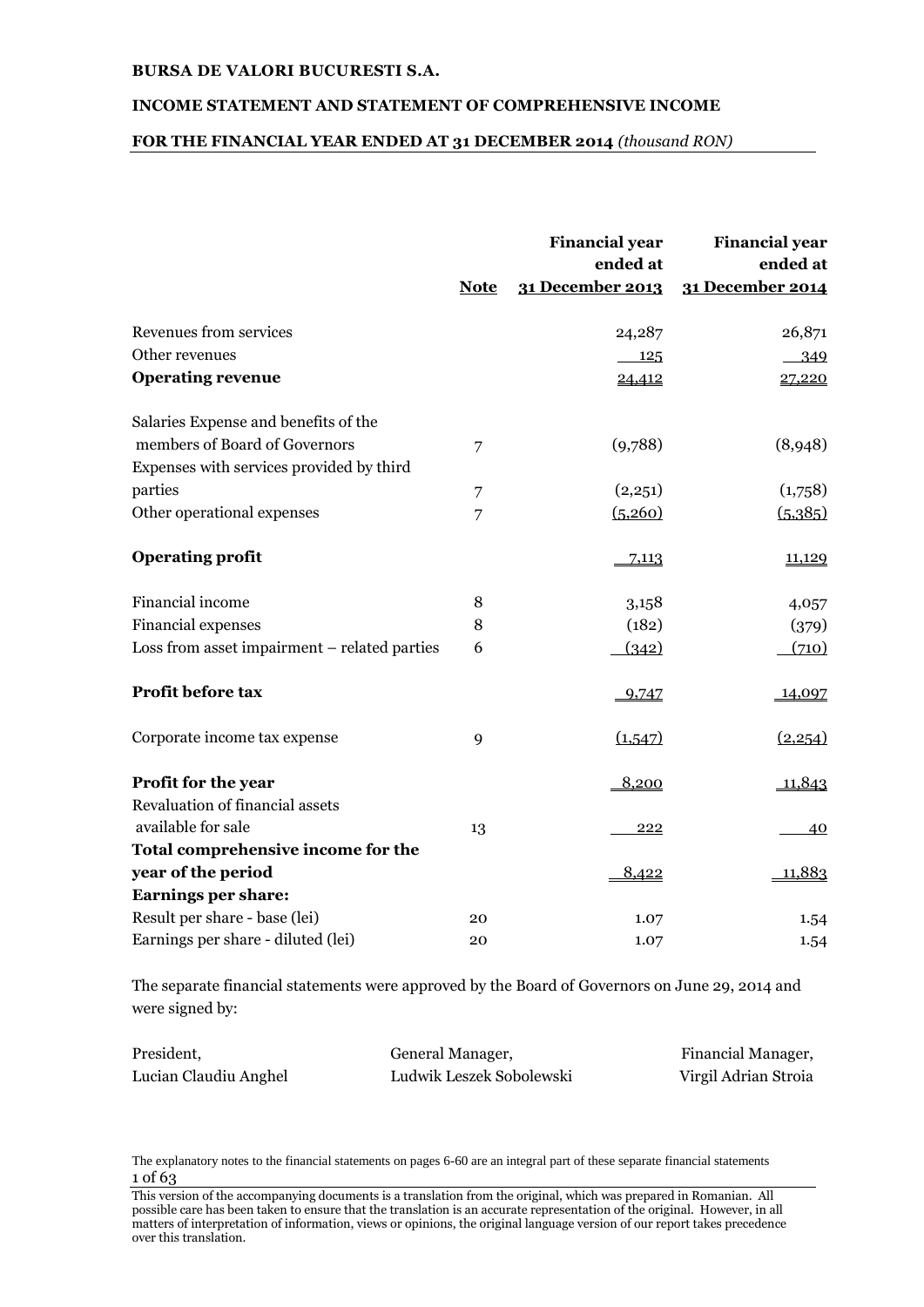# **INCOME STATEMENT AND STATEMENT OF COMPREHENSIVE INCOME**

# **FOR THE FINANCIAL YEAR ENDED AT 31 DECEMBER 2014** *(thousand RON)*

|                                                  | <b>Note</b>    | <b>Financial year</b><br>ended at<br>31 December 2013 | <b>Financial year</b><br>ended at<br>31 December 2014 |
|--------------------------------------------------|----------------|-------------------------------------------------------|-------------------------------------------------------|
| Revenues from services                           |                | 24,287                                                | 26,871                                                |
| Other revenues                                   |                | 125                                                   | 349                                                   |
| <b>Operating revenue</b>                         |                | 24,412                                                | 27,220                                                |
| Salaries Expense and benefits of the             |                |                                                       |                                                       |
| members of Board of Governors                    | $\overline{7}$ | (9,788)                                               | (8,948)                                               |
| Expenses with services provided by third         |                |                                                       |                                                       |
| parties                                          | 7              | (2,251)                                               | (1,758)                                               |
| Other operational expenses                       | 7              | (5,260)                                               | (5, 385)                                              |
| <b>Operating profit</b>                          |                | 7,113                                                 | 11,129                                                |
| Financial income                                 | 8              | 3,158                                                 | 4,057                                                 |
| Financial expenses                               | 8              | (182)                                                 | (379)                                                 |
| Loss from asset impairment - related parties     | 6              | (342)                                                 | (710)                                                 |
| Profit before tax                                |                | $-9,747$                                              | 14,097                                                |
| Corporate income tax expense                     | 9              | (1,547)                                               | (2,254)                                               |
| Profit for the year                              |                | 8,200                                                 | 11,843                                                |
| Revaluation of financial assets                  |                |                                                       |                                                       |
| available for sale                               | 13             | 222                                                   | 40                                                    |
| Total comprehensive income for the               |                |                                                       |                                                       |
| year of the period<br><b>Earnings per share:</b> |                | 8,422                                                 | 11,883                                                |
| Result per share - base (lei)                    | 20             | 1.07                                                  | 1.54                                                  |
| Earnings per share - diluted (lei)               | 20             | 1.07                                                  | 1.54                                                  |
|                                                  |                |                                                       |                                                       |

The separate financial statements were approved by the Board of Governors on June 29, 2014 and were signed by:

| President,            | General Manager,         | Financial Manager,   |
|-----------------------|--------------------------|----------------------|
| Lucian Claudiu Anghel | Ludwik Leszek Sobolewski | Virgil Adrian Stroia |

The explanatory notes to the financial statements on pages 6-60 are an integral part of these separate financial statements 1 of 63

This version of the accompanying documents is a translation from the original, which was prepared in Romanian. All possible care has been taken to ensure that the translation is an accurate representation of the original. However, in all matters of interpretation of information, views or opinions, the original language version of our report takes precedence over this translation.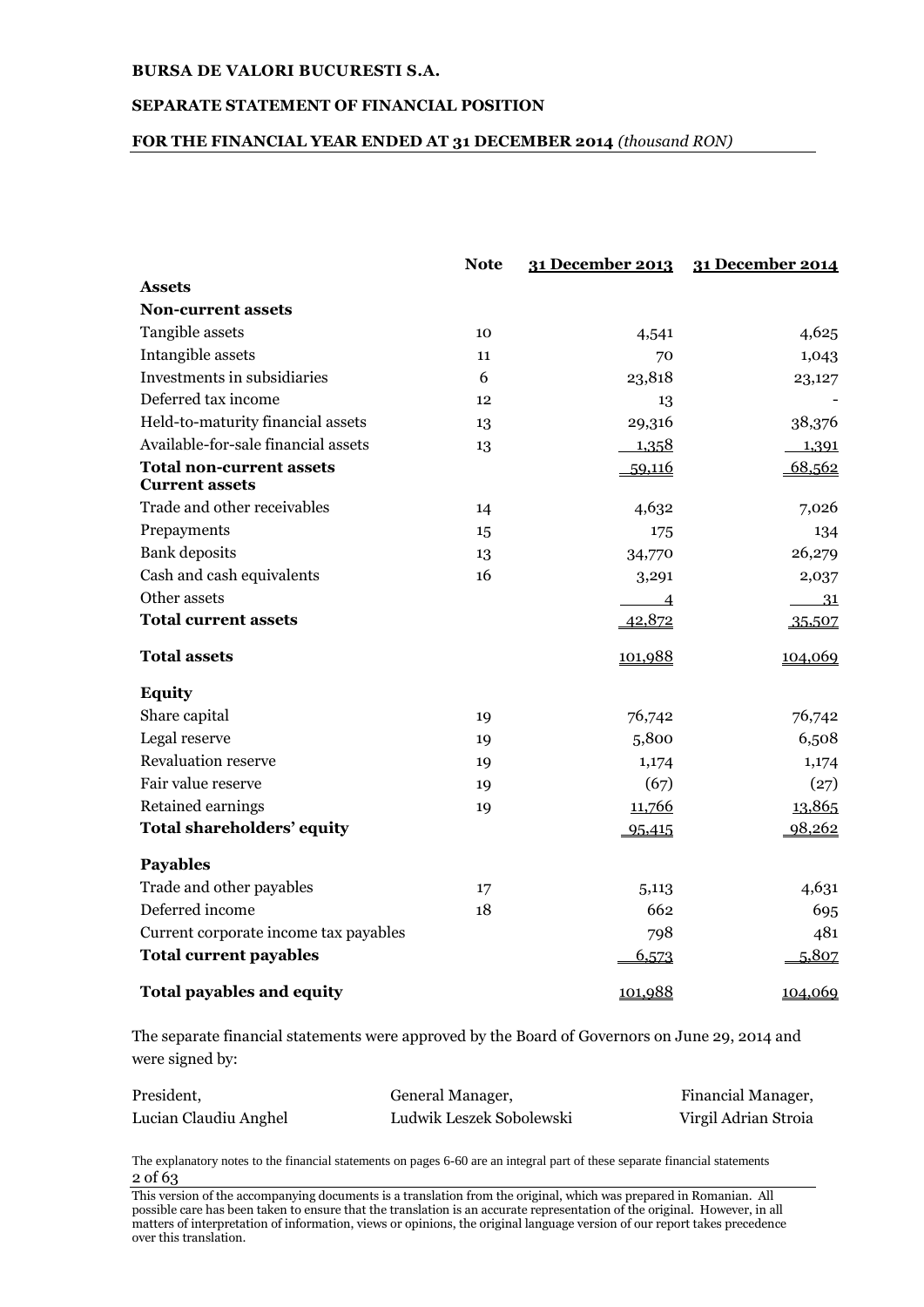# **SEPARATE STATEMENT OF FINANCIAL POSITION**

### **FOR THE FINANCIAL YEAR ENDED AT 31 DECEMBER 2014** *(thousand RON)*

|                                                          | <b>Note</b> |                | 31 December 2013 31 December 2014 |
|----------------------------------------------------------|-------------|----------------|-----------------------------------|
| <b>Assets</b>                                            |             |                |                                   |
| <b>Non-current assets</b>                                |             |                |                                   |
| Tangible assets                                          | 10          | 4,541          | 4,625                             |
| Intangible assets                                        | 11          | 70             | 1,043                             |
| Investments in subsidiaries                              | 6           | 23,818         | 23,127                            |
| Deferred tax income                                      | 12          | 13             |                                   |
| Held-to-maturity financial assets                        | 13          | 29,316         | 38,376                            |
| Available-for-sale financial assets                      | 13          | 1,358          | 1,391                             |
| <b>Total non-current assets</b><br><b>Current assets</b> |             | 59,116         | 68,562                            |
| Trade and other receivables                              | 14          | 4,632          | 7,026                             |
| Prepayments                                              | 15          | 175            | 134                               |
| <b>Bank</b> deposits                                     | 13          | 34,770         | 26,279                            |
| Cash and cash equivalents                                | 16          | 3,291          | 2,037                             |
| Other assets                                             |             | $\overline{4}$ | 31                                |
| <b>Total current assets</b>                              |             | 42,872         | 35,507                            |
| <b>Total assets</b>                                      |             | 101,988        | 104,069                           |
| <b>Equity</b>                                            |             |                |                                   |
| Share capital                                            | 19          | 76,742         | 76,742                            |
| Legal reserve                                            | 19          | 5,800          | 6,508                             |
| <b>Revaluation reserve</b>                               | 19          | 1,174          | 1,174                             |
| Fair value reserve                                       | 19          | (67)           | (27)                              |
| Retained earnings                                        | 19          | 11,766         | 13,865                            |
| Total shareholders' equity                               |             | 95,415         | 98,262                            |
| <b>Payables</b>                                          |             |                |                                   |
| Trade and other payables                                 | 17          | 5,113          | 4,631                             |
| Deferred income                                          | 18          | 662            | 695                               |
| Current corporate income tax payables                    |             | 798            | 481                               |
| <b>Total current payables</b>                            |             | 6,573          | 5,807                             |
| <b>Total payables and equity</b>                         |             | 101,988        | 104,069                           |

The separate financial statements were approved by the Board of Governors on June 29, 2014 and were signed by:

| President,            | General Manager,         | Financial Manager,   |
|-----------------------|--------------------------|----------------------|
| Lucian Claudiu Anghel | Ludwik Leszek Sobolewski | Virgil Adrian Stroia |

The explanatory notes to the financial statements on pages 6-60 are an integral part of these separate financial statements 2 of 63

This version of the accompanying documents is a translation from the original, which was prepared in Romanian. All possible care has been taken to ensure that the translation is an accurate representation of the original. However, in all matters of interpretation of information, views or opinions, the original language version of our report takes precedence over this translation.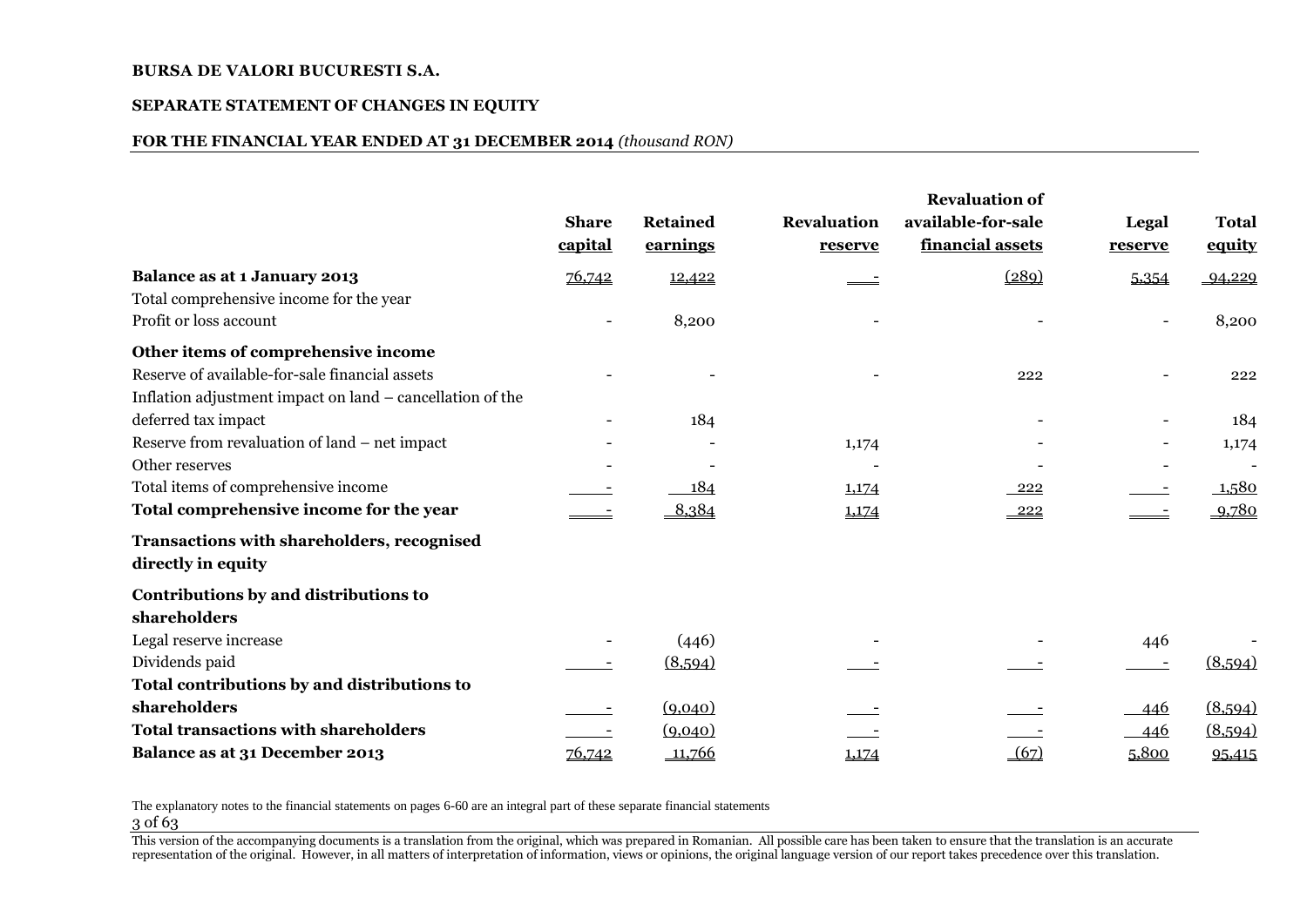#### **SEPARATE STATEMENT OF CHANGES IN EQUITY**

#### **FOR THE FINANCIAL YEAR ENDED AT 31 DECEMBER 2014** *(thousand RON)*

|                                                           |              |                 |                    | <b>Revaluation of</b> |            |              |
|-----------------------------------------------------------|--------------|-----------------|--------------------|-----------------------|------------|--------------|
|                                                           | <b>Share</b> | <b>Retained</b> | <b>Revaluation</b> | available-for-sale    | Legal      | <b>Total</b> |
|                                                           | capital      | earnings        | reserve            | financial assets      | reserve    | equity       |
| <b>Balance as at 1 January 2013</b>                       | 76,742       | 12,422          |                    | (289)                 | 5,354      | 94,229       |
| Total comprehensive income for the year                   |              |                 |                    |                       |            |              |
| Profit or loss account                                    |              | 8,200           |                    |                       |            | 8,200        |
| Other items of comprehensive income                       |              |                 |                    |                       |            |              |
| Reserve of available-for-sale financial assets            |              |                 |                    | 222                   |            | 222          |
| Inflation adjustment impact on land – cancellation of the |              |                 |                    |                       |            |              |
| deferred tax impact                                       |              | 184             |                    |                       |            | 184          |
| Reserve from revaluation of land – net impact             |              |                 | 1,174              |                       |            | 1,174        |
| Other reserves                                            |              |                 |                    |                       |            |              |
| Total items of comprehensive income                       |              | 184             | 1,174              | 222                   |            | 1,580        |
| Total comprehensive income for the year                   |              | 8,384           | 1,174              | 222                   |            | 9,780        |
| Transactions with shareholders, recognised                |              |                 |                    |                       |            |              |
| directly in equity                                        |              |                 |                    |                       |            |              |
| Contributions by and distributions to                     |              |                 |                    |                       |            |              |
| shareholders                                              |              |                 |                    |                       |            |              |
| Legal reserve increase                                    |              | (446)           |                    |                       | 446        |              |
| Dividends paid                                            |              | (8,594)         |                    |                       |            | (8,594)      |
| Total contributions by and distributions to               |              |                 |                    |                       |            |              |
| shareholders                                              |              | (9,040)         |                    |                       | <u>446</u> | (8,594)      |
| <b>Total transactions with shareholders</b>               |              | (9,040)         |                    |                       | 446        | (8,594)      |
| Balance as at 31 December 2013                            | 76,742       | 11,766          | 1,174              | (67)                  | 5,800      | 95,415       |

The explanatory notes to the financial statements on pages 6-60 are an integral part of these separate financial statements 3 of 63

This version of the accompanying documents is a translation from the original, which was prepared in Romanian. All possible care has been taken to ensure that the translation is an accurate representation of the original. However, in all matters of interpretation of information, views or opinions, the original language version of our report takes precedence over this translation.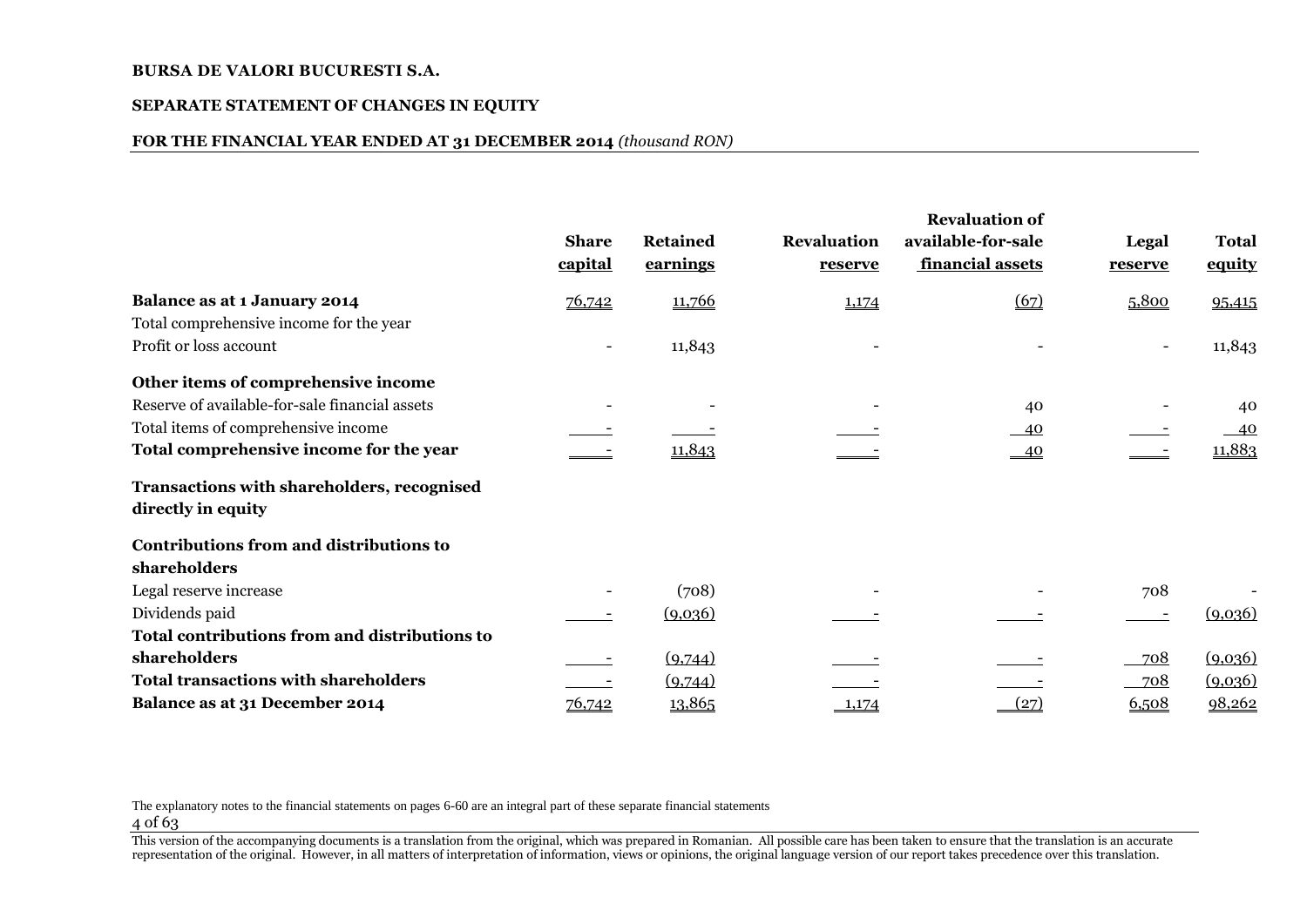#### **SEPARATE STATEMENT OF CHANGES IN EQUITY**

#### **FOR THE FINANCIAL YEAR ENDED AT 31 DECEMBER 2014** *(thousand RON)*

|                                                |              |                 |                    | <b>Revaluation of</b> |                          |              |
|------------------------------------------------|--------------|-----------------|--------------------|-----------------------|--------------------------|--------------|
|                                                | <b>Share</b> | <b>Retained</b> | <b>Revaluation</b> | available-for-sale    | Legal                    | <b>Total</b> |
|                                                | capital      | earnings        | reserve            | financial assets      | reserve                  | equity       |
| Balance as at 1 January 2014                   | 76,742       | 11,766          | 1,174              | (67)                  | 5,800                    | 95,415       |
| Total comprehensive income for the year        |              |                 |                    |                       |                          |              |
| Profit or loss account                         |              | 11,843          |                    |                       | $\overline{\phantom{a}}$ | 11,843       |
| Other items of comprehensive income            |              |                 |                    |                       |                          |              |
| Reserve of available-for-sale financial assets |              |                 |                    | 40                    |                          | 40           |
| Total items of comprehensive income            |              |                 |                    | - 40                  |                          | 40           |
| Total comprehensive income for the year        |              | 11,843          |                    | $-40$                 |                          | 11,883       |
| Transactions with shareholders, recognised     |              |                 |                    |                       |                          |              |
| directly in equity                             |              |                 |                    |                       |                          |              |
| Contributions from and distributions to        |              |                 |                    |                       |                          |              |
| shareholders                                   |              |                 |                    |                       |                          |              |
| Legal reserve increase                         |              | (708)           |                    |                       | 708                      |              |
| Dividends paid                                 |              | (9,0,36)        |                    |                       |                          | (9,0,36)     |
| Total contributions from and distributions to  |              |                 |                    |                       |                          |              |
| shareholders                                   |              | (9,744)         |                    |                       | 708                      | (9,036)      |
| <b>Total transactions with shareholders</b>    |              | (9,744)         |                    |                       | 708                      | (9,036)      |
| Balance as at 31 December 2014                 | 76,742       | 13,865          | 1,174              | (27)                  | 6,508                    | 98,262       |

The explanatory notes to the financial statements on pages 6-60 are an integral part of these separate financial statements 4 of 63

This version of the accompanying documents is a translation from the original, which was prepared in Romanian. All possible care has been taken to ensure that the translation is an accurate representation of the original. However, in all matters of interpretation of information, views or opinions, the original language version of our report takes precedence over this translation.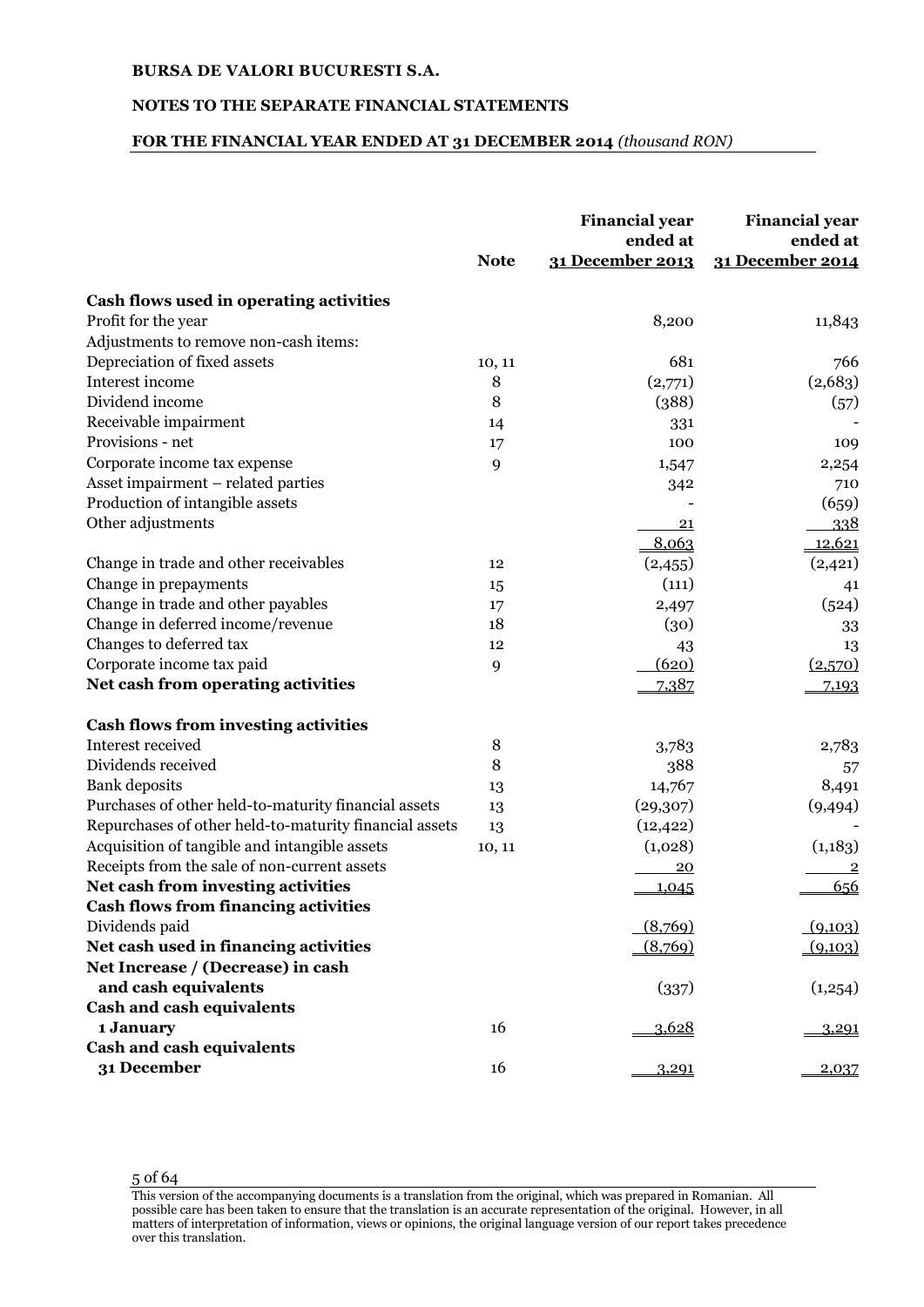# **NOTES TO THE SEPARATE FINANCIAL STATEMENTS**

# **FOR THE FINANCIAL YEAR ENDED AT 31 DECEMBER 2014** *(thousand RON)*

|                                                        | <b>Note</b> | <b>Financial year</b><br>ended at<br>31 December 2013 | <b>Financial year</b><br>ended at<br>31 December 2014 |
|--------------------------------------------------------|-------------|-------------------------------------------------------|-------------------------------------------------------|
| Cash flows used in operating activities                |             |                                                       |                                                       |
| Profit for the year                                    |             | 8,200                                                 | 11,843                                                |
| Adjustments to remove non-cash items:                  |             |                                                       |                                                       |
| Depreciation of fixed assets                           | 10, 11      | 681                                                   | 766                                                   |
| Interest income                                        | 8           | (2,771)                                               | (2,683)                                               |
| Dividend income                                        | 8           | (388)                                                 | (57)                                                  |
| Receivable impairment                                  | 14          | 331                                                   |                                                       |
| Provisions - net                                       | 17          | 100                                                   | 109                                                   |
| Corporate income tax expense                           | 9           | 1,547                                                 | 2,254                                                 |
| Asset impairment - related parties                     |             | 342                                                   | 710                                                   |
| Production of intangible assets                        |             |                                                       | (659)                                                 |
| Other adjustments                                      |             | 21                                                    | 338                                                   |
|                                                        |             | 8,063                                                 | 12,621                                                |
| Change in trade and other receivables                  | 12          | (2,455)                                               | (2, 421)                                              |
| Change in prepayments                                  | 15          | (111)                                                 | 41                                                    |
| Change in trade and other payables                     | 17          | 2,497                                                 | (524)                                                 |
| Change in deferred income/revenue                      | 18          | (30)                                                  | 33                                                    |
| Changes to deferred tax                                | 12          | 43                                                    | 13                                                    |
| Corporate income tax paid                              | 9           | (620)                                                 | (2,570)                                               |
| Net cash from operating activities                     |             | 7,387                                                 | 7,193                                                 |
| <b>Cash flows from investing activities</b>            |             |                                                       |                                                       |
| Interest received                                      | 8           | 3,783                                                 | 2,783                                                 |
| Dividends received                                     | 8           | 388                                                   | 57                                                    |
| <b>Bank</b> deposits                                   | 13          | 14,767                                                | 8,491                                                 |
| Purchases of other held-to-maturity financial assets   | 13          | (29, 307)                                             | (9,494)                                               |
| Repurchases of other held-to-maturity financial assets | 13          | (12, 422)                                             |                                                       |
| Acquisition of tangible and intangible assets          | 10, 11      | (1,028)                                               | (1, 183)                                              |
| Receipts from the sale of non-current assets           |             | 20                                                    | <u>2</u>                                              |
| Net cash from investing activities                     |             | 1,045                                                 | 656                                                   |
| <b>Cash flows from financing activities</b>            |             |                                                       |                                                       |
| Dividends paid                                         |             | (8,769)                                               | (9,103)                                               |
| Net cash used in financing activities                  |             | (8,769)                                               | (9,103)                                               |
| Net Increase / (Decrease) in cash                      |             |                                                       |                                                       |
| and cash equivalents                                   |             | (337)                                                 | (1,254)                                               |
| <b>Cash and cash equivalents</b>                       |             |                                                       |                                                       |
| 1 January                                              | 16          | 3,628                                                 | 3,291                                                 |
| <b>Cash and cash equivalents</b>                       |             |                                                       |                                                       |
| 31 December                                            | 16          | 3,291                                                 | 2,037                                                 |

This version of the accompanying documents is a translation from the original, which was prepared in Romanian. All possible care has been taken to ensure that the translation is an accurate representation of the original. However, in all matters of interpretation of information, views or opinions, the original language version of our report takes precedence over this translation.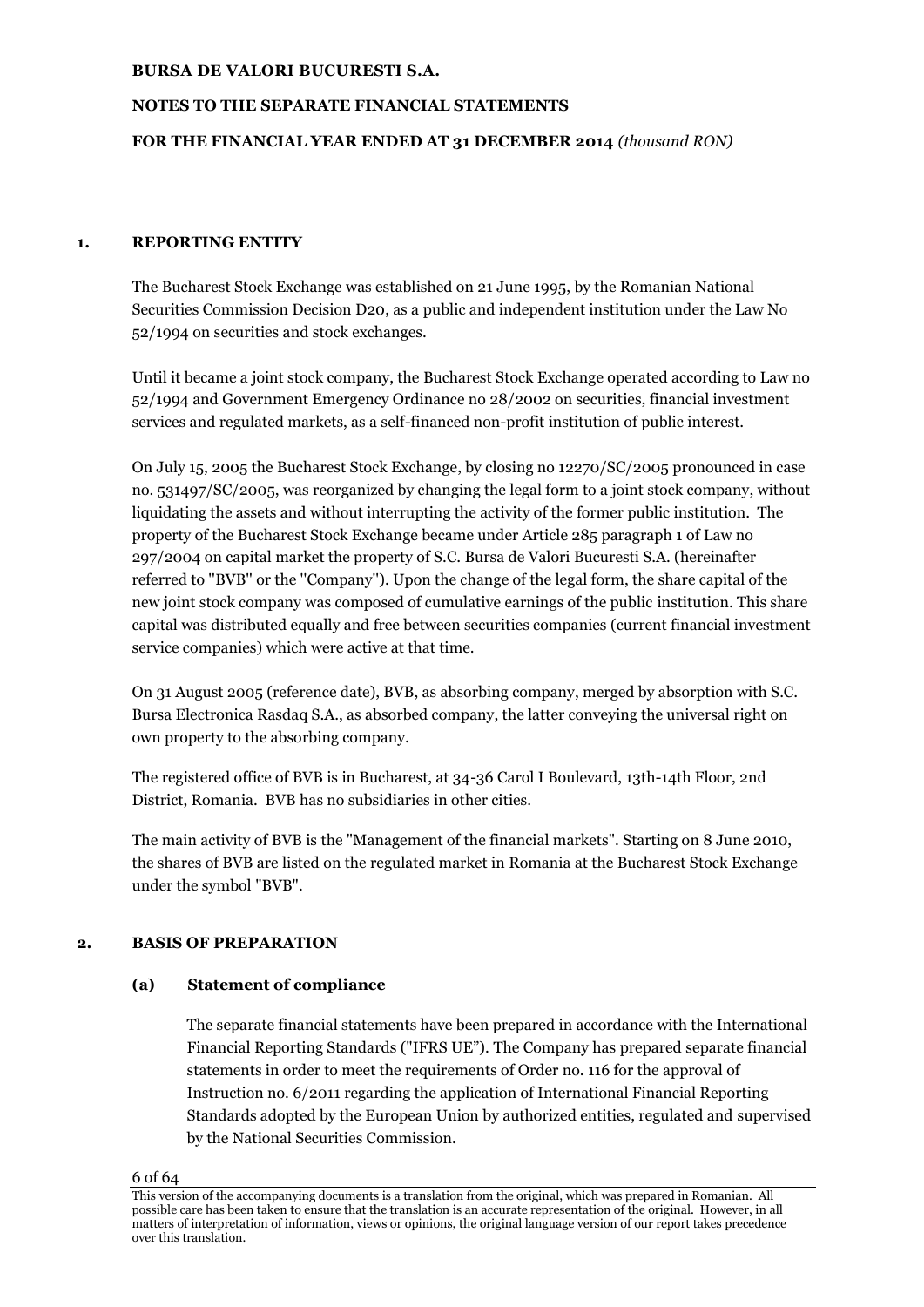# **NOTES TO THE SEPARATE FINANCIAL STATEMENTS**

# **FOR THE FINANCIAL YEAR ENDED AT 31 DECEMBER 2014** *(thousand RON)*

# **1. REPORTING ENTITY**

The Bucharest Stock Exchange was established on 21 June 1995, by the Romanian National Securities Commission Decision D20, as a public and independent institution under the Law No 52/1994 on securities and stock exchanges.

Until it became a joint stock company, the Bucharest Stock Exchange operated according to Law no 52/1994 and Government Emergency Ordinance no 28/2002 on securities, financial investment services and regulated markets, as a self-financed non-profit institution of public interest.

On July 15, 2005 the Bucharest Stock Exchange, by closing no 12270/SC/2005 pronounced in case no. 531497/SC/2005, was reorganized by changing the legal form to a joint stock company, without liquidating the assets and without interrupting the activity of the former public institution. The property of the Bucharest Stock Exchange became under Article 285 paragraph 1 of Law no 297/2004 on capital market the property of S.C. Bursa de Valori Bucuresti S.A. (hereinafter referred to ''BVB'' or the ''Company''). Upon the change of the legal form, the share capital of the new joint stock company was composed of cumulative earnings of the public institution. This share capital was distributed equally and free between securities companies (current financial investment service companies) which were active at that time.

On 31 August 2005 (reference date), BVB, as absorbing company, merged by absorption with S.C. Bursa Electronica Rasdaq S.A., as absorbed company, the latter conveying the universal right on own property to the absorbing company.

The registered office of BVB is in Bucharest, at 34-36 Carol I Boulevard, 13th-14th Floor, 2nd District, Romania. BVB has no subsidiaries in other cities.

The main activity of BVB is the "Management of the financial markets". Starting on 8 June 2010, the shares of BVB are listed on the regulated market in Romania at the Bucharest Stock Exchange under the symbol "BVB".

# **2. BASIS OF PREPARATION**

#### **(a) Statement of compliance**

The separate financial statements have been prepared in accordance with the International Financial Reporting Standards ("IFRS UE"). The Company has prepared separate financial statements in order to meet the requirements of Order no. 116 for the approval of Instruction no. 6/2011 regarding the application of International Financial Reporting Standards adopted by the European Union by authorized entities, regulated and supervised by the National Securities Commission.

This version of the accompanying documents is a translation from the original, which was prepared in Romanian. All possible care has been taken to ensure that the translation is an accurate representation of the original. However, in all matters of interpretation of information, views or opinions, the original language version of our report takes precedence over this translation.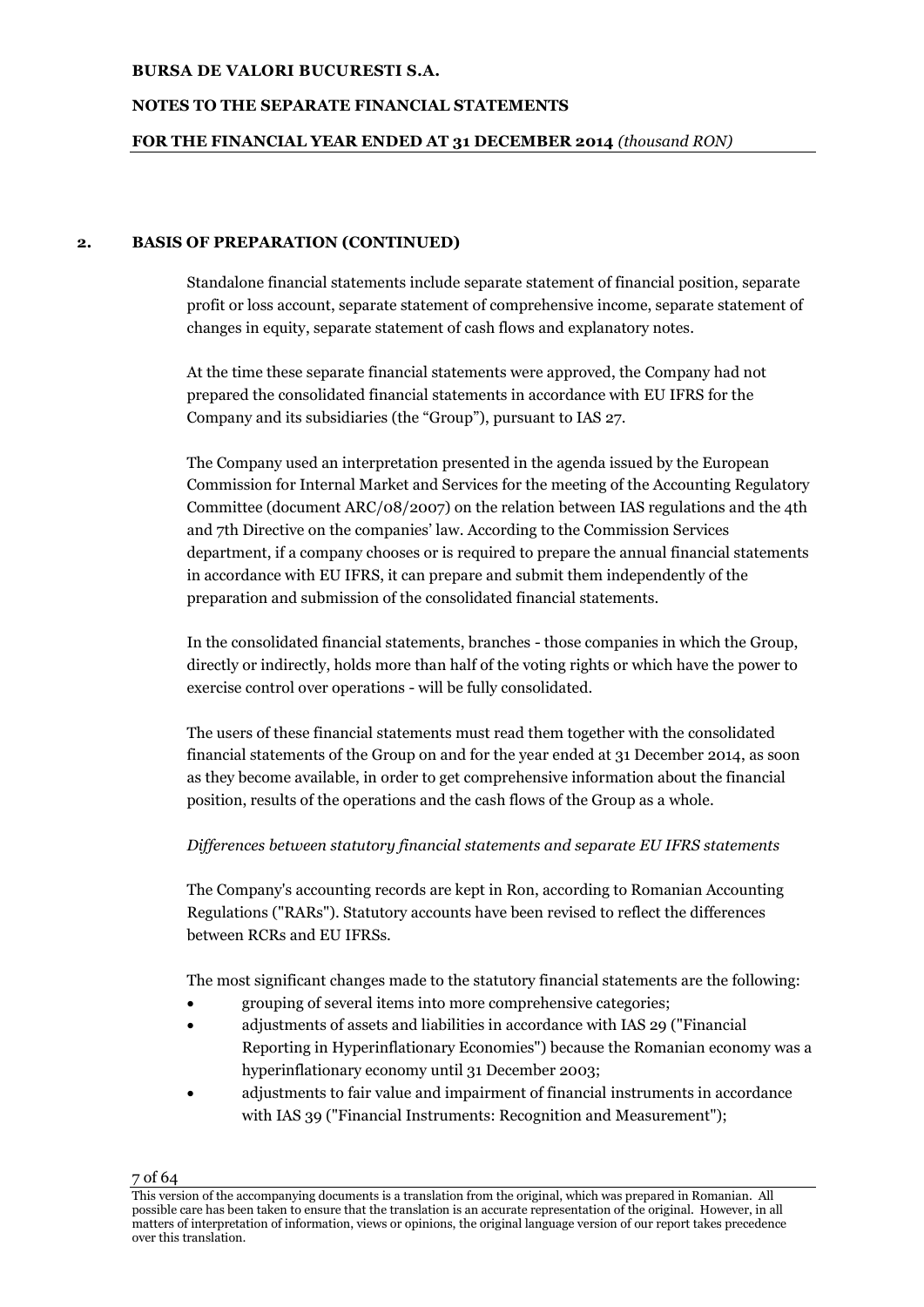# **NOTES TO THE SEPARATE FINANCIAL STATEMENTS**

# **FOR THE FINANCIAL YEAR ENDED AT 31 DECEMBER 2014** *(thousand RON)*

# **2. BASIS OF PREPARATION (CONTINUED)**

Standalone financial statements include separate statement of financial position, separate profit or loss account, separate statement of comprehensive income, separate statement of changes in equity, separate statement of cash flows and explanatory notes.

At the time these separate financial statements were approved, the Company had not prepared the consolidated financial statements in accordance with EU IFRS for the Company and its subsidiaries (the "Group"), pursuant to IAS 27.

The Company used an interpretation presented in the agenda issued by the European Commission for Internal Market and Services for the meeting of the Accounting Regulatory Committee (document ARC/08/2007) on the relation between IAS regulations and the 4th and 7th Directive on the companies' law. According to the Commission Services department, if a company chooses or is required to prepare the annual financial statements in accordance with EU IFRS, it can prepare and submit them independently of the preparation and submission of the consolidated financial statements.

In the consolidated financial statements, branches - those companies in which the Group, directly or indirectly, holds more than half of the voting rights or which have the power to exercise control over operations - will be fully consolidated.

The users of these financial statements must read them together with the consolidated financial statements of the Group on and for the year ended at 31 December 2014, as soon as they become available, in order to get comprehensive information about the financial position, results of the operations and the cash flows of the Group as a whole.

# *Differences between statutory financial statements and separate EU IFRS statements*

The Company's accounting records are kept in Ron, according to Romanian Accounting Regulations ("RARs"). Statutory accounts have been revised to reflect the differences between RCRs and EU IFRSs.

The most significant changes made to the statutory financial statements are the following:

- grouping of several items into more comprehensive categories;
- adjustments of assets and liabilities in accordance with IAS 29 ("Financial Reporting in Hyperinflationary Economies") because the Romanian economy was a hyperinflationary economy until 31 December 2003;
- adjustments to fair value and impairment of financial instruments in accordance with IAS 39 ("Financial Instruments: Recognition and Measurement");

This version of the accompanying documents is a translation from the original, which was prepared in Romanian. All possible care has been taken to ensure that the translation is an accurate representation of the original. However, in all matters of interpretation of information, views or opinions, the original language version of our report takes precedence over this translation.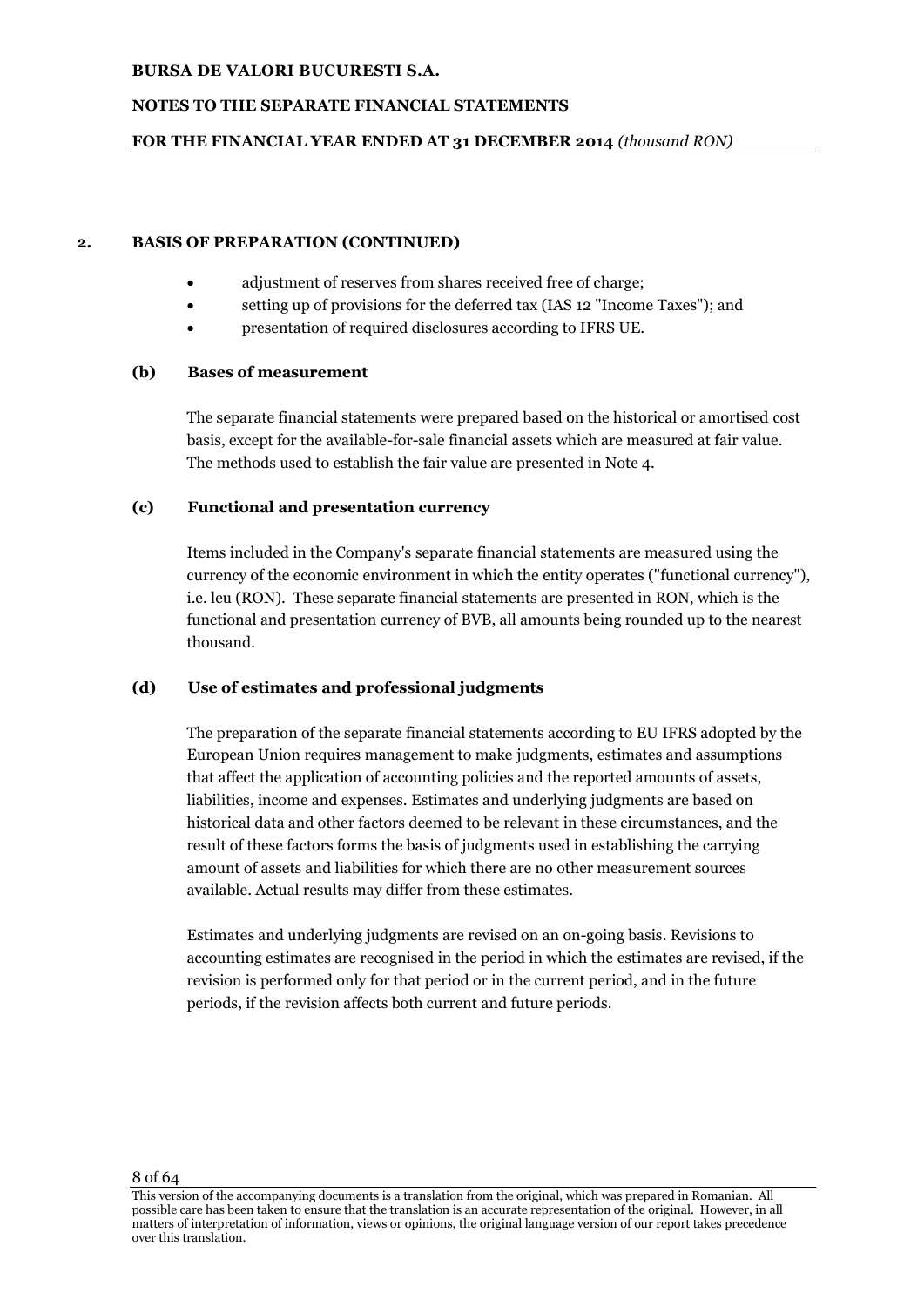# **NOTES TO THE SEPARATE FINANCIAL STATEMENTS**

# **FOR THE FINANCIAL YEAR ENDED AT 31 DECEMBER 2014** *(thousand RON)*

# **2. BASIS OF PREPARATION (CONTINUED)**

- adjustment of reserves from shares received free of charge;
- setting up of provisions for the deferred tax (IAS 12 "Income Taxes"); and
- presentation of required disclosures according to IFRS UE.

# **(b) Bases of measurement**

The separate financial statements were prepared based on the historical or amortised cost basis, except for the available-for-sale financial assets which are measured at fair value. The methods used to establish the fair value are presented in Note 4.

# **(c) Functional and presentation currency**

Items included in the Company's separate financial statements are measured using the currency of the economic environment in which the entity operates ("functional currency"), i.e. leu (RON). These separate financial statements are presented in RON, which is the functional and presentation currency of BVB, all amounts being rounded up to the nearest thousand.

# **(d) Use of estimates and professional judgments**

The preparation of the separate financial statements according to EU IFRS adopted by the European Union requires management to make judgments, estimates and assumptions that affect the application of accounting policies and the reported amounts of assets, liabilities, income and expenses. Estimates and underlying judgments are based on historical data and other factors deemed to be relevant in these circumstances, and the result of these factors forms the basis of judgments used in establishing the carrying amount of assets and liabilities for which there are no other measurement sources available. Actual results may differ from these estimates.

Estimates and underlying judgments are revised on an on-going basis. Revisions to accounting estimates are recognised in the period in which the estimates are revised, if the revision is performed only for that period or in the current period, and in the future periods, if the revision affects both current and future periods.

This version of the accompanying documents is a translation from the original, which was prepared in Romanian. All possible care has been taken to ensure that the translation is an accurate representation of the original. However, in all matters of interpretation of information, views or opinions, the original language version of our report takes precedence over this translation.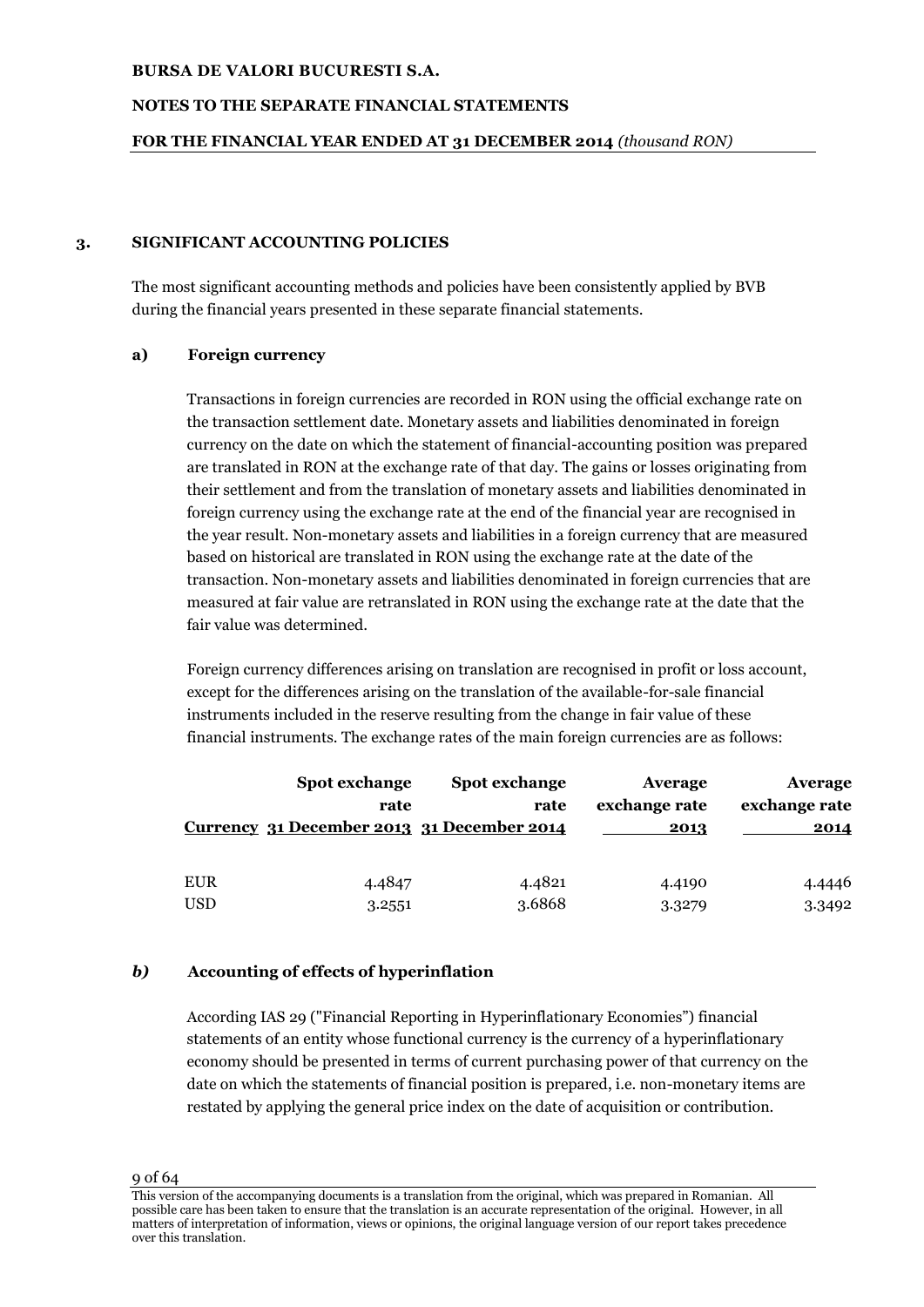# **NOTES TO THE SEPARATE FINANCIAL STATEMENTS**

# **FOR THE FINANCIAL YEAR ENDED AT 31 DECEMBER 2014** *(thousand RON)*

# **3. SIGNIFICANT ACCOUNTING POLICIES**

The most significant accounting methods and policies have been consistently applied by BVB during the financial years presented in these separate financial statements.

# **a) Foreign currency**

Transactions in foreign currencies are recorded in RON using the official exchange rate on the transaction settlement date. Monetary assets and liabilities denominated in foreign currency on the date on which the statement of financial-accounting position was prepared are translated in RON at the exchange rate of that day. The gains or losses originating from their settlement and from the translation of monetary assets and liabilities denominated in foreign currency using the exchange rate at the end of the financial year are recognised in the year result. Non-monetary assets and liabilities in a foreign currency that are measured based on historical are translated in RON using the exchange rate at the date of the transaction. Non-monetary assets and liabilities denominated in foreign currencies that are measured at fair value are retranslated in RON using the exchange rate at the date that the fair value was determined.

Foreign currency differences arising on translation are recognised in profit or loss account, except for the differences arising on the translation of the available-for-sale financial instruments included in the reserve resulting from the change in fair value of these financial instruments. The exchange rates of the main foreign currencies are as follows:

|            | Spot exchange                                     | Spot exchange | Average       | Average       |
|------------|---------------------------------------------------|---------------|---------------|---------------|
|            | rate                                              | rate          | exchange rate | exchange rate |
|            | <u>Currency 31 December 2013 31 December 2014</u> |               | 2013          | 2014          |
|            |                                                   |               |               |               |
| <b>EUR</b> | 4.4847                                            | 4.4821        | 4.4190        | 4.4446        |
| <b>USD</b> | 3.2551                                            | 3.6868        | 3.3279        | 3.3492        |

# *b)* **Accounting of effects of hyperinflation**

According IAS 29 ("Financial Reporting in Hyperinflationary Economies") financial statements of an entity whose functional currency is the currency of a hyperinflationary economy should be presented in terms of current purchasing power of that currency on the date on which the statements of financial position is prepared, i.e. non-monetary items are restated by applying the general price index on the date of acquisition or contribution.

This version of the accompanying documents is a translation from the original, which was prepared in Romanian. All possible care has been taken to ensure that the translation is an accurate representation of the original. However, in all matters of interpretation of information, views or opinions, the original language version of our report takes precedence over this translation.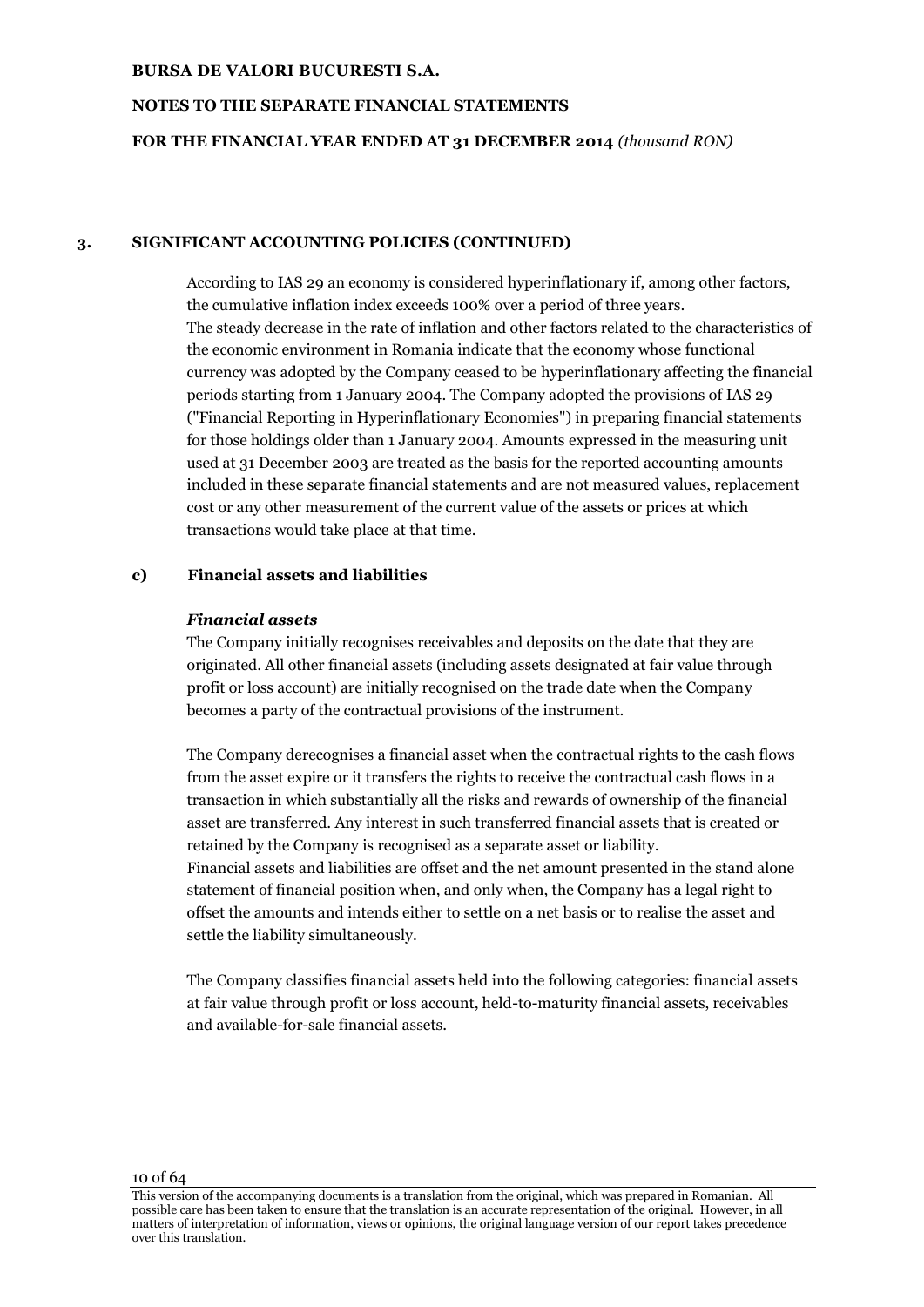# **NOTES TO THE SEPARATE FINANCIAL STATEMENTS**

# **FOR THE FINANCIAL YEAR ENDED AT 31 DECEMBER 2014** *(thousand RON)*

# **3. SIGNIFICANT ACCOUNTING POLICIES (CONTINUED)**

According to IAS 29 an economy is considered hyperinflationary if, among other factors, the cumulative inflation index exceeds 100% over a period of three years. The steady decrease in the rate of inflation and other factors related to the characteristics of the economic environment in Romania indicate that the economy whose functional currency was adopted by the Company ceased to be hyperinflationary affecting the financial periods starting from 1 January 2004. The Company adopted the provisions of IAS 29 ("Financial Reporting in Hyperinflationary Economies") in preparing financial statements for those holdings older than 1 January 2004. Amounts expressed in the measuring unit used at 31 December 2003 are treated as the basis for the reported accounting amounts included in these separate financial statements and are not measured values, replacement cost or any other measurement of the current value of the assets or prices at which transactions would take place at that time.

# **c) Financial assets and liabilities**

# *Financial assets*

The Company initially recognises receivables and deposits on the date that they are originated. All other financial assets (including assets designated at fair value through profit or loss account) are initially recognised on the trade date when the Company becomes a party of the contractual provisions of the instrument.

The Company derecognises a financial asset when the contractual rights to the cash flows from the asset expire or it transfers the rights to receive the contractual cash flows in a transaction in which substantially all the risks and rewards of ownership of the financial asset are transferred. Any interest in such transferred financial assets that is created or retained by the Company is recognised as a separate asset or liability. Financial assets and liabilities are offset and the net amount presented in the stand alone statement of financial position when, and only when, the Company has a legal right to offset the amounts and intends either to settle on a net basis or to realise the asset and settle the liability simultaneously.

The Company classifies financial assets held into the following categories: financial assets at fair value through profit or loss account, held-to-maturity financial assets, receivables and available-for-sale financial assets.

This version of the accompanying documents is a translation from the original, which was prepared in Romanian. All possible care has been taken to ensure that the translation is an accurate representation of the original. However, in all matters of interpretation of information, views or opinions, the original language version of our report takes precedence over this translation.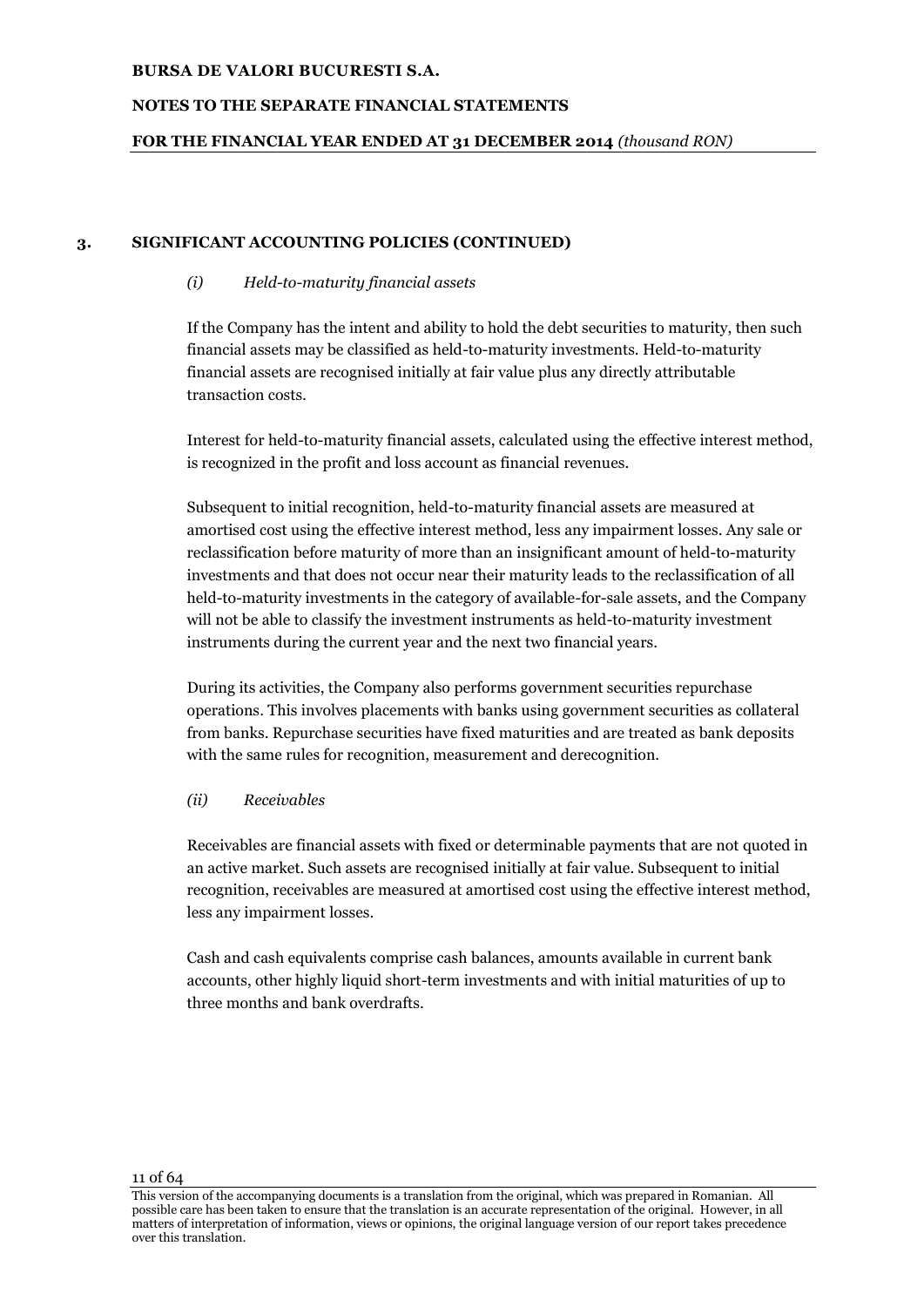# **NOTES TO THE SEPARATE FINANCIAL STATEMENTS**

# **FOR THE FINANCIAL YEAR ENDED AT 31 DECEMBER 2014** *(thousand RON)*

# **3. SIGNIFICANT ACCOUNTING POLICIES (CONTINUED)**

# *(i) Held-to-maturity financial assets*

If the Company has the intent and ability to hold the debt securities to maturity, then such financial assets may be classified as held-to-maturity investments. Held-to-maturity financial assets are recognised initially at fair value plus any directly attributable transaction costs.

Interest for held-to-maturity financial assets, calculated using the effective interest method, is recognized in the profit and loss account as financial revenues.

Subsequent to initial recognition, held-to-maturity financial assets are measured at amortised cost using the effective interest method, less any impairment losses. Any sale or reclassification before maturity of more than an insignificant amount of held-to-maturity investments and that does not occur near their maturity leads to the reclassification of all held-to-maturity investments in the category of available-for-sale assets, and the Company will not be able to classify the investment instruments as held-to-maturity investment instruments during the current year and the next two financial years.

During its activities, the Company also performs government securities repurchase operations. This involves placements with banks using government securities as collateral from banks. Repurchase securities have fixed maturities and are treated as bank deposits with the same rules for recognition, measurement and derecognition.

# *(ii) Receivables*

Receivables are financial assets with fixed or determinable payments that are not quoted in an active market. Such assets are recognised initially at fair value. Subsequent to initial recognition, receivables are measured at amortised cost using the effective interest method, less any impairment losses.

Cash and cash equivalents comprise cash balances, amounts available in current bank accounts, other highly liquid short-term investments and with initial maturities of up to three months and bank overdrafts.

This version of the accompanying documents is a translation from the original, which was prepared in Romanian. All possible care has been taken to ensure that the translation is an accurate representation of the original. However, in all matters of interpretation of information, views or opinions, the original language version of our report takes precedence over this translation.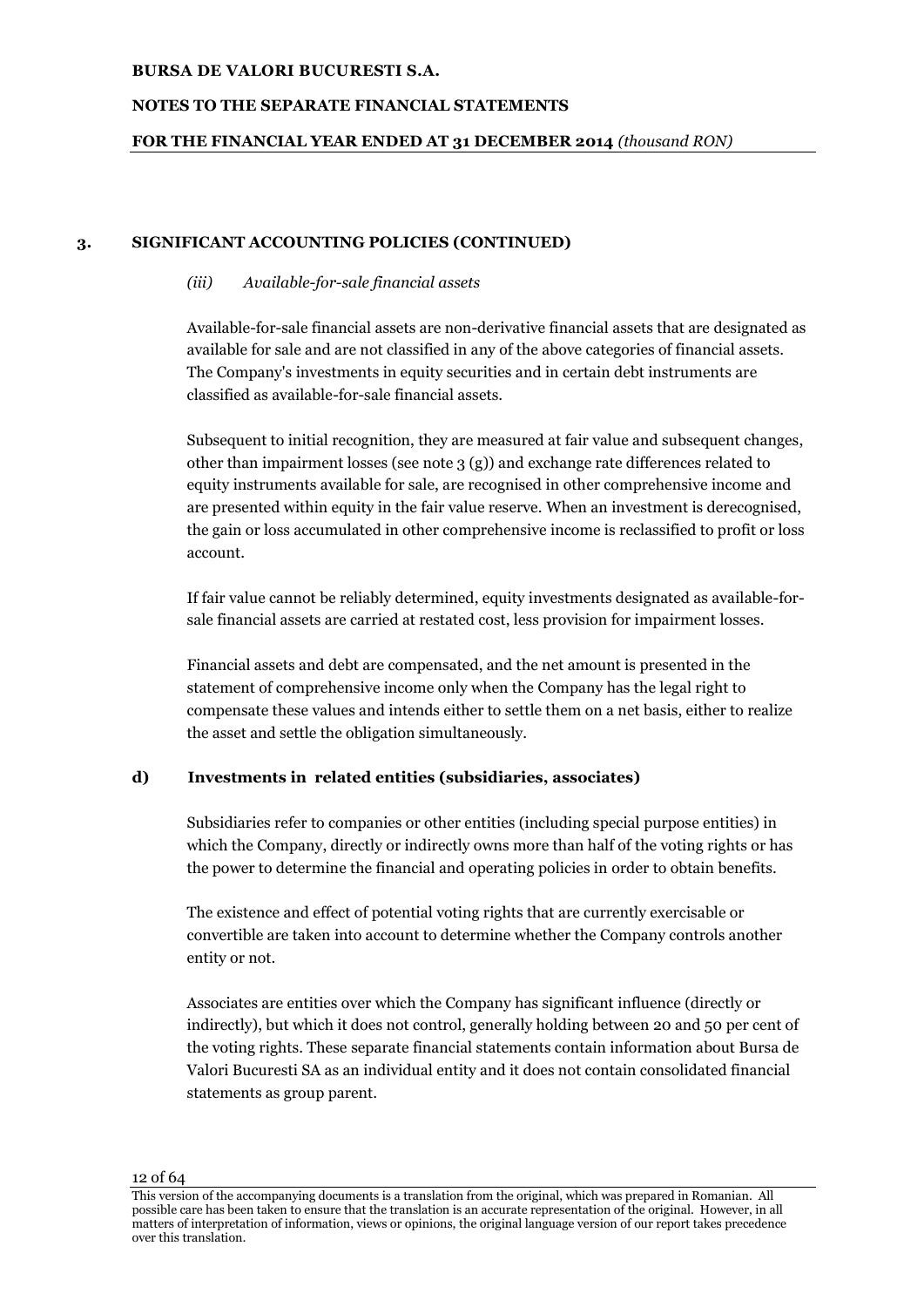# **NOTES TO THE SEPARATE FINANCIAL STATEMENTS**

# **FOR THE FINANCIAL YEAR ENDED AT 31 DECEMBER 2014** *(thousand RON)*

# **3. SIGNIFICANT ACCOUNTING POLICIES (CONTINUED)**

# *(iii) Available-for-sale financial assets*

Available-for-sale financial assets are non-derivative financial assets that are designated as available for sale and are not classified in any of the above categories of financial assets. The Company's investments in equity securities and in certain debt instruments are classified as available-for-sale financial assets.

Subsequent to initial recognition, they are measured at fair value and subsequent changes, other than impairment losses (see note  $3(g)$ ) and exchange rate differences related to equity instruments available for sale, are recognised in other comprehensive income and are presented within equity in the fair value reserve. When an investment is derecognised, the gain or loss accumulated in other comprehensive income is reclassified to profit or loss account.

If fair value cannot be reliably determined, equity investments designated as available-forsale financial assets are carried at restated cost, less provision for impairment losses.

Financial assets and debt are compensated, and the net amount is presented in the statement of comprehensive income only when the Company has the legal right to compensate these values and intends either to settle them on a net basis, either to realize the asset and settle the obligation simultaneously.

# **d) Investments in related entities (subsidiaries, associates)**

Subsidiaries refer to companies or other entities (including special purpose entities) in which the Company, directly or indirectly owns more than half of the voting rights or has the power to determine the financial and operating policies in order to obtain benefits.

The existence and effect of potential voting rights that are currently exercisable or convertible are taken into account to determine whether the Company controls another entity or not.

Associates are entities over which the Company has significant influence (directly or indirectly), but which it does not control, generally holding between 20 and 50 per cent of the voting rights. These separate financial statements contain information about Bursa de Valori Bucuresti SA as an individual entity and it does not contain consolidated financial statements as group parent.

This version of the accompanying documents is a translation from the original, which was prepared in Romanian. All possible care has been taken to ensure that the translation is an accurate representation of the original. However, in all matters of interpretation of information, views or opinions, the original language version of our report takes precedence over this translation.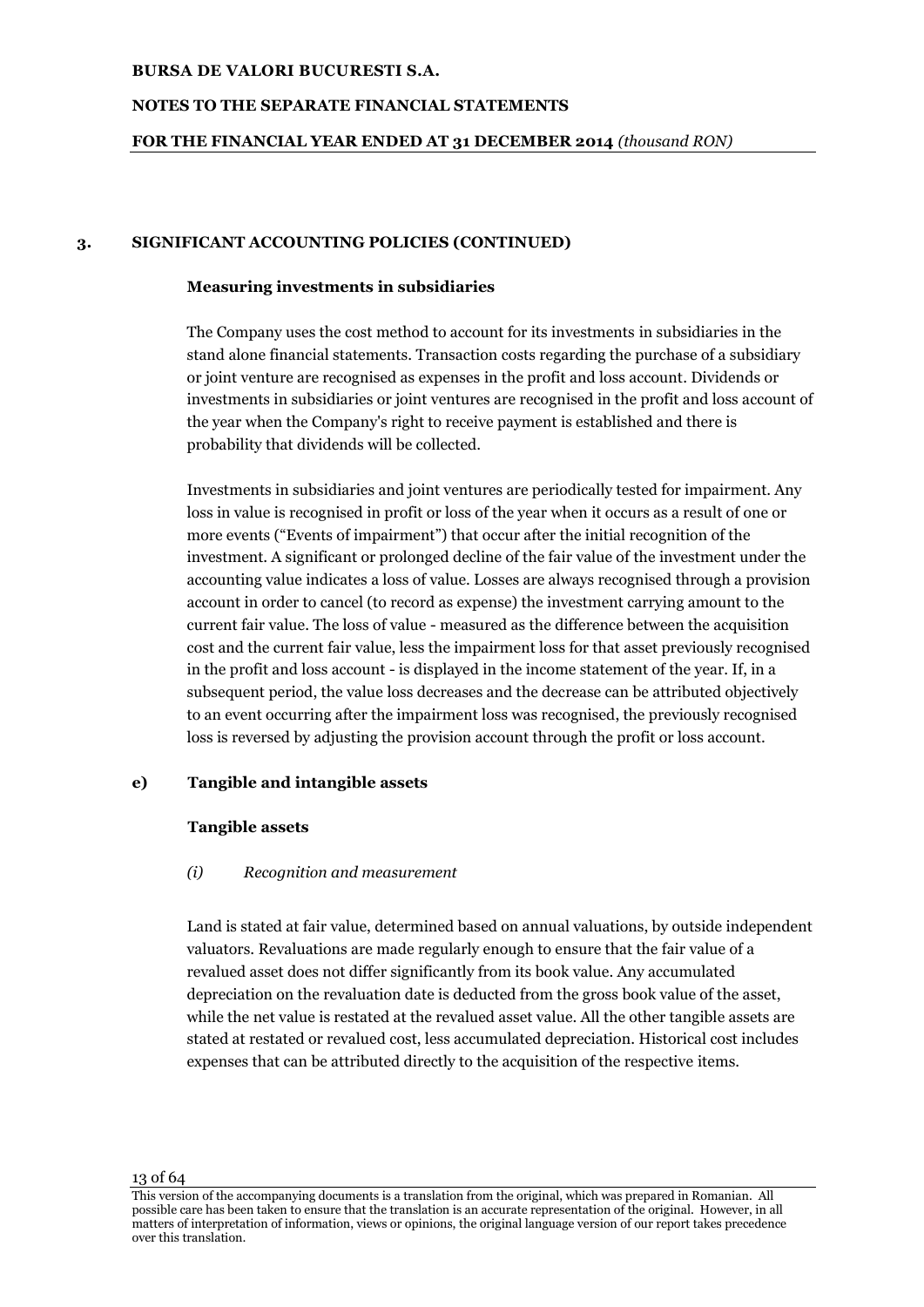# **NOTES TO THE SEPARATE FINANCIAL STATEMENTS**

# **FOR THE FINANCIAL YEAR ENDED AT 31 DECEMBER 2014** *(thousand RON)*

# **3. SIGNIFICANT ACCOUNTING POLICIES (CONTINUED)**

#### **Measuring investments in subsidiaries**

The Company uses the cost method to account for its investments in subsidiaries in the stand alone financial statements. Transaction costs regarding the purchase of a subsidiary or joint venture are recognised as expenses in the profit and loss account. Dividends or investments in subsidiaries or joint ventures are recognised in the profit and loss account of the year when the Company's right to receive payment is established and there is probability that dividends will be collected.

Investments in subsidiaries and joint ventures are periodically tested for impairment. Any loss in value is recognised in profit or loss of the year when it occurs as a result of one or more events ("Events of impairment") that occur after the initial recognition of the investment. A significant or prolonged decline of the fair value of the investment under the accounting value indicates a loss of value. Losses are always recognised through a provision account in order to cancel (to record as expense) the investment carrying amount to the current fair value. The loss of value - measured as the difference between the acquisition cost and the current fair value, less the impairment loss for that asset previously recognised in the profit and loss account - is displayed in the income statement of the year. If, in a subsequent period, the value loss decreases and the decrease can be attributed objectively to an event occurring after the impairment loss was recognised, the previously recognised loss is reversed by adjusting the provision account through the profit or loss account.

# **e) Tangible and intangible assets**

#### **Tangible assets**

#### *(i) Recognition and measurement*

Land is stated at fair value, determined based on annual valuations, by outside independent valuators. Revaluations are made regularly enough to ensure that the fair value of a revalued asset does not differ significantly from its book value. Any accumulated depreciation on the revaluation date is deducted from the gross book value of the asset, while the net value is restated at the revalued asset value. All the other tangible assets are stated at restated or revalued cost, less accumulated depreciation. Historical cost includes expenses that can be attributed directly to the acquisition of the respective items.

This version of the accompanying documents is a translation from the original, which was prepared in Romanian. All possible care has been taken to ensure that the translation is an accurate representation of the original. However, in all matters of interpretation of information, views or opinions, the original language version of our report takes precedence over this translation.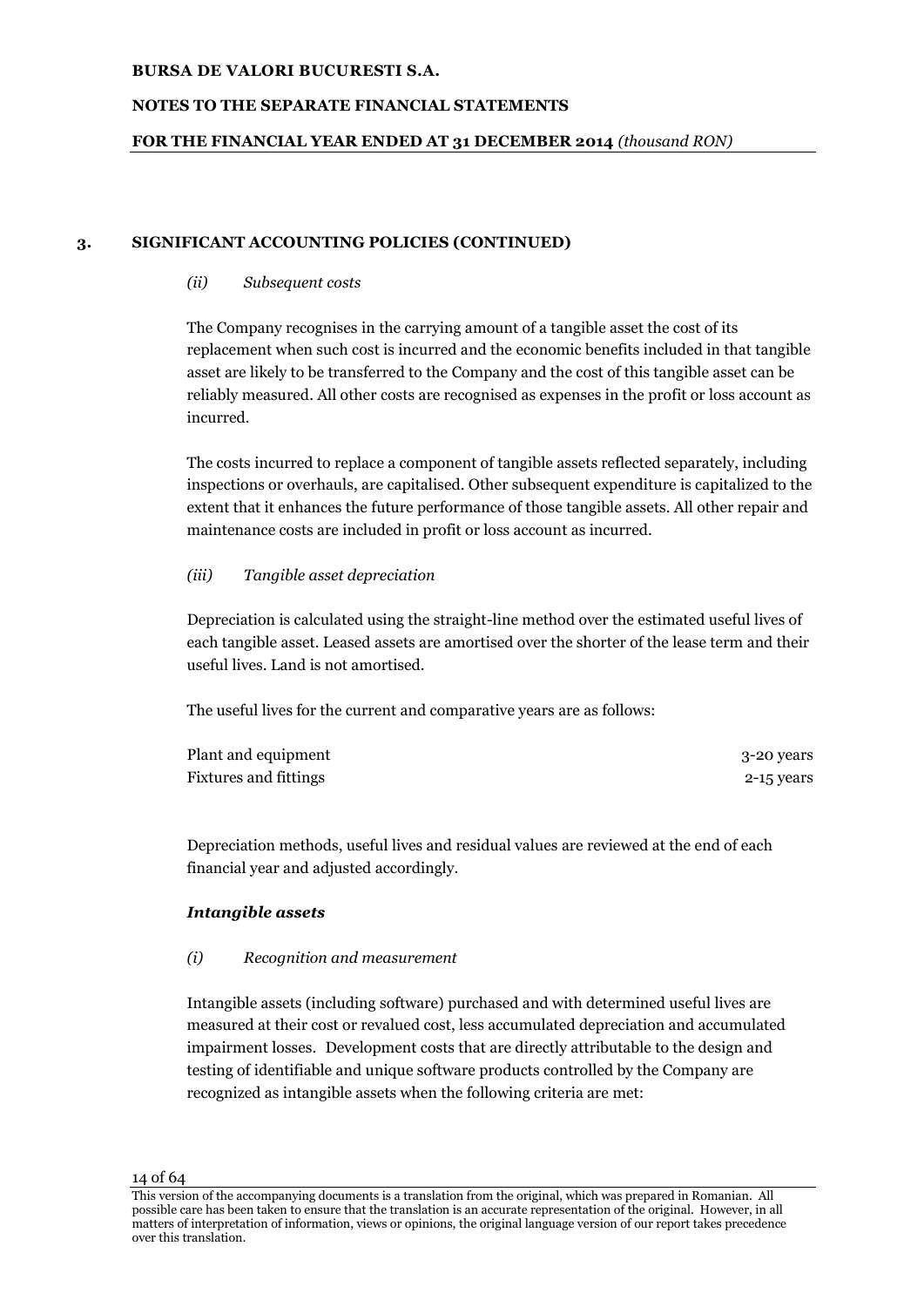# **NOTES TO THE SEPARATE FINANCIAL STATEMENTS**

# **FOR THE FINANCIAL YEAR ENDED AT 31 DECEMBER 2014** *(thousand RON)*

# **3. SIGNIFICANT ACCOUNTING POLICIES (CONTINUED)**

# *(ii) Subsequent costs*

The Company recognises in the carrying amount of a tangible asset the cost of its replacement when such cost is incurred and the economic benefits included in that tangible asset are likely to be transferred to the Company and the cost of this tangible asset can be reliably measured. All other costs are recognised as expenses in the profit or loss account as incurred.

The costs incurred to replace a component of tangible assets reflected separately, including inspections or overhauls, are capitalised. Other subsequent expenditure is capitalized to the extent that it enhances the future performance of those tangible assets. All other repair and maintenance costs are included in profit or loss account as incurred.

# *(iii) Tangible asset depreciation*

Depreciation is calculated using the straight-line method over the estimated useful lives of each tangible asset. Leased assets are amortised over the shorter of the lease term and their useful lives. Land is not amortised.

The useful lives for the current and comparative years are as follows:

| Plant and equipment   | 3-20 years |
|-----------------------|------------|
| Fixtures and fittings | 2-15 years |

Depreciation methods, useful lives and residual values are reviewed at the end of each financial year and adjusted accordingly.

# *Intangible assets*

# *(i) Recognition and measurement*

Intangible assets (including software) purchased and with determined useful lives are measured at their cost or revalued cost, less accumulated depreciation and accumulated impairment losses. Development costs that are directly attributable to the design and testing of identifiable and unique software products controlled by the Company are recognized as intangible assets when the following criteria are met:

This version of the accompanying documents is a translation from the original, which was prepared in Romanian. All possible care has been taken to ensure that the translation is an accurate representation of the original. However, in all matters of interpretation of information, views or opinions, the original language version of our report takes precedence over this translation.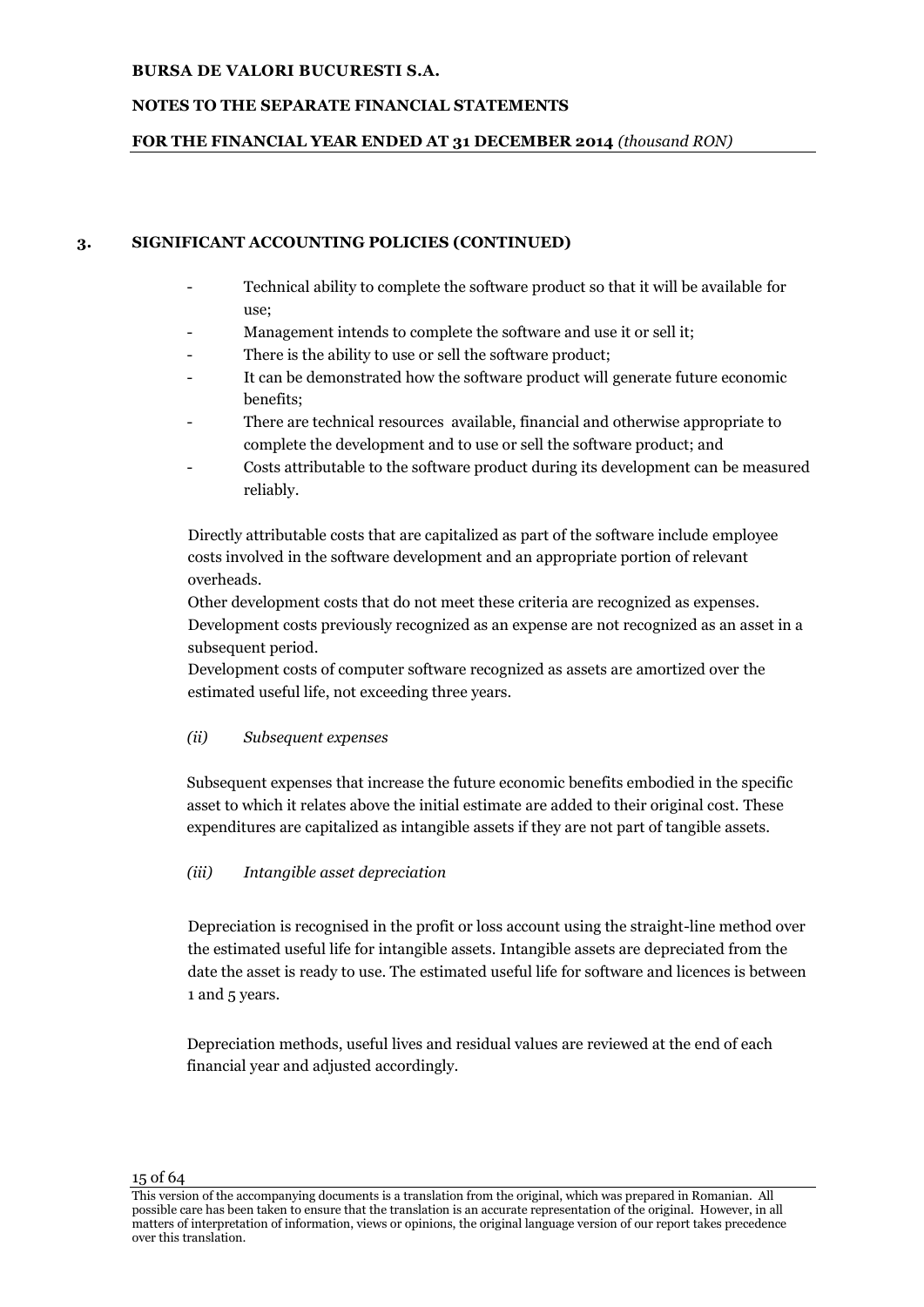# **NOTES TO THE SEPARATE FINANCIAL STATEMENTS**

# **FOR THE FINANCIAL YEAR ENDED AT 31 DECEMBER 2014** *(thousand RON)*

# **3. SIGNIFICANT ACCOUNTING POLICIES (CONTINUED)**

- Technical ability to complete the software product so that it will be available for use;
- Management intends to complete the software and use it or sell it;
- There is the ability to use or sell the software product;
- It can be demonstrated how the software product will generate future economic benefits;
- There are technical resources available, financial and otherwise appropriate to complete the development and to use or sell the software product; and
- Costs attributable to the software product during its development can be measured reliably.

Directly attributable costs that are capitalized as part of the software include employee costs involved in the software development and an appropriate portion of relevant overheads.

Other development costs that do not meet these criteria are recognized as expenses. Development costs previously recognized as an expense are not recognized as an asset in a subsequent period.

Development costs of computer software recognized as assets are amortized over the estimated useful life, not exceeding three years.

# *(ii) Subsequent expenses*

Subsequent expenses that increase the future economic benefits embodied in the specific asset to which it relates above the initial estimate are added to their original cost. These expenditures are capitalized as intangible assets if they are not part of tangible assets.

# *(iii) Intangible asset depreciation*

Depreciation is recognised in the profit or loss account using the straight-line method over the estimated useful life for intangible assets. Intangible assets are depreciated from the date the asset is ready to use. The estimated useful life for software and licences is between 1 and 5 years.

Depreciation methods, useful lives and residual values are reviewed at the end of each financial year and adjusted accordingly.

This version of the accompanying documents is a translation from the original, which was prepared in Romanian. All possible care has been taken to ensure that the translation is an accurate representation of the original. However, in all matters of interpretation of information, views or opinions, the original language version of our report takes precedence over this translation.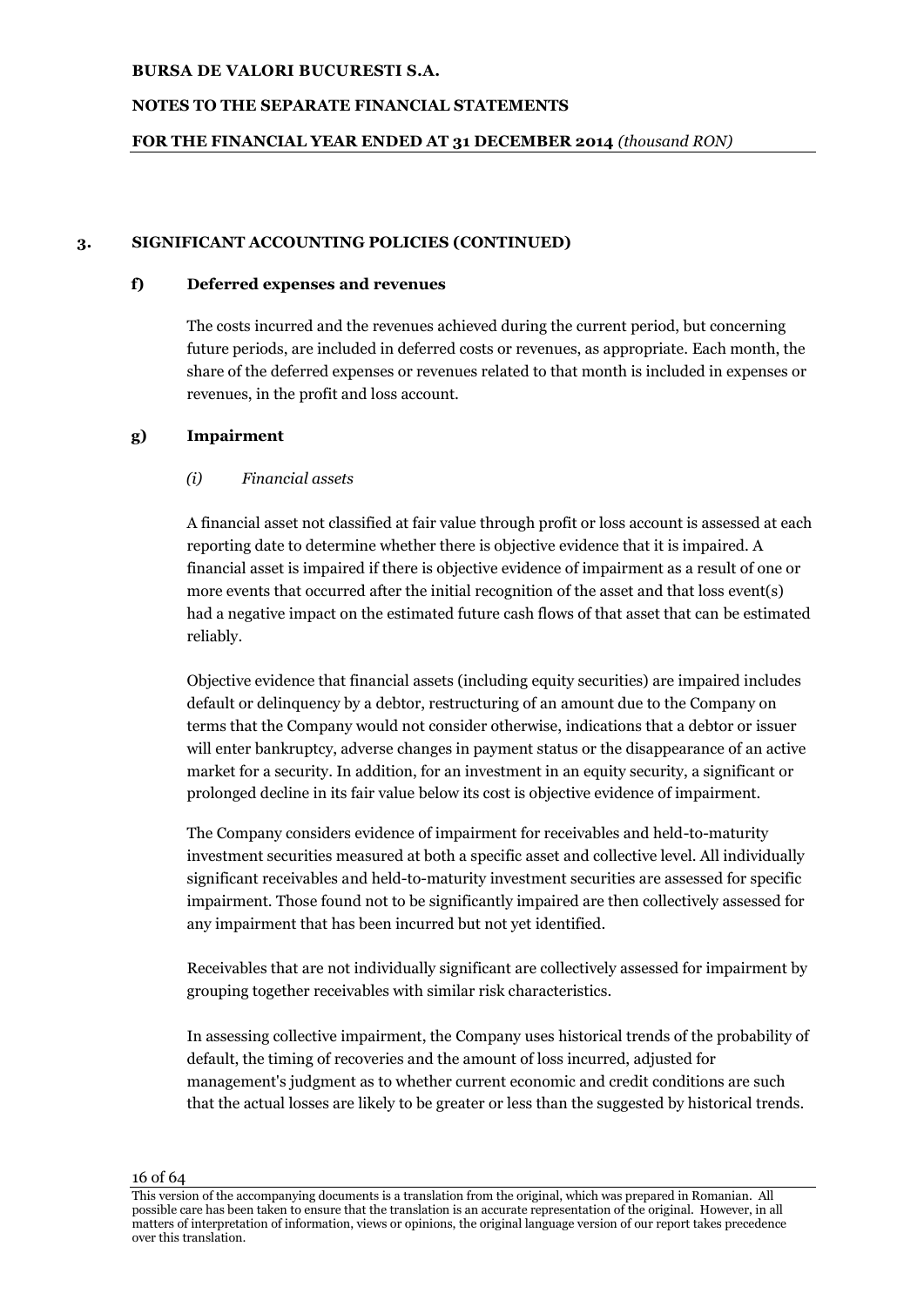# **NOTES TO THE SEPARATE FINANCIAL STATEMENTS**

# **FOR THE FINANCIAL YEAR ENDED AT 31 DECEMBER 2014** *(thousand RON)*

# **3. SIGNIFICANT ACCOUNTING POLICIES (CONTINUED)**

# **f) Deferred expenses and revenues**

The costs incurred and the revenues achieved during the current period, but concerning future periods, are included in deferred costs or revenues, as appropriate. Each month, the share of the deferred expenses or revenues related to that month is included in expenses or revenues, in the profit and loss account.

# **g) Impairment**

# *(i) Financial assets*

A financial asset not classified at fair value through profit or loss account is assessed at each reporting date to determine whether there is objective evidence that it is impaired. A financial asset is impaired if there is objective evidence of impairment as a result of one or more events that occurred after the initial recognition of the asset and that loss event(s) had a negative impact on the estimated future cash flows of that asset that can be estimated reliably.

Objective evidence that financial assets (including equity securities) are impaired includes default or delinquency by a debtor, restructuring of an amount due to the Company on terms that the Company would not consider otherwise, indications that a debtor or issuer will enter bankruptcy, adverse changes in payment status or the disappearance of an active market for a security. In addition, for an investment in an equity security, a significant or prolonged decline in its fair value below its cost is objective evidence of impairment.

The Company considers evidence of impairment for receivables and held-to-maturity investment securities measured at both a specific asset and collective level. All individually significant receivables and held-to-maturity investment securities are assessed for specific impairment. Those found not to be significantly impaired are then collectively assessed for any impairment that has been incurred but not yet identified.

Receivables that are not individually significant are collectively assessed for impairment by grouping together receivables with similar risk characteristics.

In assessing collective impairment, the Company uses historical trends of the probability of default, the timing of recoveries and the amount of loss incurred, adjusted for management's judgment as to whether current economic and credit conditions are such that the actual losses are likely to be greater or less than the suggested by historical trends.

This version of the accompanying documents is a translation from the original, which was prepared in Romanian. All possible care has been taken to ensure that the translation is an accurate representation of the original. However, in all matters of interpretation of information, views or opinions, the original language version of our report takes precedence over this translation.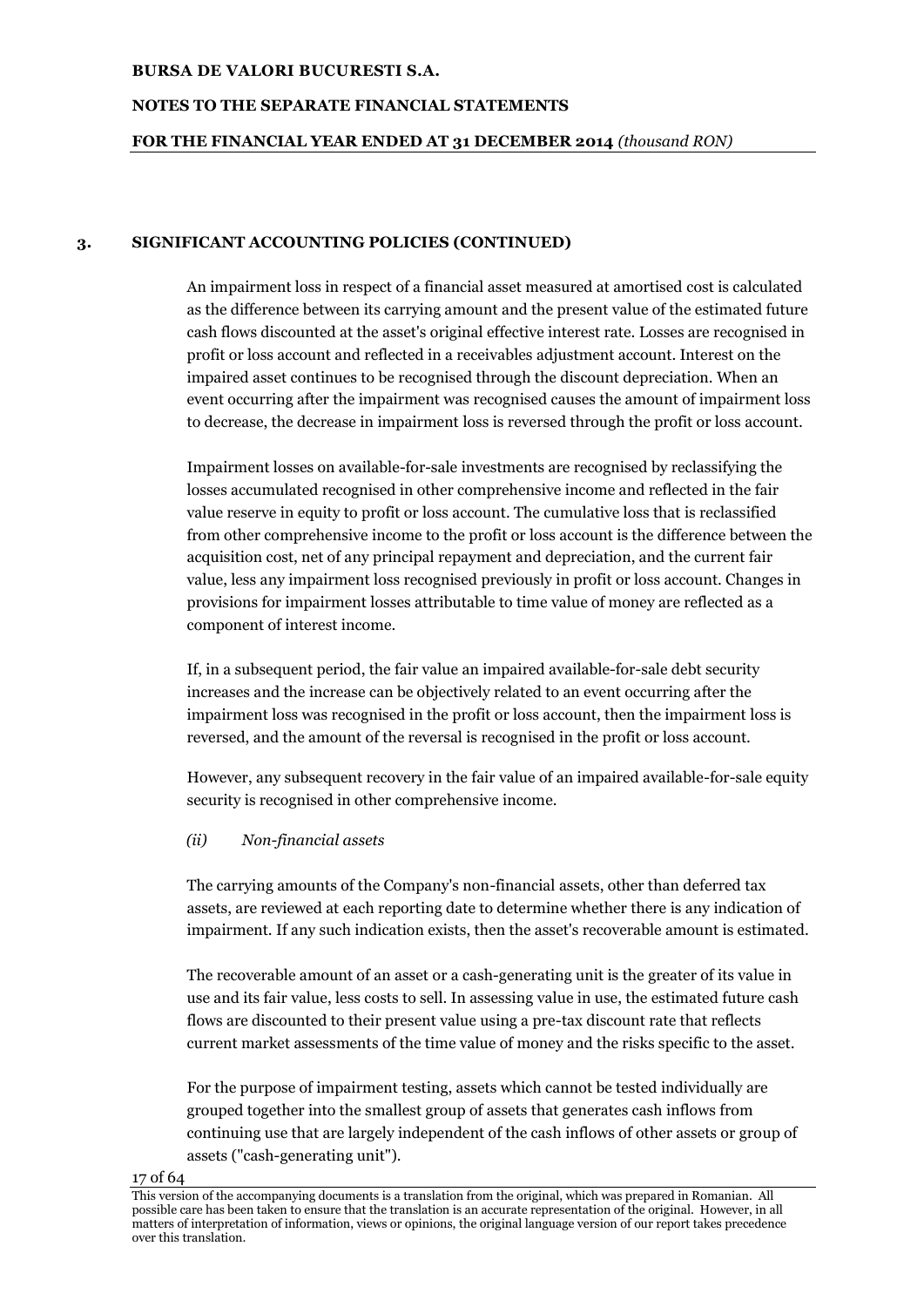# **NOTES TO THE SEPARATE FINANCIAL STATEMENTS**

# **FOR THE FINANCIAL YEAR ENDED AT 31 DECEMBER 2014** *(thousand RON)*

# **3. SIGNIFICANT ACCOUNTING POLICIES (CONTINUED)**

An impairment loss in respect of a financial asset measured at amortised cost is calculated as the difference between its carrying amount and the present value of the estimated future cash flows discounted at the asset's original effective interest rate. Losses are recognised in profit or loss account and reflected in a receivables adjustment account. Interest on the impaired asset continues to be recognised through the discount depreciation. When an event occurring after the impairment was recognised causes the amount of impairment loss to decrease, the decrease in impairment loss is reversed through the profit or loss account.

Impairment losses on available-for-sale investments are recognised by reclassifying the losses accumulated recognised in other comprehensive income and reflected in the fair value reserve in equity to profit or loss account. The cumulative loss that is reclassified from other comprehensive income to the profit or loss account is the difference between the acquisition cost, net of any principal repayment and depreciation, and the current fair value, less any impairment loss recognised previously in profit or loss account. Changes in provisions for impairment losses attributable to time value of money are reflected as a component of interest income.

If, in a subsequent period, the fair value an impaired available-for-sale debt security increases and the increase can be objectively related to an event occurring after the impairment loss was recognised in the profit or loss account, then the impairment loss is reversed, and the amount of the reversal is recognised in the profit or loss account.

However, any subsequent recovery in the fair value of an impaired available-for-sale equity security is recognised in other comprehensive income.

# *(ii) Non-financial assets*

The carrying amounts of the Company's non-financial assets, other than deferred tax assets, are reviewed at each reporting date to determine whether there is any indication of impairment. If any such indication exists, then the asset's recoverable amount is estimated.

The recoverable amount of an asset or a cash-generating unit is the greater of its value in use and its fair value, less costs to sell. In assessing value in use, the estimated future cash flows are discounted to their present value using a pre-tax discount rate that reflects current market assessments of the time value of money and the risks specific to the asset.

For the purpose of impairment testing, assets which cannot be tested individually are grouped together into the smallest group of assets that generates cash inflows from continuing use that are largely independent of the cash inflows of other assets or group of assets ("cash-generating unit").

#### This version of the accompanying documents is a translation from the original, which was prepared in Romanian. All possible care has been taken to ensure that the translation is an accurate representation of the original. However, in all matters of interpretation of information, views or opinions, the original language version of our report takes precedence over this translation.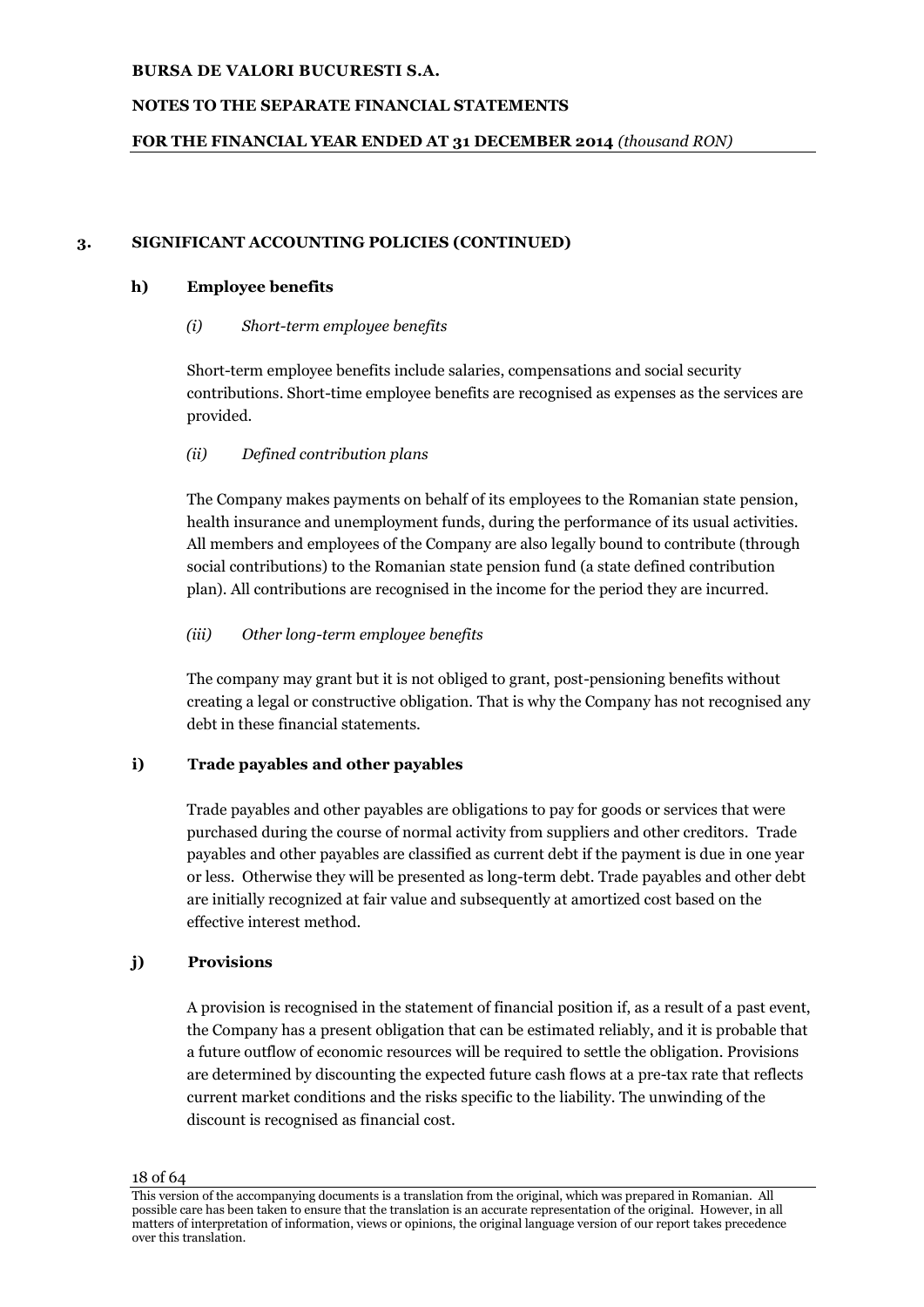# **NOTES TO THE SEPARATE FINANCIAL STATEMENTS**

# **FOR THE FINANCIAL YEAR ENDED AT 31 DECEMBER 2014** *(thousand RON)*

# **3. SIGNIFICANT ACCOUNTING POLICIES (CONTINUED)**

# **h) Employee benefits**

# *(i) Short-term employee benefits*

Short-term employee benefits include salaries, compensations and social security contributions. Short-time employee benefits are recognised as expenses as the services are provided.

# *(ii) Defined contribution plans*

The Company makes payments on behalf of its employees to the Romanian state pension, health insurance and unemployment funds, during the performance of its usual activities. All members and employees of the Company are also legally bound to contribute (through social contributions) to the Romanian state pension fund (a state defined contribution plan). All contributions are recognised in the income for the period they are incurred.

# *(iii) Other long-term employee benefits*

The company may grant but it is not obliged to grant, post-pensioning benefits without creating a legal or constructive obligation. That is why the Company has not recognised any debt in these financial statements.

# **i) Trade payables and other payables**

Trade payables and other payables are obligations to pay for goods or services that were purchased during the course of normal activity from suppliers and other creditors. Trade payables and other payables are classified as current debt if the payment is due in one year or less. Otherwise they will be presented as long-term debt. Trade payables and other debt are initially recognized at fair value and subsequently at amortized cost based on the effective interest method.

# **j) Provisions**

A provision is recognised in the statement of financial position if, as a result of a past event, the Company has a present obligation that can be estimated reliably, and it is probable that a future outflow of economic resources will be required to settle the obligation. Provisions are determined by discounting the expected future cash flows at a pre-tax rate that reflects current market conditions and the risks specific to the liability. The unwinding of the discount is recognised as financial cost.

This version of the accompanying documents is a translation from the original, which was prepared in Romanian. All possible care has been taken to ensure that the translation is an accurate representation of the original. However, in all matters of interpretation of information, views or opinions, the original language version of our report takes precedence over this translation.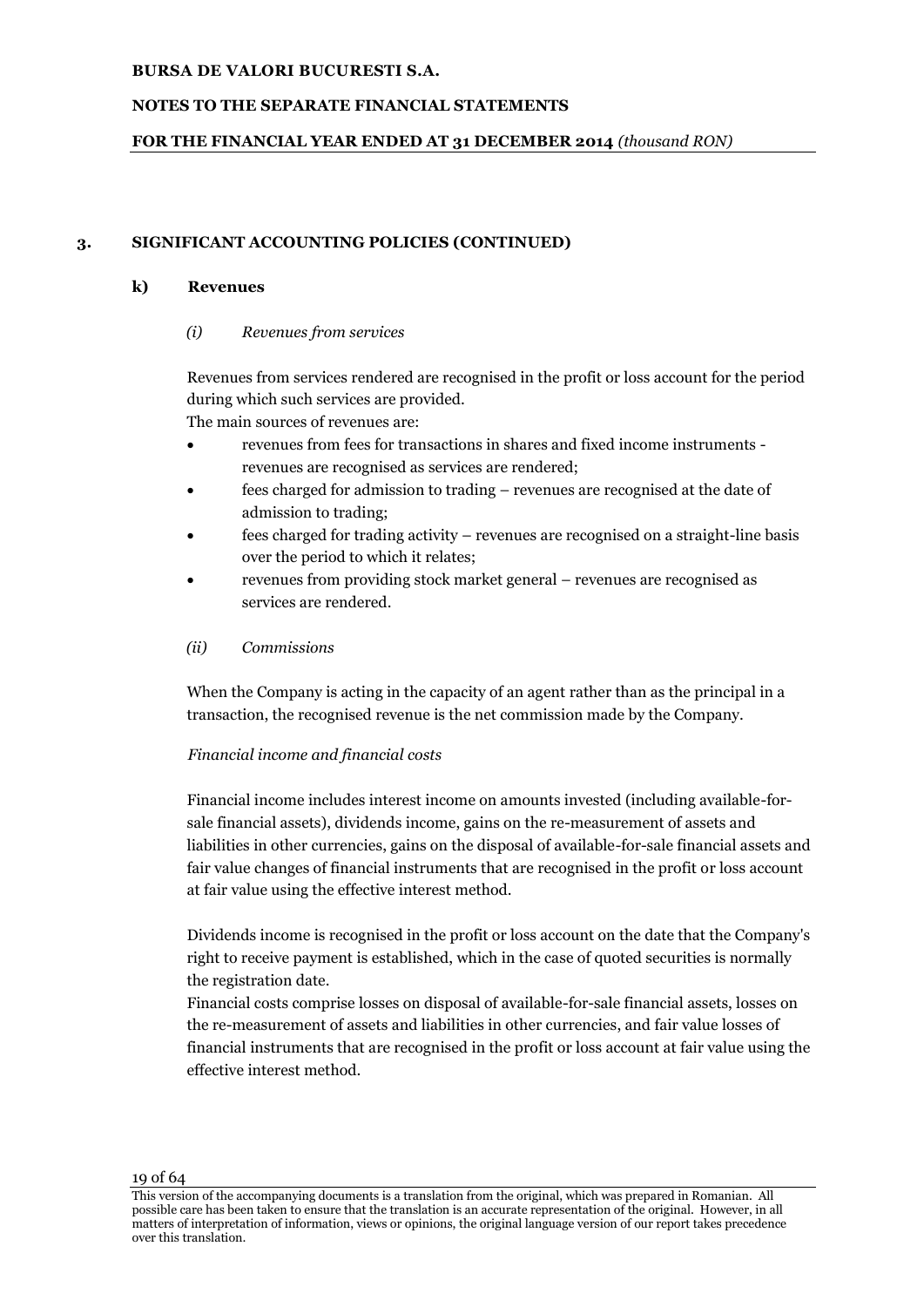# **NOTES TO THE SEPARATE FINANCIAL STATEMENTS**

# **FOR THE FINANCIAL YEAR ENDED AT 31 DECEMBER 2014** *(thousand RON)*

# **3. SIGNIFICANT ACCOUNTING POLICIES (CONTINUED)**

# **k) Revenues**

# *(i) Revenues from services*

Revenues from services rendered are recognised in the profit or loss account for the period during which such services are provided.

The main sources of revenues are:

- revenues from fees for transactions in shares and fixed income instruments revenues are recognised as services are rendered;
- fees charged for admission to trading revenues are recognised at the date of admission to trading;
- fees charged for trading activity revenues are recognised on a straight-line basis over the period to which it relates;
- revenues from providing stock market general revenues are recognised as services are rendered.

# *(ii) Commissions*

When the Company is acting in the capacity of an agent rather than as the principal in a transaction, the recognised revenue is the net commission made by the Company.

# *Financial income and financial costs*

Financial income includes interest income on amounts invested (including available-forsale financial assets), dividends income, gains on the re-measurement of assets and liabilities in other currencies, gains on the disposal of available-for-sale financial assets and fair value changes of financial instruments that are recognised in the profit or loss account at fair value using the effective interest method.

Dividends income is recognised in the profit or loss account on the date that the Company's right to receive payment is established, which in the case of quoted securities is normally the registration date.

Financial costs comprise losses on disposal of available-for-sale financial assets, losses on the re-measurement of assets and liabilities in other currencies, and fair value losses of financial instruments that are recognised in the profit or loss account at fair value using the effective interest method.

This version of the accompanying documents is a translation from the original, which was prepared in Romanian. All possible care has been taken to ensure that the translation is an accurate representation of the original. However, in all matters of interpretation of information, views or opinions, the original language version of our report takes precedence over this translation.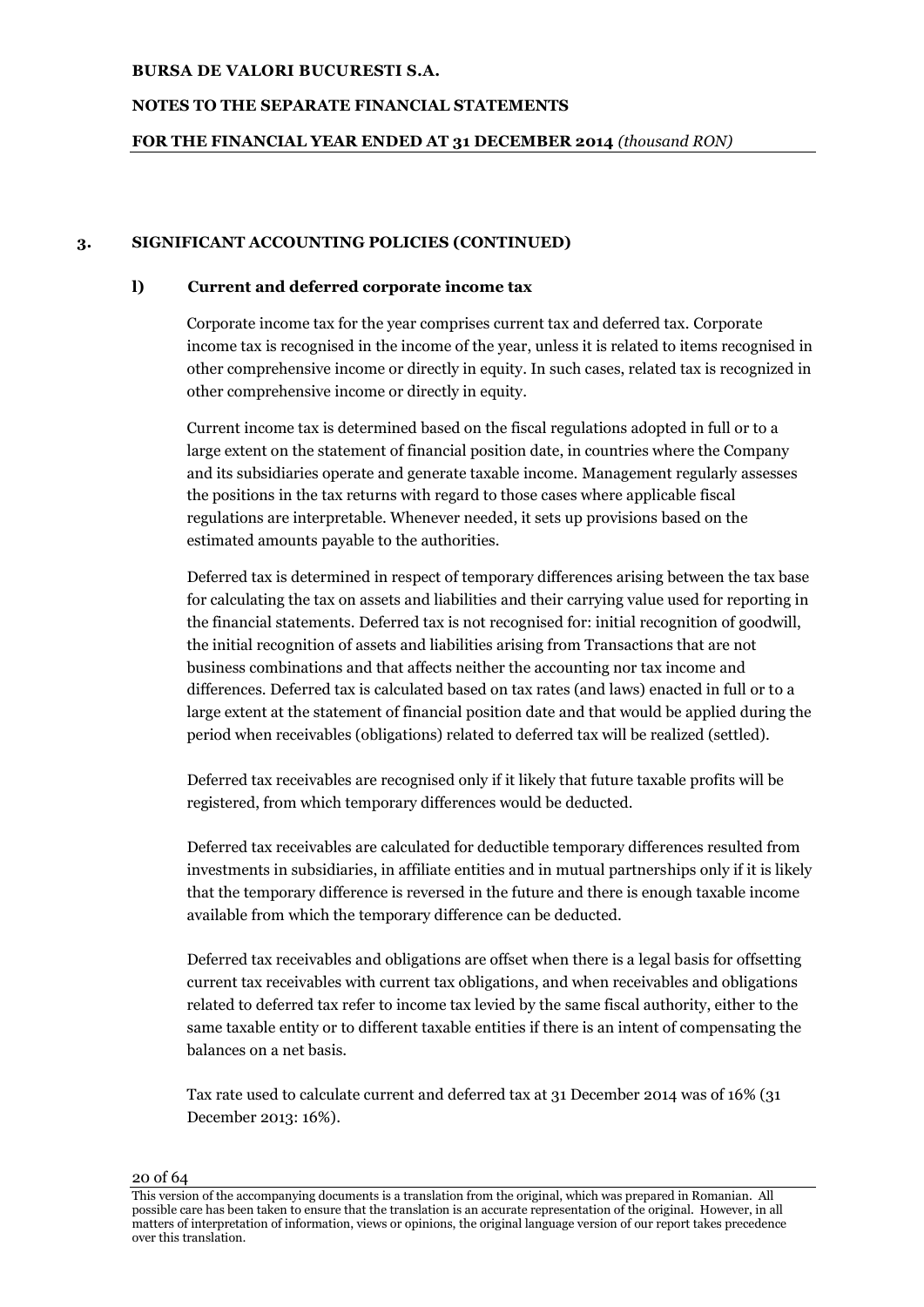# **NOTES TO THE SEPARATE FINANCIAL STATEMENTS**

# **FOR THE FINANCIAL YEAR ENDED AT 31 DECEMBER 2014** *(thousand RON)*

# **3. SIGNIFICANT ACCOUNTING POLICIES (CONTINUED)**

# **l) Current and deferred corporate income tax**

Corporate income tax for the year comprises current tax and deferred tax. Corporate income tax is recognised in the income of the year, unless it is related to items recognised in other comprehensive income or directly in equity. In such cases, related tax is recognized in other comprehensive income or directly in equity.

Current income tax is determined based on the fiscal regulations adopted in full or to a large extent on the statement of financial position date, in countries where the Company and its subsidiaries operate and generate taxable income. Management regularly assesses the positions in the tax returns with regard to those cases where applicable fiscal regulations are interpretable. Whenever needed, it sets up provisions based on the estimated amounts payable to the authorities.

Deferred tax is determined in respect of temporary differences arising between the tax base for calculating the tax on assets and liabilities and their carrying value used for reporting in the financial statements. Deferred tax is not recognised for: initial recognition of goodwill, the initial recognition of assets and liabilities arising from Transactions that are not business combinations and that affects neither the accounting nor tax income and differences. Deferred tax is calculated based on tax rates (and laws) enacted in full or to a large extent at the statement of financial position date and that would be applied during the period when receivables (obligations) related to deferred tax will be realized (settled).

Deferred tax receivables are recognised only if it likely that future taxable profits will be registered, from which temporary differences would be deducted.

Deferred tax receivables are calculated for deductible temporary differences resulted from investments in subsidiaries, in affiliate entities and in mutual partnerships only if it is likely that the temporary difference is reversed in the future and there is enough taxable income available from which the temporary difference can be deducted.

Deferred tax receivables and obligations are offset when there is a legal basis for offsetting current tax receivables with current tax obligations, and when receivables and obligations related to deferred tax refer to income tax levied by the same fiscal authority, either to the same taxable entity or to different taxable entities if there is an intent of compensating the balances on a net basis.

Tax rate used to calculate current and deferred tax at 31 December 2014 was of 16% (31 December 2013: 16%).

This version of the accompanying documents is a translation from the original, which was prepared in Romanian. All possible care has been taken to ensure that the translation is an accurate representation of the original. However, in all matters of interpretation of information, views or opinions, the original language version of our report takes precedence over this translation.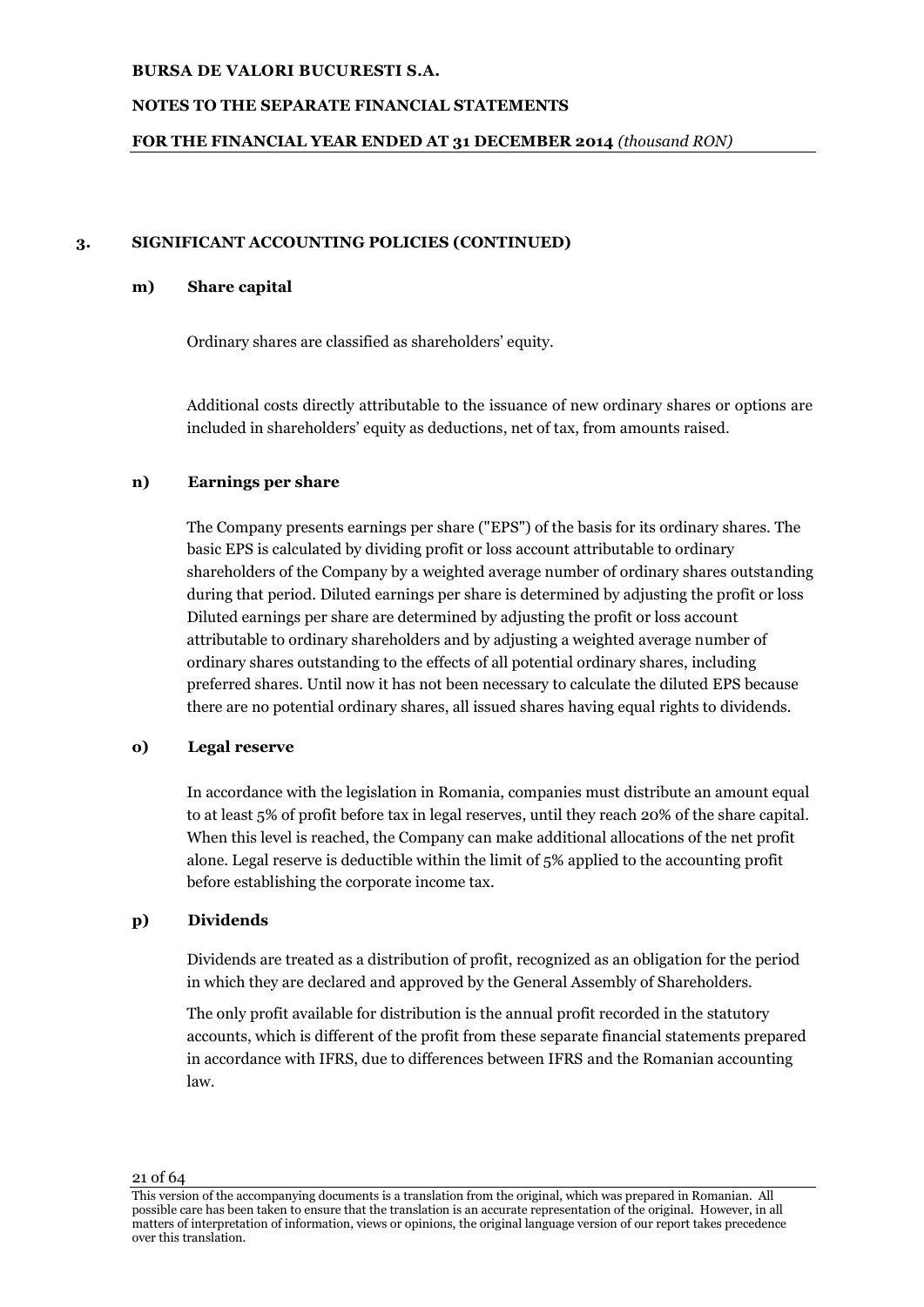# **NOTES TO THE SEPARATE FINANCIAL STATEMENTS**

# **FOR THE FINANCIAL YEAR ENDED AT 31 DECEMBER 2014** *(thousand RON)*

# **3. SIGNIFICANT ACCOUNTING POLICIES (CONTINUED)**

# **m) Share capital**

Ordinary shares are classified as shareholders' equity.

Additional costs directly attributable to the issuance of new ordinary shares or options are included in shareholders' equity as deductions, net of tax, from amounts raised.

# **n) Earnings per share**

The Company presents earnings per share ("EPS") of the basis for its ordinary shares. The basic EPS is calculated by dividing profit or loss account attributable to ordinary shareholders of the Company by a weighted average number of ordinary shares outstanding during that period. Diluted earnings per share is determined by adjusting the profit or loss Diluted earnings per share are determined by adjusting the profit or loss account attributable to ordinary shareholders and by adjusting a weighted average number of ordinary shares outstanding to the effects of all potential ordinary shares, including preferred shares. Until now it has not been necessary to calculate the diluted EPS because there are no potential ordinary shares, all issued shares having equal rights to dividends.

# **o) Legal reserve**

In accordance with the legislation in Romania, companies must distribute an amount equal to at least 5% of profit before tax in legal reserves, until they reach 20% of the share capital. When this level is reached, the Company can make additional allocations of the net profit alone. Legal reserve is deductible within the limit of 5% applied to the accounting profit before establishing the corporate income tax.

# **p) Dividends**

Dividends are treated as a distribution of profit, recognized as an obligation for the period in which they are declared and approved by the General Assembly of Shareholders.

The only profit available for distribution is the annual profit recorded in the statutory accounts, which is different of the profit from these separate financial statements prepared in accordance with IFRS, due to differences between IFRS and the Romanian accounting law.

This version of the accompanying documents is a translation from the original, which was prepared in Romanian. All possible care has been taken to ensure that the translation is an accurate representation of the original. However, in all matters of interpretation of information, views or opinions, the original language version of our report takes precedence over this translation.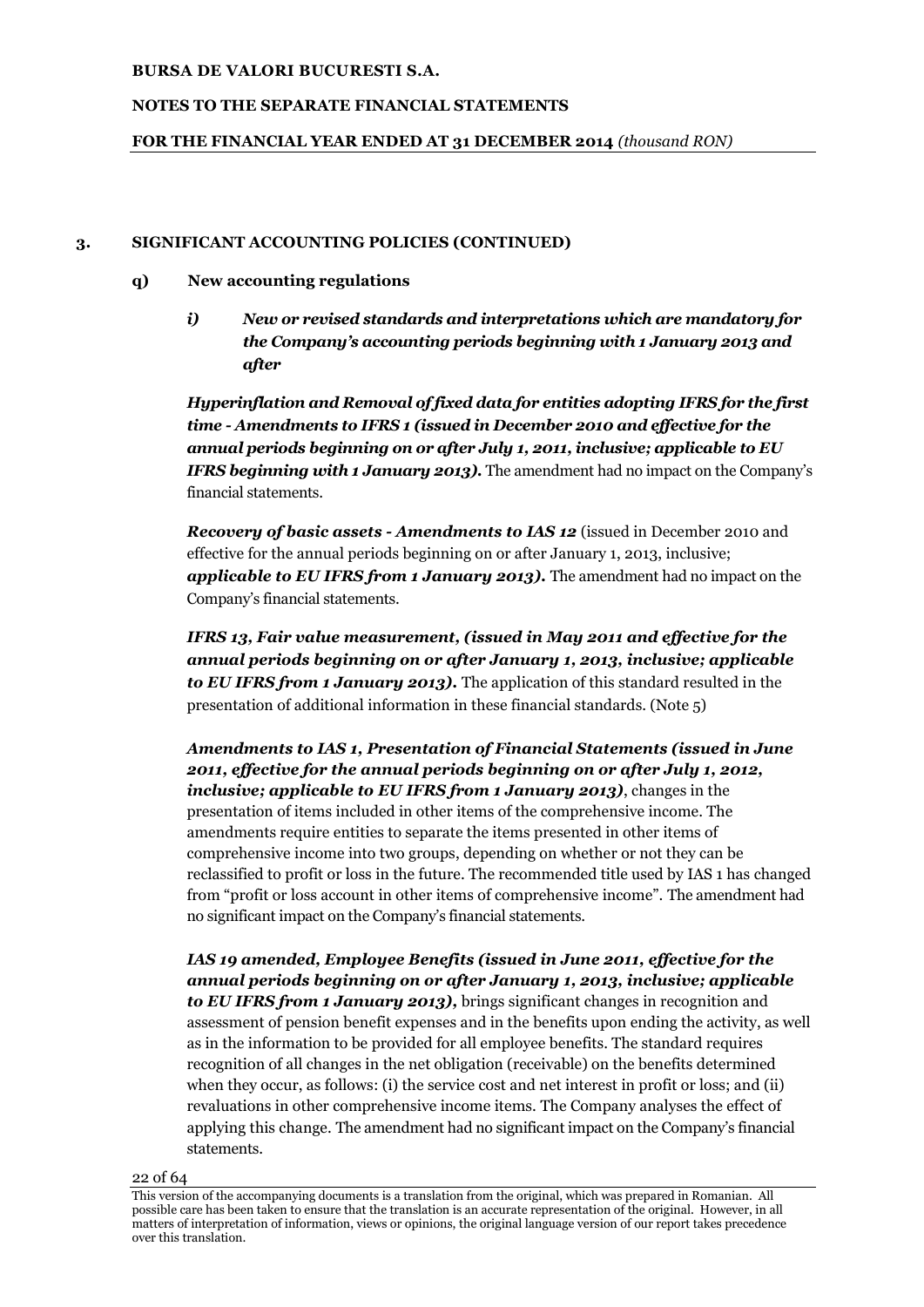# **NOTES TO THE SEPARATE FINANCIAL STATEMENTS**

# **FOR THE FINANCIAL YEAR ENDED AT 31 DECEMBER 2014** *(thousand RON)*

# **3. SIGNIFICANT ACCOUNTING POLICIES (CONTINUED)**

# **q) New accounting regulations**

*i) New or revised standards and interpretations which are mandatory for the Company's accounting periods beginning with 1 January 2013 and after* 

*Hyperinflation and Removal of fixed data for entities adopting IFRS for the first time - Amendments to IFRS 1 (issued in December 2010 and effective for the annual periods beginning on or after July 1, 2011, inclusive; applicable to EU IFRS beginning with 1 January 2013).* The amendment had no impact on the Company's financial statements.

*Recovery of basic assets - Amendments to IAS 12* (issued in December 2010 and effective for the annual periods beginning on or after January 1, 2013, inclusive; *applicable to EU IFRS from 1 January 2013).* The amendment had no impact on the Company's financial statements.

*IFRS 13, Fair value measurement, (issued in May 2011 and effective for the annual periods beginning on or after January 1, 2013, inclusive; applicable to EU IFRS from 1 January 2013).* The application of this standard resulted in the presentation of additional information in these financial standards. (Note 5)

*Amendments to IAS 1, Presentation of Financial Statements (issued in June 2011, effective for the annual periods beginning on or after July 1, 2012, inclusive; applicable to EU IFRS from 1 January 2013)*, changes in the presentation of items included in other items of the comprehensive income. The amendments require entities to separate the items presented in other items of comprehensive income into two groups, depending on whether or not they can be reclassified to profit or loss in the future. The recommended title used by IAS 1 has changed from "profit or loss account in other items of comprehensive income". The amendment had no significant impact on the Company's financial statements.

*IAS 19 amended, Employee Benefits (issued in June 2011, effective for the annual periods beginning on or after January 1, 2013, inclusive; applicable to EU IFRS from 1 January 2013),* brings significant changes in recognition and assessment of pension benefit expenses and in the benefits upon ending the activity, as well as in the information to be provided for all employee benefits. The standard requires recognition of all changes in the net obligation (receivable) on the benefits determined when they occur, as follows: (i) the service cost and net interest in profit or loss; and (ii) revaluations in other comprehensive income items. The Company analyses the effect of applying this change. The amendment had no significant impact on the Company's financial statements.

This version of the accompanying documents is a translation from the original, which was prepared in Romanian. All possible care has been taken to ensure that the translation is an accurate representation of the original. However, in all matters of interpretation of information, views or opinions, the original language version of our report takes precedence over this translation.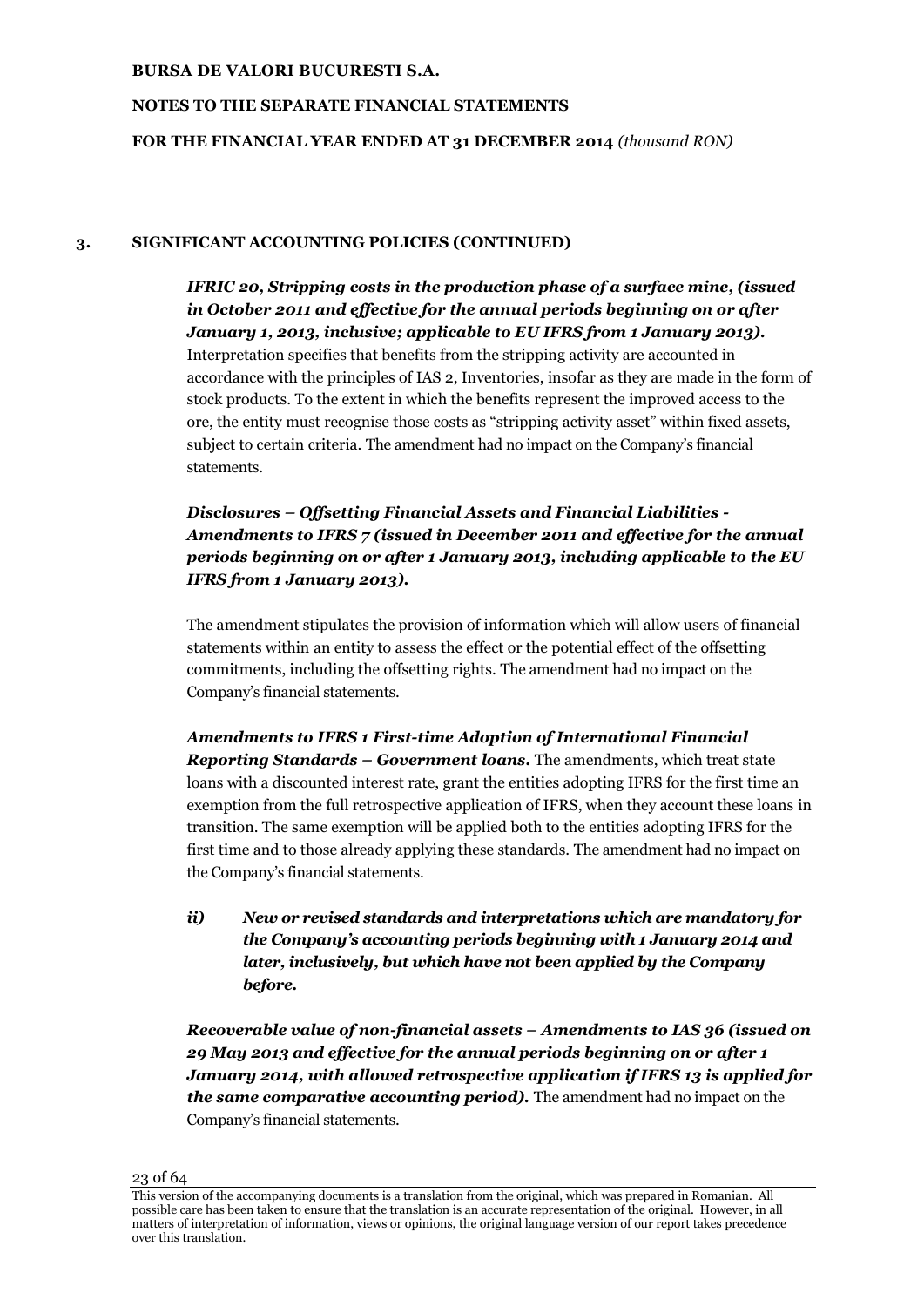# **NOTES TO THE SEPARATE FINANCIAL STATEMENTS**

# **FOR THE FINANCIAL YEAR ENDED AT 31 DECEMBER 2014** *(thousand RON)*

# **3. SIGNIFICANT ACCOUNTING POLICIES (CONTINUED)**

*IFRIC 20, Stripping costs in the production phase of a surface mine, (issued in October 2011 and effective for the annual periods beginning on or after January 1, 2013, inclusive; applicable to EU IFRS from 1 January 2013).* 

Interpretation specifies that benefits from the stripping activity are accounted in accordance with the principles of IAS 2, Inventories, insofar as they are made in the form of stock products. To the extent in which the benefits represent the improved access to the ore, the entity must recognise those costs as "stripping activity asset" within fixed assets, subject to certain criteria. The amendment had no impact on the Company's financial statements.

# *Disclosures – Offsetting Financial Assets and Financial Liabilities - Amendments to IFRS 7 (issued in December 2011 and effective for the annual periods beginning on or after 1 January 2013, including applicable to the EU IFRS from 1 January 2013).*

The amendment stipulates the provision of information which will allow users of financial statements within an entity to assess the effect or the potential effect of the offsetting commitments, including the offsetting rights. The amendment had no impact on the Company's financial statements.

*Amendments to IFRS 1 First-time Adoption of International Financial Reporting Standards – Government loans.* The amendments, which treat state loans with a discounted interest rate, grant the entities adopting IFRS for the first time an exemption from the full retrospective application of IFRS, when they account these loans in transition. The same exemption will be applied both to the entities adopting IFRS for the first time and to those already applying these standards. The amendment had no impact on the Company's financial statements.

*ii) New or revised standards and interpretations which are mandatory for the Company's accounting periods beginning with 1 January 2014 and later, inclusively, but which have not been applied by the Company before.* 

*Recoverable value of non-financial assets – Amendments to IAS 36 (issued on 29 May 2013 and effective for the annual periods beginning on or after 1 January 2014, with allowed retrospective application if IFRS 13 is applied for the same comparative accounting period).* The amendment had no impact on the Company's financial statements.

This version of the accompanying documents is a translation from the original, which was prepared in Romanian. All possible care has been taken to ensure that the translation is an accurate representation of the original. However, in all matters of interpretation of information, views or opinions, the original language version of our report takes precedence over this translation.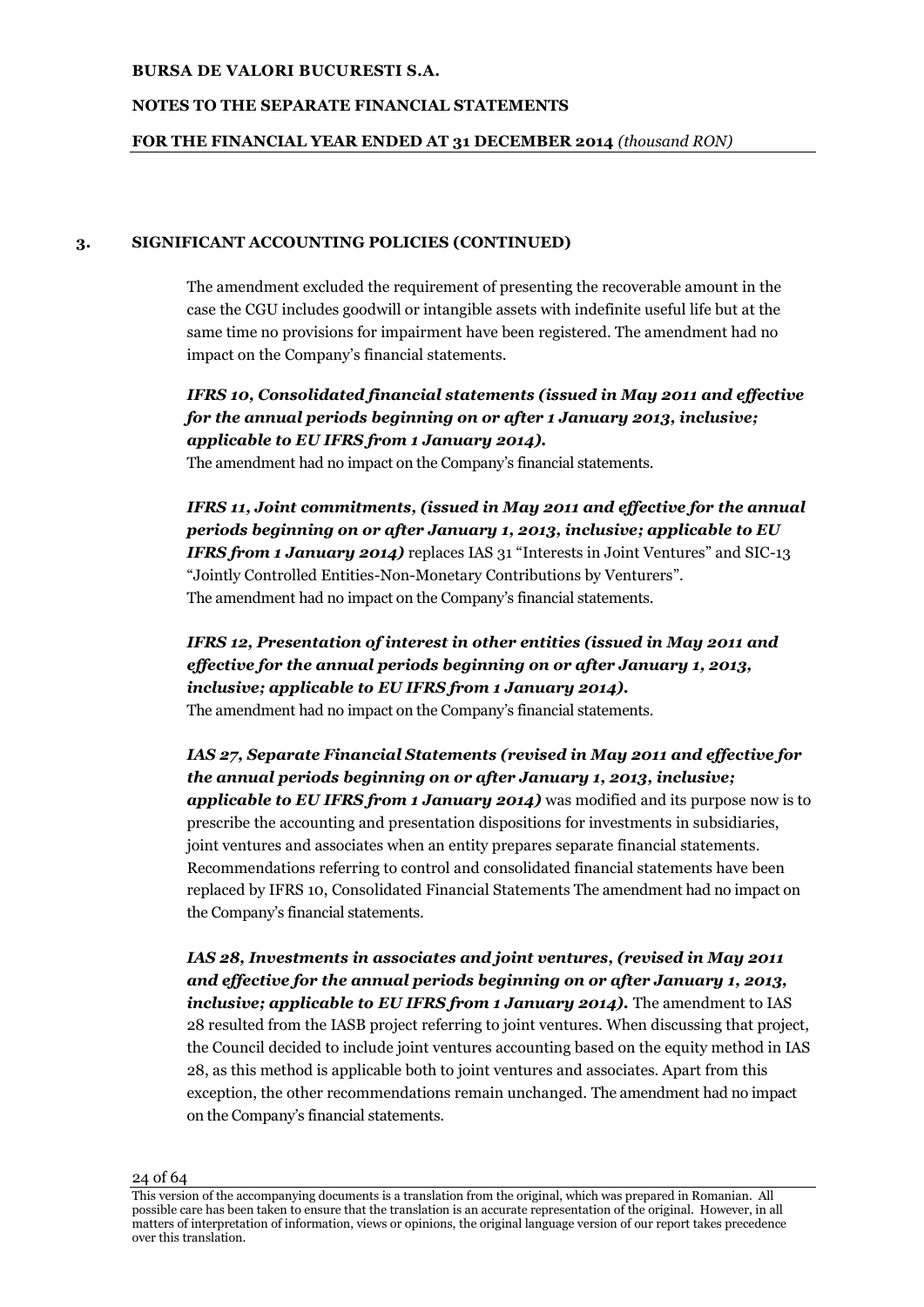# **NOTES TO THE SEPARATE FINANCIAL STATEMENTS**

# **FOR THE FINANCIAL YEAR ENDED AT 31 DECEMBER 2014** *(thousand RON)*

# **3. SIGNIFICANT ACCOUNTING POLICIES (CONTINUED)**

The amendment excluded the requirement of presenting the recoverable amount in the case the CGU includes goodwill or intangible assets with indefinite useful life but at the same time no provisions for impairment have been registered. The amendment had no impact on the Company's financial statements.

*IFRS 10, Consolidated financial statements (issued in May 2011 and effective for the annual periods beginning on or after 1 January 2013, inclusive; applicable to EU IFRS from 1 January 2014).*

The amendment had no impact on the Company's financial statements.

*IFRS 11, Joint commitments, (issued in May 2011 and effective for the annual periods beginning on or after January 1, 2013, inclusive; applicable to EU IFRS from 1 January 2014*) replaces IAS 31 "Interests in Joint Ventures" and SIC-13 "Jointly Controlled Entities-Non-Monetary Contributions by Venturers". The amendment had no impact on the Company's financial statements.

# *IFRS 12, Presentation of interest in other entities (issued in May 2011 and effective for the annual periods beginning on or after January 1, 2013, inclusive; applicable to EU IFRS from 1 January 2014).*

The amendment had no impact on the Company's financial statements.

*IAS 27, Separate Financial Statements (revised in May 2011 and effective for the annual periods beginning on or after January 1, 2013, inclusive; applicable to EU IFRS from 1 January 2014)* was modified and its purpose now is to prescribe the accounting and presentation dispositions for investments in subsidiaries, joint ventures and associates when an entity prepares separate financial statements. Recommendations referring to control and consolidated financial statements have been replaced by IFRS 10, Consolidated Financial Statements The amendment had no impact on the Company's financial statements.

*IAS 28, Investments in associates and joint ventures, (revised in May 2011 and effective for the annual periods beginning on or after January 1, 2013, inclusive; applicable to EU IFRS from 1 January 2014)*. The amendment to IAS 28 resulted from the IASB project referring to joint ventures. When discussing that project, the Council decided to include joint ventures accounting based on the equity method in IAS 28, as this method is applicable both to joint ventures and associates. Apart from this exception, the other recommendations remain unchanged. The amendment had no impact on the Company's financial statements.

This version of the accompanying documents is a translation from the original, which was prepared in Romanian. All possible care has been taken to ensure that the translation is an accurate representation of the original. However, in all matters of interpretation of information, views or opinions, the original language version of our report takes precedence over this translation.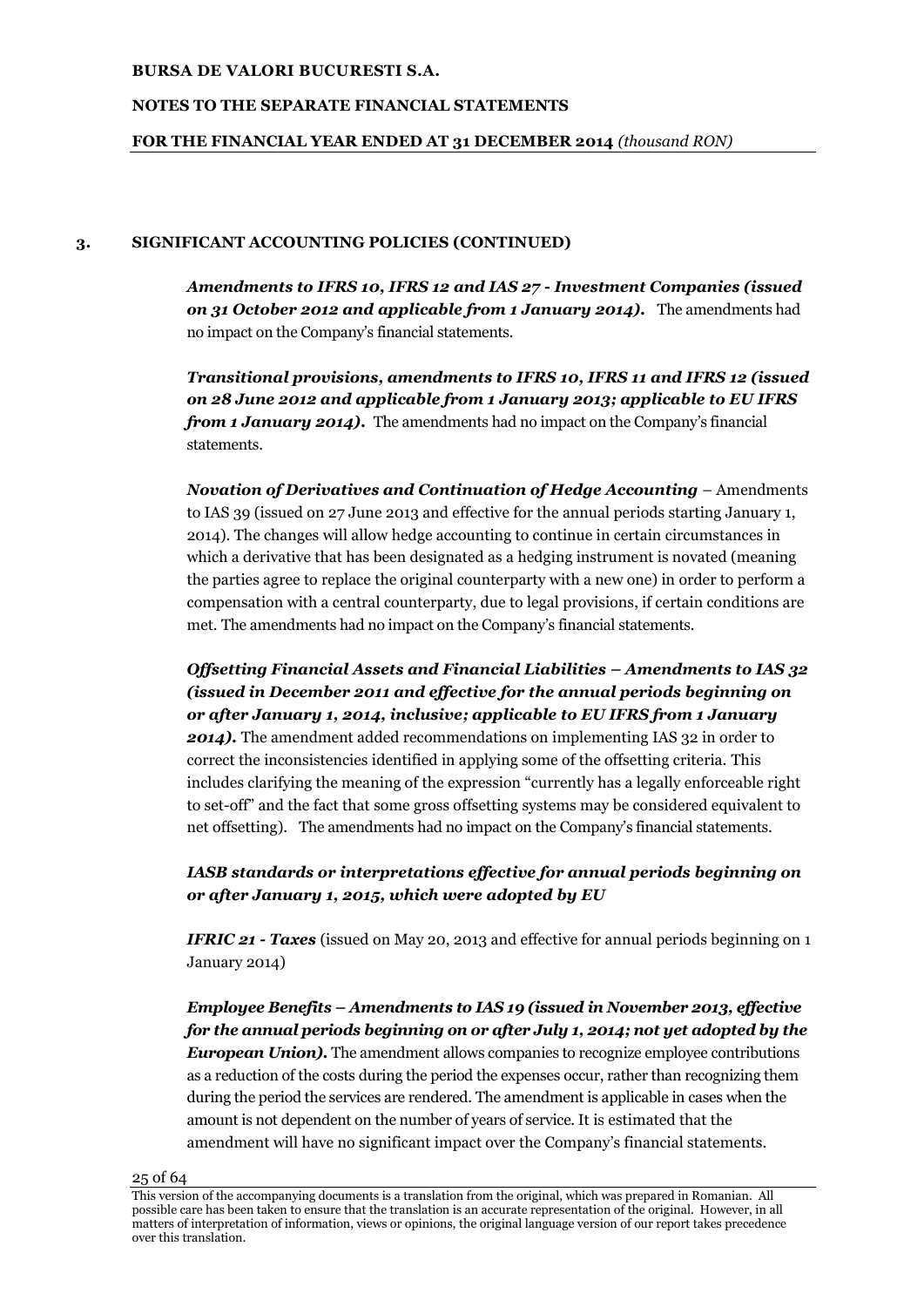# **NOTES TO THE SEPARATE FINANCIAL STATEMENTS**

#### **FOR THE FINANCIAL YEAR ENDED AT 31 DECEMBER 2014** *(thousand RON)*

# **3. SIGNIFICANT ACCOUNTING POLICIES (CONTINUED)**

*Amendments to IFRS 10, IFRS 12 and IAS 27 - Investment Companies (issued on 31 October 2012 and applicable from 1 January 2014).* The amendments had no impact on the Company's financial statements.

*Transitional provisions, amendments to IFRS 10, IFRS 11 and IFRS 12 (issued on 28 June 2012 and applicable from 1 January 2013; applicable to EU IFRS from 1 January 2014).* The amendments had no impact on the Company's financial statements.

*Novation of Derivatives and Continuation of Hedge Accounting – Amendments* to IAS 39 (issued on 27 June 2013 and effective for the annual periods starting January 1, 2014). The changes will allow hedge accounting to continue in certain circumstances in which a derivative that has been designated as a hedging instrument is novated (meaning the parties agree to replace the original counterparty with a new one) in order to perform a compensation with a central counterparty, due to legal provisions, if certain conditions are met. The amendments had no impact on the Company's financial statements.

*Offsetting Financial Assets and Financial Liabilities – Amendments to IAS 32 (issued in December 2011 and effective for the annual periods beginning on or after January 1, 2014, inclusive; applicable to EU IFRS from 1 January*  2014). The amendment added recommendations on implementing IAS 32 in order to correct the inconsistencies identified in applying some of the offsetting criteria. This includes clarifying the meaning of the expression "currently has a legally enforceable right to set-off" and the fact that some gross offsetting systems may be considered equivalent to net offsetting). The amendments had no impact on the Company's financial statements.

*IASB standards or interpretations effective for annual periods beginning on or after January 1, 2015, which were adopted by EU*

*IFRIC 21 - Taxes* (issued on May 20, 2013 and effective for annual periods beginning on 1 January 2014)

*Employee Benefits – Amendments to IAS 19 (issued in November 2013, effective for the annual periods beginning on or after July 1, 2014; not yet adopted by the European Union).* The amendment allows companies to recognize employee contributions as a reduction of the costs during the period the expenses occur, rather than recognizing them during the period the services are rendered. The amendment is applicable in cases when the amount is not dependent on the number of years of service. It is estimated that the amendment will have no significant impact over the Company's financial statements.

This version of the accompanying documents is a translation from the original, which was prepared in Romanian. All possible care has been taken to ensure that the translation is an accurate representation of the original. However, in all matters of interpretation of information, views or opinions, the original language version of our report takes precedence over this translation.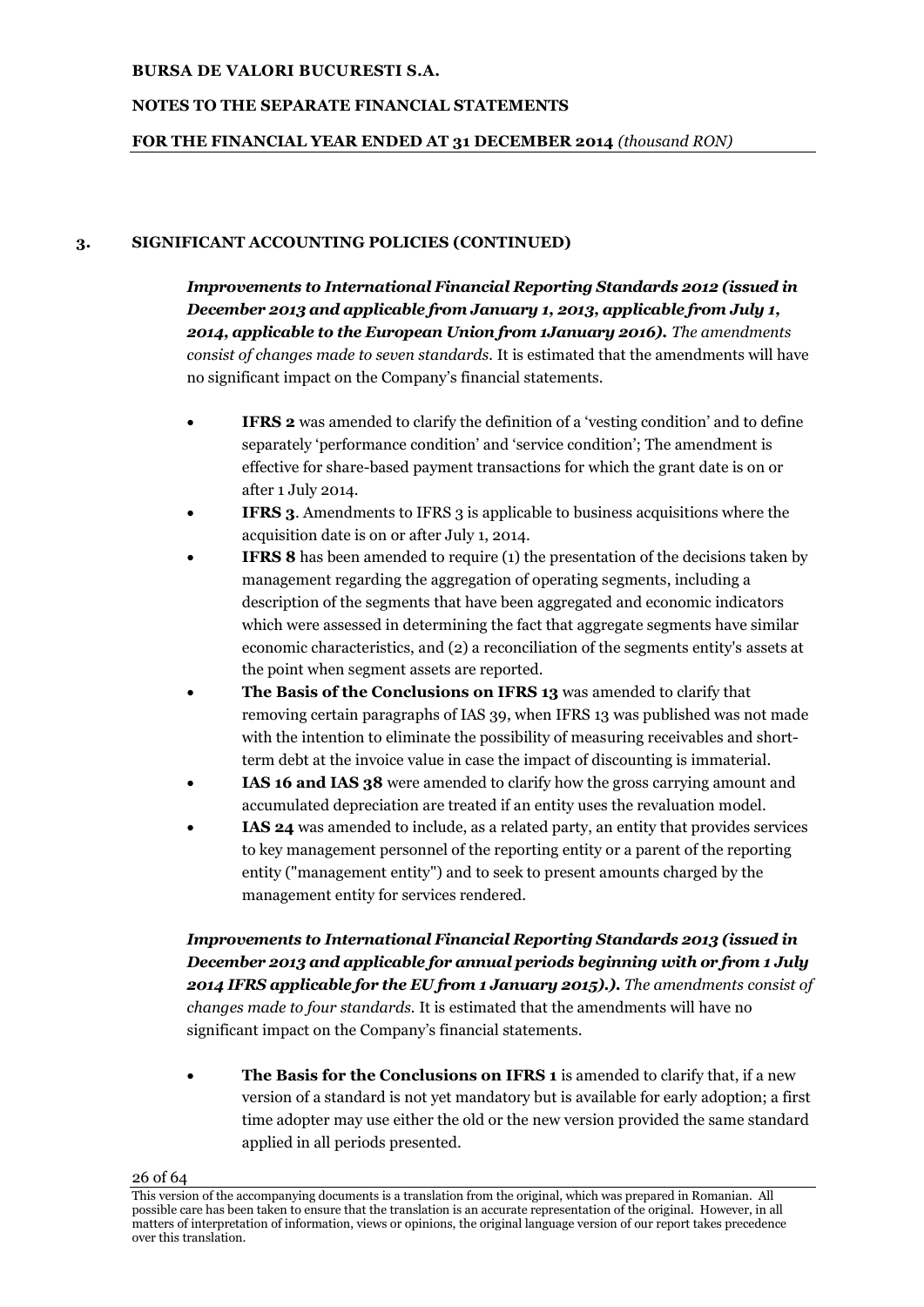# **NOTES TO THE SEPARATE FINANCIAL STATEMENTS**

# **FOR THE FINANCIAL YEAR ENDED AT 31 DECEMBER 2014** *(thousand RON)*

# **3. SIGNIFICANT ACCOUNTING POLICIES (CONTINUED)**

*Improvements to International Financial Reporting Standards 2012 (issued in December 2013 and applicable from January 1, 2013, applicable from July 1, 2014, applicable to the European Union from 1January 2016). The amendments consist of changes made to seven standards.* It is estimated that the amendments will have no significant impact on the Company's financial statements.

- **IFRS 2** was amended to clarify the definition of a 'vesting condition' and to define separately 'performance condition' and 'service condition'; The amendment is effective for share-based payment transactions for which the grant date is on or after 1 July 2014.
- **IFRS 3**. Amendments to IFRS 3 is applicable to business acquisitions where the acquisition date is on or after July 1, 2014.
- **IFRS 8** has been amended to require (1) the presentation of the decisions taken by management regarding the aggregation of operating segments, including a description of the segments that have been aggregated and economic indicators which were assessed in determining the fact that aggregate segments have similar economic characteristics, and (2) a reconciliation of the segments entity's assets at the point when segment assets are reported.
- **The Basis of the Conclusions on IFRS 13** was amended to clarify that removing certain paragraphs of IAS 39, when IFRS 13 was published was not made with the intention to eliminate the possibility of measuring receivables and shortterm debt at the invoice value in case the impact of discounting is immaterial.
- **IAS 16 and IAS 38** were amended to clarify how the gross carrying amount and accumulated depreciation are treated if an entity uses the revaluation model.
- **IAS 24** was amended to include, as a related party, an entity that provides services to key management personnel of the reporting entity or a parent of the reporting entity ("management entity") and to seek to present amounts charged by the management entity for services rendered.

*Improvements to International Financial Reporting Standards 2013 (issued in December 2013 and applicable for annual periods beginning with or from 1 July 2014 IFRS applicable for the EU from 1 January 2015).). The amendments consist of changes made to four standards.* It is estimated that the amendments will have no significant impact on the Company's financial statements.

 **The Basis for the Conclusions on IFRS 1** is amended to clarify that, if a new version of a standard is not yet mandatory but is available for early adoption; a first time adopter may use either the old or the new version provided the same standard applied in all periods presented.

This version of the accompanying documents is a translation from the original, which was prepared in Romanian. All possible care has been taken to ensure that the translation is an accurate representation of the original. However, in all matters of interpretation of information, views or opinions, the original language version of our report takes precedence over this translation.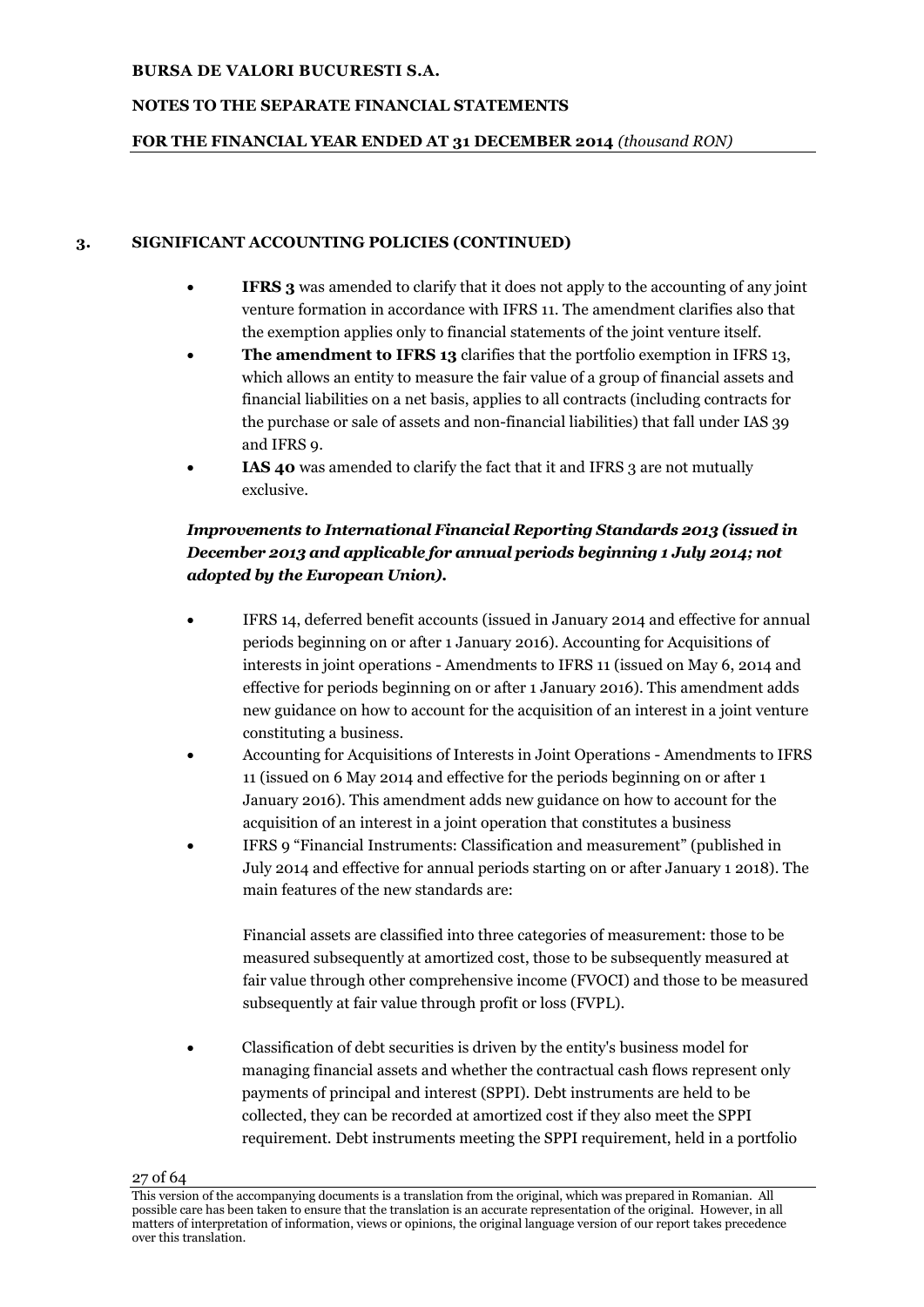# **NOTES TO THE SEPARATE FINANCIAL STATEMENTS**

# **FOR THE FINANCIAL YEAR ENDED AT 31 DECEMBER 2014** *(thousand RON)*

# **3. SIGNIFICANT ACCOUNTING POLICIES (CONTINUED)**

- **IFRS 3** was amended to clarify that it does not apply to the accounting of any joint venture formation in accordance with IFRS 11. The amendment clarifies also that the exemption applies only to financial statements of the joint venture itself.
- **The amendment to IFRS 13** clarifies that the portfolio exemption in IFRS 13, which allows an entity to measure the fair value of a group of financial assets and financial liabilities on a net basis, applies to all contracts (including contracts for the purchase or sale of assets and non-financial liabilities) that fall under IAS 39 and IFRS 9.
- **IAS 40** was amended to clarify the fact that it and IFRS 3 are not mutually exclusive.

# *Improvements to International Financial Reporting Standards 2013 (issued in December 2013 and applicable for annual periods beginning 1 July 2014; not adopted by the European Union).*

- IFRS 14, deferred benefit accounts (issued in January 2014 and effective for annual periods beginning on or after 1 January 2016). Accounting for Acquisitions of interests in joint operations - Amendments to IFRS 11 (issued on May 6, 2014 and effective for periods beginning on or after 1 January 2016). This amendment adds new guidance on how to account for the acquisition of an interest in a joint venture constituting a business.
- Accounting for Acquisitions of Interests in Joint Operations Amendments to IFRS 11 (issued on 6 May 2014 and effective for the periods beginning on or after 1 January 2016). This amendment adds new guidance on how to account for the acquisition of an interest in a joint operation that constitutes a business
- IFRS 9 "Financial Instruments: Classification and measurement" (published in July 2014 and effective for annual periods starting on or after January 1 2018). The main features of the new standards are:

Financial assets are classified into three categories of measurement: those to be measured subsequently at amortized cost, those to be subsequently measured at fair value through other comprehensive income (FVOCI) and those to be measured subsequently at fair value through profit or loss (FVPL).

 Classification of debt securities is driven by the entity's business model for managing financial assets and whether the contractual cash flows represent only payments of principal and interest (SPPI). Debt instruments are held to be collected, they can be recorded at amortized cost if they also meet the SPPI requirement. Debt instruments meeting the SPPI requirement, held in a portfolio

This version of the accompanying documents is a translation from the original, which was prepared in Romanian. All possible care has been taken to ensure that the translation is an accurate representation of the original. However, in all matters of interpretation of information, views or opinions, the original language version of our report takes precedence over this translation.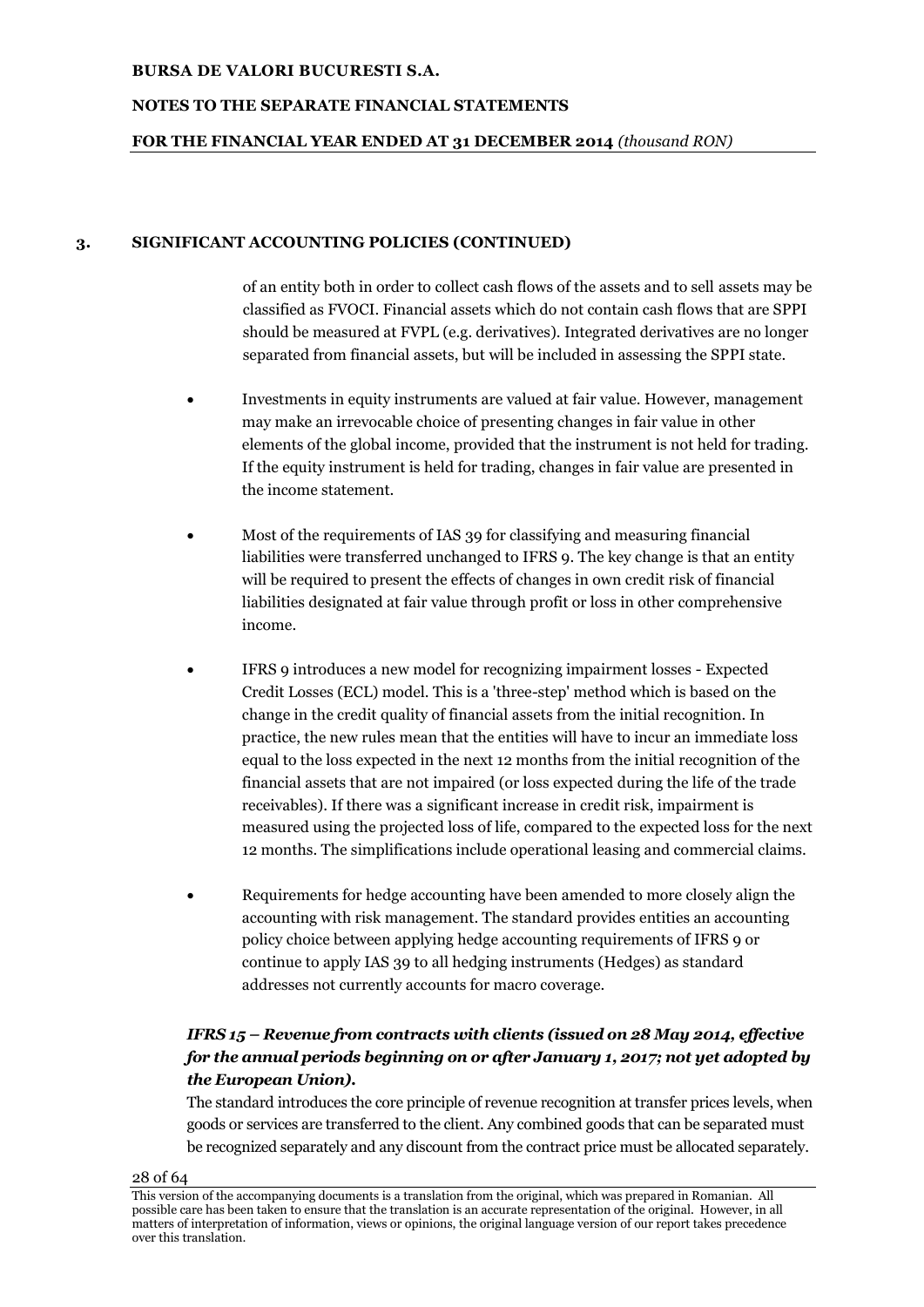# **NOTES TO THE SEPARATE FINANCIAL STATEMENTS**

# **FOR THE FINANCIAL YEAR ENDED AT 31 DECEMBER 2014** *(thousand RON)*

# **3. SIGNIFICANT ACCOUNTING POLICIES (CONTINUED)**

of an entity both in order to collect cash flows of the assets and to sell assets may be classified as FVOCI. Financial assets which do not contain cash flows that are SPPI should be measured at FVPL (e.g. derivatives). Integrated derivatives are no longer separated from financial assets, but will be included in assessing the SPPI state.

- Investments in equity instruments are valued at fair value. However, management may make an irrevocable choice of presenting changes in fair value in other elements of the global income, provided that the instrument is not held for trading. If the equity instrument is held for trading, changes in fair value are presented in the income statement.
- Most of the requirements of IAS 39 for classifying and measuring financial liabilities were transferred unchanged to IFRS 9. The key change is that an entity will be required to present the effects of changes in own credit risk of financial liabilities designated at fair value through profit or loss in other comprehensive income.
- IFRS 9 introduces a new model for recognizing impairment losses Expected Credit Losses (ECL) model. This is a 'three-step' method which is based on the change in the credit quality of financial assets from the initial recognition. In practice, the new rules mean that the entities will have to incur an immediate loss equal to the loss expected in the next 12 months from the initial recognition of the financial assets that are not impaired (or loss expected during the life of the trade receivables). If there was a significant increase in credit risk, impairment is measured using the projected loss of life, compared to the expected loss for the next 12 months. The simplifications include operational leasing and commercial claims.
- Requirements for hedge accounting have been amended to more closely align the accounting with risk management. The standard provides entities an accounting policy choice between applying hedge accounting requirements of IFRS 9 or continue to apply IAS 39 to all hedging instruments (Hedges) as standard addresses not currently accounts for macro coverage.

# *IFRS 15 – Revenue from contracts with clients (issued on 28 May 2014, effective for the annual periods beginning on or after January 1, 2017; not yet adopted by the European Union).*

The standard introduces the core principle of revenue recognition at transfer prices levels, when goods or services are transferred to the client. Any combined goods that can be separated must be recognized separately and any discount from the contract price must be allocated separately.

This version of the accompanying documents is a translation from the original, which was prepared in Romanian. All possible care has been taken to ensure that the translation is an accurate representation of the original. However, in all matters of interpretation of information, views or opinions, the original language version of our report takes precedence over this translation.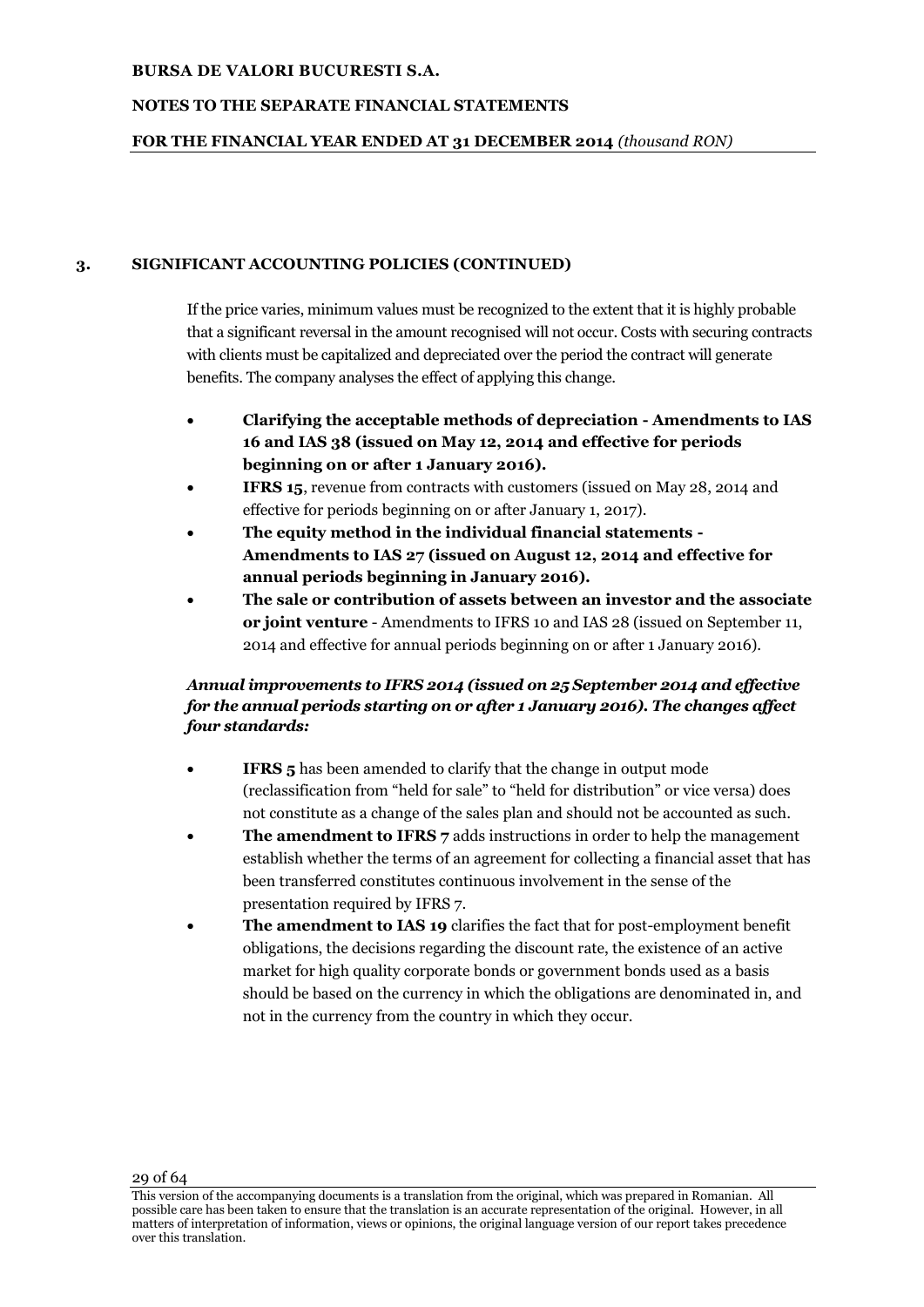# **NOTES TO THE SEPARATE FINANCIAL STATEMENTS**

# **FOR THE FINANCIAL YEAR ENDED AT 31 DECEMBER 2014** *(thousand RON)*

# **3. SIGNIFICANT ACCOUNTING POLICIES (CONTINUED)**

If the price varies, minimum values must be recognized to the extent that it is highly probable that a significant reversal in the amount recognised will not occur. Costs with securing contracts with clients must be capitalized and depreciated over the period the contract will generate benefits. The company analyses the effect of applying this change.

- **Clarifying the acceptable methods of depreciation - Amendments to IAS 16 and IAS 38 (issued on May 12, 2014 and effective for periods beginning on or after 1 January 2016).**
- **IFRS 15**, revenue from contracts with customers (issued on May 28, 2014 and effective for periods beginning on or after January 1, 2017).
- **The equity method in the individual financial statements - Amendments to IAS 27 (issued on August 12, 2014 and effective for annual periods beginning in January 2016).**
- **The sale or contribution of assets between an investor and the associate or joint venture** - Amendments to IFRS 10 and IAS 28 (issued on September 11, 2014 and effective for annual periods beginning on or after 1 January 2016).

# *Annual improvements to IFRS 2014 (issued on 25 September 2014 and effective for the annual periods starting on or after 1 January 2016). The changes affect four standards:*

- **IFRS 5** has been amended to clarify that the change in output mode (reclassification from "held for sale" to "held for distribution" or vice versa) does not constitute as a change of the sales plan and should not be accounted as such.
- **The amendment to IFRS 7** adds instructions in order to help the management establish whether the terms of an agreement for collecting a financial asset that has been transferred constitutes continuous involvement in the sense of the presentation required by IFRS 7.
- **The amendment to IAS 19** clarifies the fact that for post-employment benefit obligations, the decisions regarding the discount rate, the existence of an active market for high quality corporate bonds or government bonds used as a basis should be based on the currency in which the obligations are denominated in, and not in the currency from the country in which they occur.

This version of the accompanying documents is a translation from the original, which was prepared in Romanian. All possible care has been taken to ensure that the translation is an accurate representation of the original. However, in all matters of interpretation of information, views or opinions, the original language version of our report takes precedence over this translation.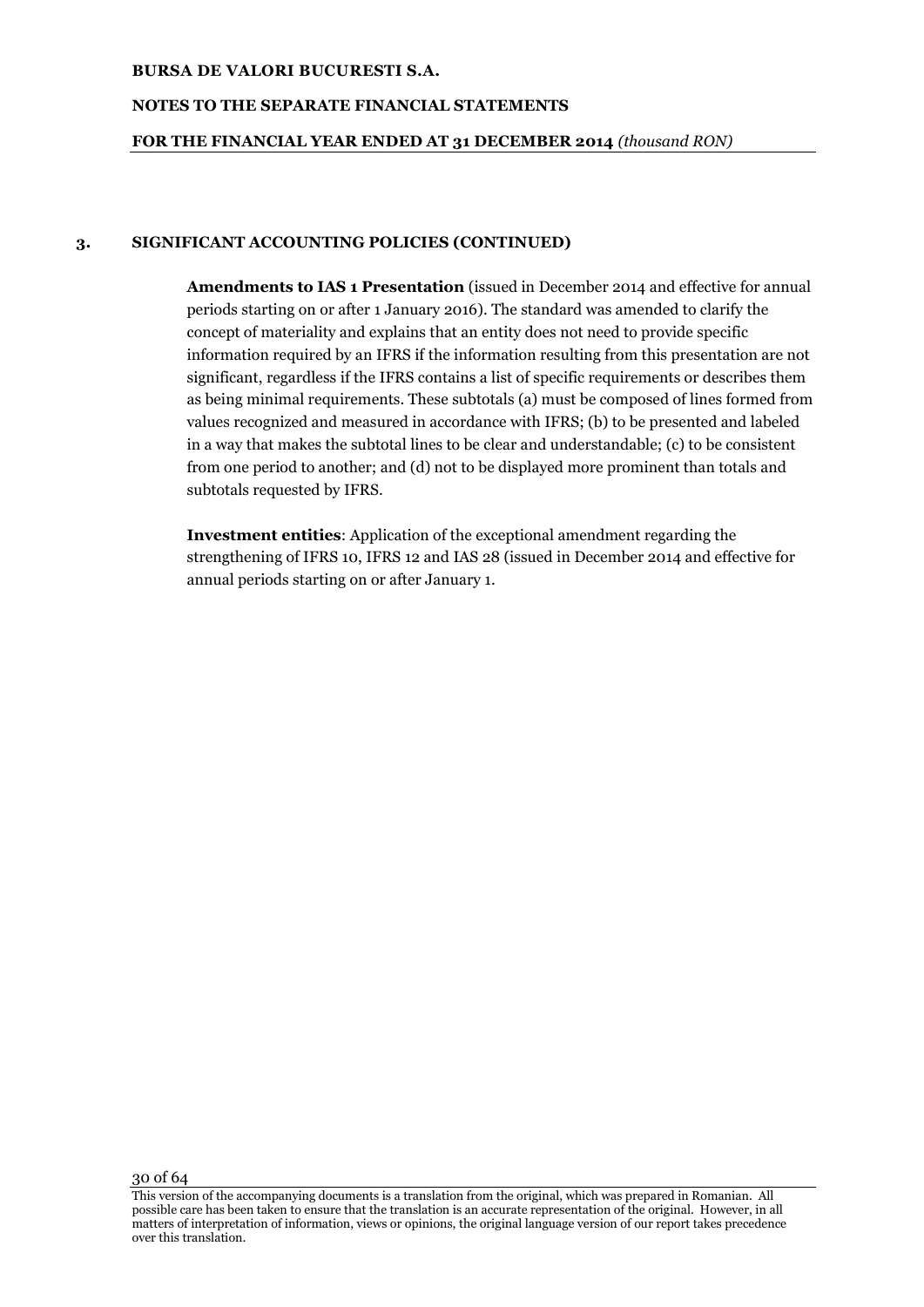# **NOTES TO THE SEPARATE FINANCIAL STATEMENTS**

### **FOR THE FINANCIAL YEAR ENDED AT 31 DECEMBER 2014** *(thousand RON)*

# **3. SIGNIFICANT ACCOUNTING POLICIES (CONTINUED)**

**Amendments to IAS 1 Presentation** (issued in December 2014 and effective for annual periods starting on or after 1 January 2016). The standard was amended to clarify the concept of materiality and explains that an entity does not need to provide specific information required by an IFRS if the information resulting from this presentation are not significant, regardless if the IFRS contains a list of specific requirements or describes them as being minimal requirements. These subtotals (a) must be composed of lines formed from values recognized and measured in accordance with IFRS; (b) to be presented and labeled in a way that makes the subtotal lines to be clear and understandable; (c) to be consistent from one period to another; and (d) not to be displayed more prominent than totals and subtotals requested by IFRS.

**Investment entities**: Application of the exceptional amendment regarding the strengthening of IFRS 10, IFRS 12 and IAS 28 (issued in December 2014 and effective for annual periods starting on or after January 1.

This version of the accompanying documents is a translation from the original, which was prepared in Romanian. All possible care has been taken to ensure that the translation is an accurate representation of the original. However, in all matters of interpretation of information, views or opinions, the original language version of our report takes precedence over this translation.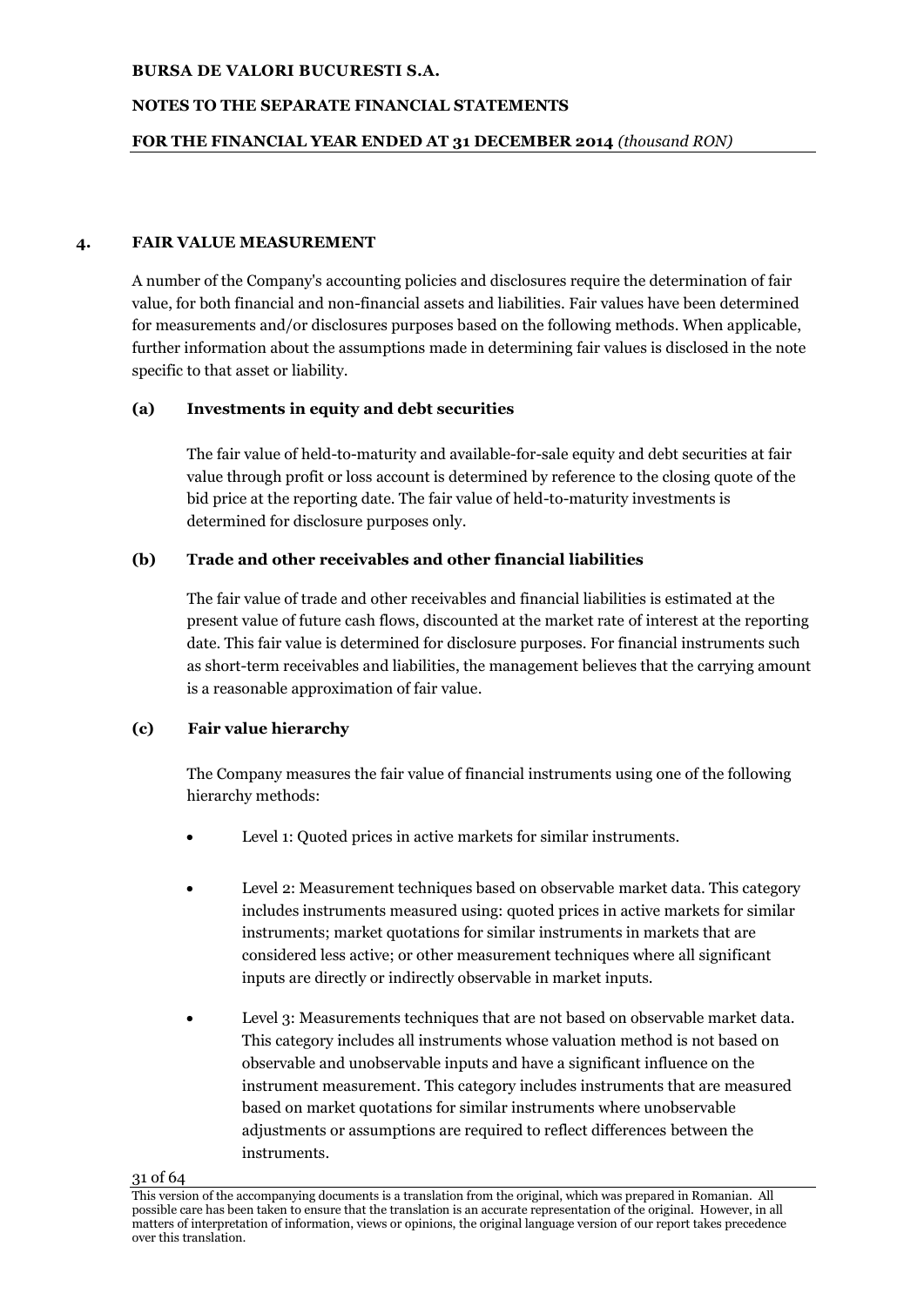# **NOTES TO THE SEPARATE FINANCIAL STATEMENTS**

# **FOR THE FINANCIAL YEAR ENDED AT 31 DECEMBER 2014** *(thousand RON)*

# **4. FAIR VALUE MEASUREMENT**

A number of the Company's accounting policies and disclosures require the determination of fair value, for both financial and non-financial assets and liabilities. Fair values have been determined for measurements and/or disclosures purposes based on the following methods. When applicable, further information about the assumptions made in determining fair values is disclosed in the note specific to that asset or liability.

# **(a) Investments in equity and debt securities**

The fair value of held-to-maturity and available-for-sale equity and debt securities at fair value through profit or loss account is determined by reference to the closing quote of the bid price at the reporting date. The fair value of held-to-maturity investments is determined for disclosure purposes only.

# **(b) Trade and other receivables and other financial liabilities**

The fair value of trade and other receivables and financial liabilities is estimated at the present value of future cash flows, discounted at the market rate of interest at the reporting date. This fair value is determined for disclosure purposes. For financial instruments such as short-term receivables and liabilities, the management believes that the carrying amount is a reasonable approximation of fair value.

# **(c) Fair value hierarchy**

The Company measures the fair value of financial instruments using one of the following hierarchy methods:

- Level 1: Quoted prices in active markets for similar instruments.
- Level 2: Measurement techniques based on observable market data. This category includes instruments measured using: quoted prices in active markets for similar instruments; market quotations for similar instruments in markets that are considered less active; or other measurement techniques where all significant inputs are directly or indirectly observable in market inputs.
- Level 3: Measurements techniques that are not based on observable market data. This category includes all instruments whose valuation method is not based on observable and unobservable inputs and have a significant influence on the instrument measurement. This category includes instruments that are measured based on market quotations for similar instruments where unobservable adjustments or assumptions are required to reflect differences between the instruments.

This version of the accompanying documents is a translation from the original, which was prepared in Romanian. All possible care has been taken to ensure that the translation is an accurate representation of the original. However, in all matters of interpretation of information, views or opinions, the original language version of our report takes precedence over this translation.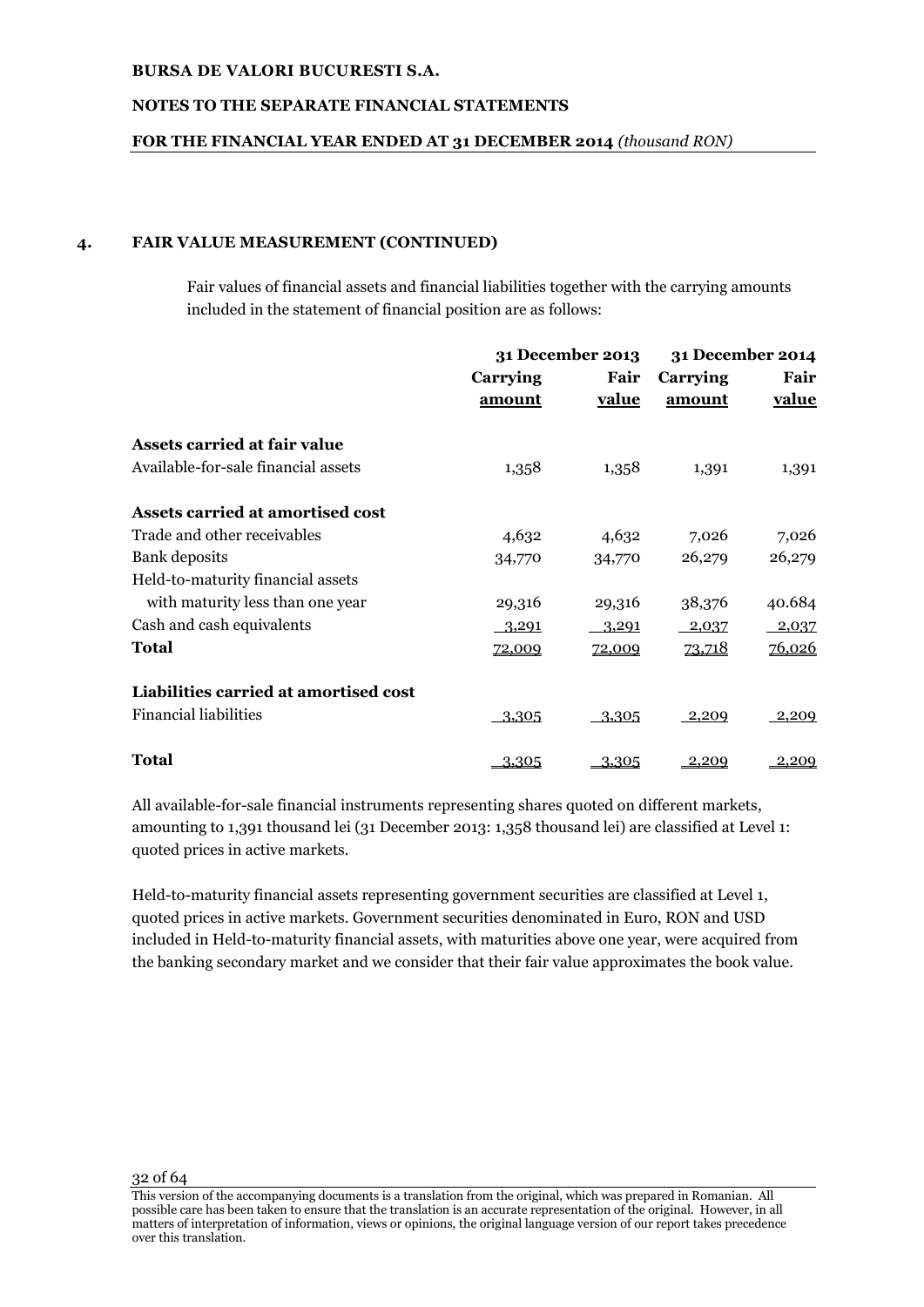# **NOTES TO THE SEPARATE FINANCIAL STATEMENTS**

# **FOR THE FINANCIAL YEAR ENDED AT 31 DECEMBER 2014** *(thousand RON)*

# **4. FAIR VALUE MEASUREMENT (CONTINUED)**

Fair values of financial assets and financial liabilities together with the carrying amounts included in the statement of financial position are as follows:

|                                       | 31 December 2013 |        | 31 December 2014 |          |
|---------------------------------------|------------------|--------|------------------|----------|
|                                       | Carrying<br>Fair |        | Carrying         | Fair     |
|                                       | amount           | value  | amount           | value    |
| Assets carried at fair value          |                  |        |                  |          |
| Available-for-sale financial assets   | 1,358            | 1,358  | 1,391            | 1,391    |
| Assets carried at amortised cost      |                  |        |                  |          |
| Trade and other receivables           | 4,632            | 4,632  | 7,026            | 7,026    |
| Bank deposits                         | 34,770           | 34,770 | 26,279           | 26,279   |
| Held-to-maturity financial assets     |                  |        |                  |          |
| with maturity less than one year      | 29,316           | 29,316 | 38,376           | 40.684   |
| Cash and cash equivalents             | $-3,291$         | 3,291  | $-2,0.37$        | $-2,037$ |
| Total                                 | 72,009           | 72,009 | <u>73,718</u>    | 76,026   |
| Liabilities carried at amortised cost |                  |        |                  |          |
| <b>Financial liabilities</b>          | .3.305           | 3,305  | 2,209            | 2,209    |
| <b>Total</b>                          | 3,305            | 3,305  | 2,209            | 2,209    |

All available-for-sale financial instruments representing shares quoted on different markets, amounting to 1,391 thousand lei (31 December 2013: 1,358 thousand lei) are classified at Level 1: quoted prices in active markets.

Held-to-maturity financial assets representing government securities are classified at Level 1, quoted prices in active markets. Government securities denominated in Euro, RON and USD included in Held-to-maturity financial assets, with maturities above one year, were acquired from the banking secondary market and we consider that their fair value approximates the book value.

This version of the accompanying documents is a translation from the original, which was prepared in Romanian. All possible care has been taken to ensure that the translation is an accurate representation of the original. However, in all matters of interpretation of information, views or opinions, the original language version of our report takes precedence over this translation.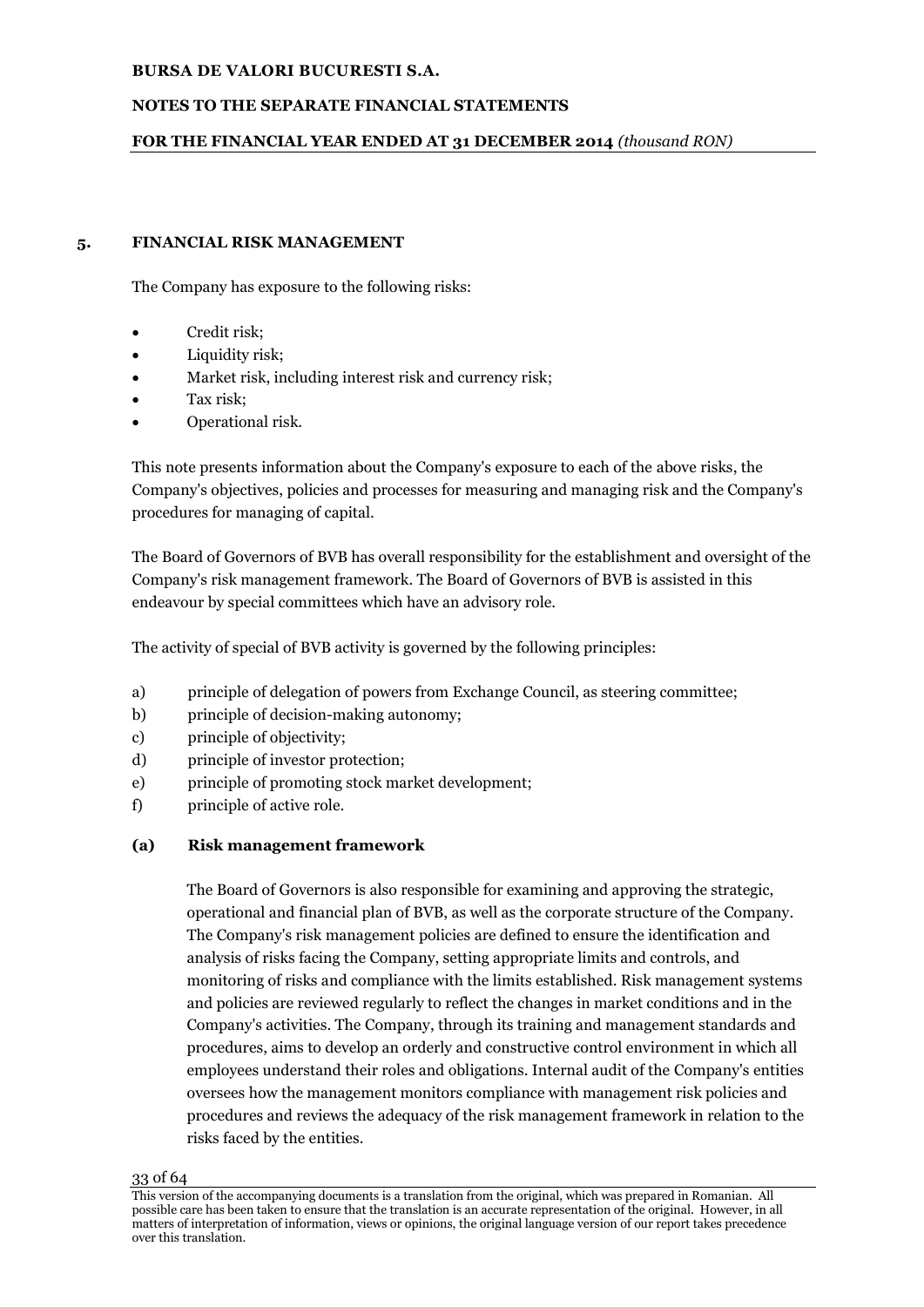# **NOTES TO THE SEPARATE FINANCIAL STATEMENTS**

# **FOR THE FINANCIAL YEAR ENDED AT 31 DECEMBER 2014** *(thousand RON)*

# **5. FINANCIAL RISK MANAGEMENT**

The Company has exposure to the following risks:

- Credit risk;
- Liquidity risk;
- Market risk, including interest risk and currency risk;
- Tax risk;
- Operational risk.

This note presents information about the Company's exposure to each of the above risks, the Company's objectives, policies and processes for measuring and managing risk and the Company's procedures for managing of capital.

The Board of Governors of BVB has overall responsibility for the establishment and oversight of the Company's risk management framework. The Board of Governors of BVB is assisted in this endeavour by special committees which have an advisory role.

The activity of special of BVB activity is governed by the following principles:

- a) principle of delegation of powers from Exchange Council, as steering committee;
- b) principle of decision-making autonomy;
- c) principle of objectivity;
- d) principle of investor protection;
- e) principle of promoting stock market development;
- f) principle of active role.

# **(a) Risk management framework**

The Board of Governors is also responsible for examining and approving the strategic, operational and financial plan of BVB, as well as the corporate structure of the Company. The Company's risk management policies are defined to ensure the identification and analysis of risks facing the Company, setting appropriate limits and controls, and monitoring of risks and compliance with the limits established. Risk management systems and policies are reviewed regularly to reflect the changes in market conditions and in the Company's activities. The Company, through its training and management standards and procedures, aims to develop an orderly and constructive control environment in which all employees understand their roles and obligations. Internal audit of the Company's entities oversees how the management monitors compliance with management risk policies and procedures and reviews the adequacy of the risk management framework in relation to the risks faced by the entities.

This version of the accompanying documents is a translation from the original, which was prepared in Romanian. All possible care has been taken to ensure that the translation is an accurate representation of the original. However, in all matters of interpretation of information, views or opinions, the original language version of our report takes precedence over this translation.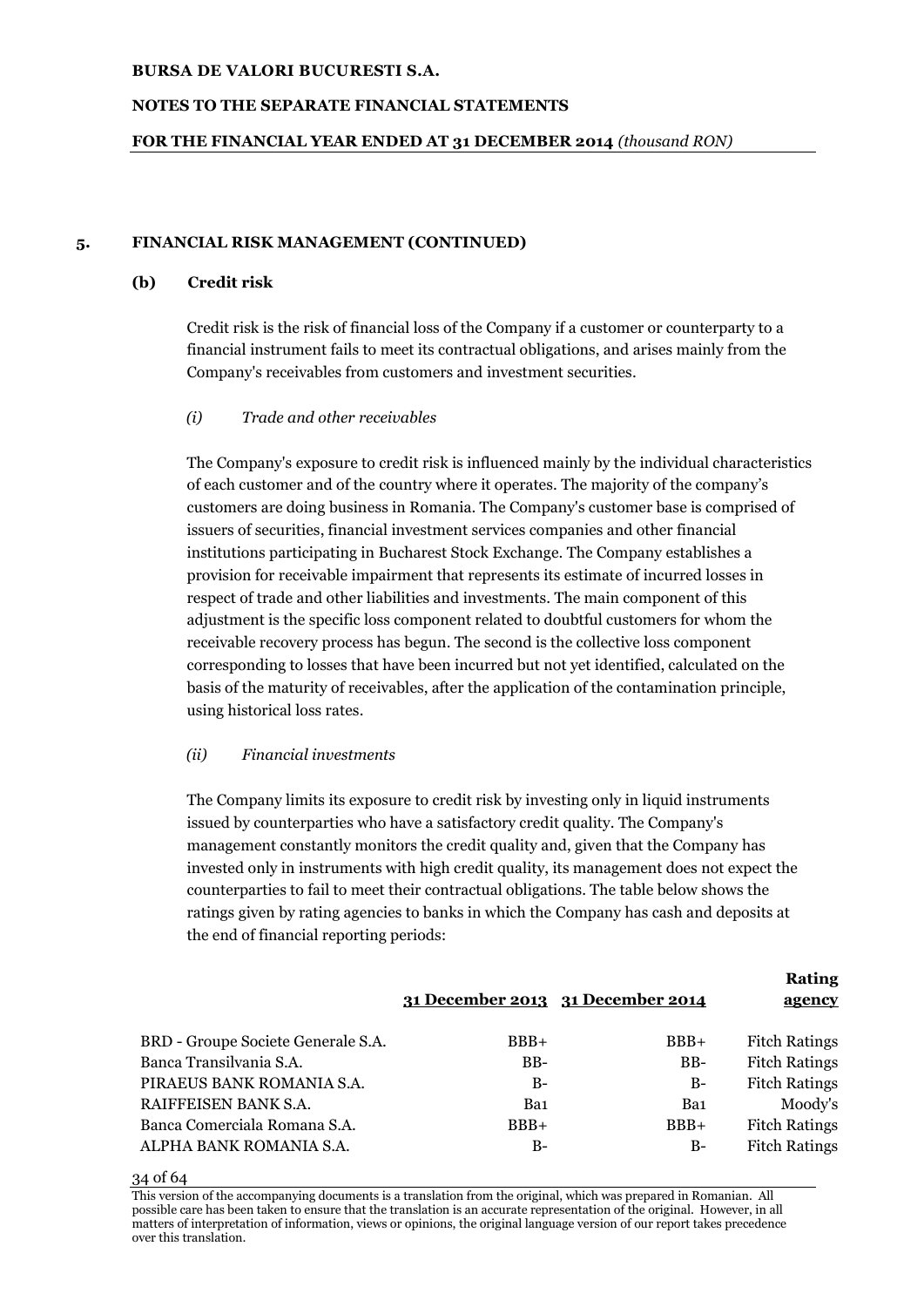# **NOTES TO THE SEPARATE FINANCIAL STATEMENTS**

# **FOR THE FINANCIAL YEAR ENDED AT 31 DECEMBER 2014** *(thousand RON)*

# **5. FINANCIAL RISK MANAGEMENT (CONTINUED)**

# **(b) Credit risk**

Credit risk is the risk of financial loss of the Company if a customer or counterparty to a financial instrument fails to meet its contractual obligations, and arises mainly from the Company's receivables from customers and investment securities.

# *(i) Trade and other receivables*

The Company's exposure to credit risk is influenced mainly by the individual characteristics of each customer and of the country where it operates. The majority of the company's customers are doing business in Romania. The Company's customer base is comprised of issuers of securities, financial investment services companies and other financial institutions participating in Bucharest Stock Exchange. The Company establishes a provision for receivable impairment that represents its estimate of incurred losses in respect of trade and other liabilities and investments. The main component of this adjustment is the specific loss component related to doubtful customers for whom the receivable recovery process has begun. The second is the collective loss component corresponding to losses that have been incurred but not yet identified, calculated on the basis of the maturity of receivables, after the application of the contamination principle, using historical loss rates.

# *(ii) Financial investments*

The Company limits its exposure to credit risk by investing only in liquid instruments issued by counterparties who have a satisfactory credit quality. The Company's management constantly monitors the credit quality and, given that the Company has invested only in instruments with high credit quality, its management does not expect the counterparties to fail to meet their contractual obligations. The table below shows the ratings given by rating agencies to banks in which the Company has cash and deposits at the end of financial reporting periods:

|                                    | 31 December 2013 31 December 2014 |        | <b>Rating</b><br>agency |
|------------------------------------|-----------------------------------|--------|-------------------------|
| BRD - Groupe Societe Generale S.A. | $BBB+$                            | $BBB+$ | <b>Fitch Ratings</b>    |
| Banca Transilvania S.A.            | $BB-$                             | BB-    | <b>Fitch Ratings</b>    |
| PIRAEUS BANK ROMANIA S.A.          | $B-$                              | $B-$   | <b>Fitch Ratings</b>    |
| RAIFFEISEN BANK S.A.               | Ba1                               | Ba1    | Moody's                 |
| Banca Comerciala Romana S.A.       | $BBB+$                            | $BBB+$ | <b>Fitch Ratings</b>    |
| ALPHA BANK ROMANIA S.A.            | $B-$                              | $B-$   | <b>Fitch Ratings</b>    |

34 of 64

This version of the accompanying documents is a translation from the original, which was prepared in Romanian. All possible care has been taken to ensure that the translation is an accurate representation of the original. However, in all matters of interpretation of information, views or opinions, the original language version of our report takes precedence over this translation.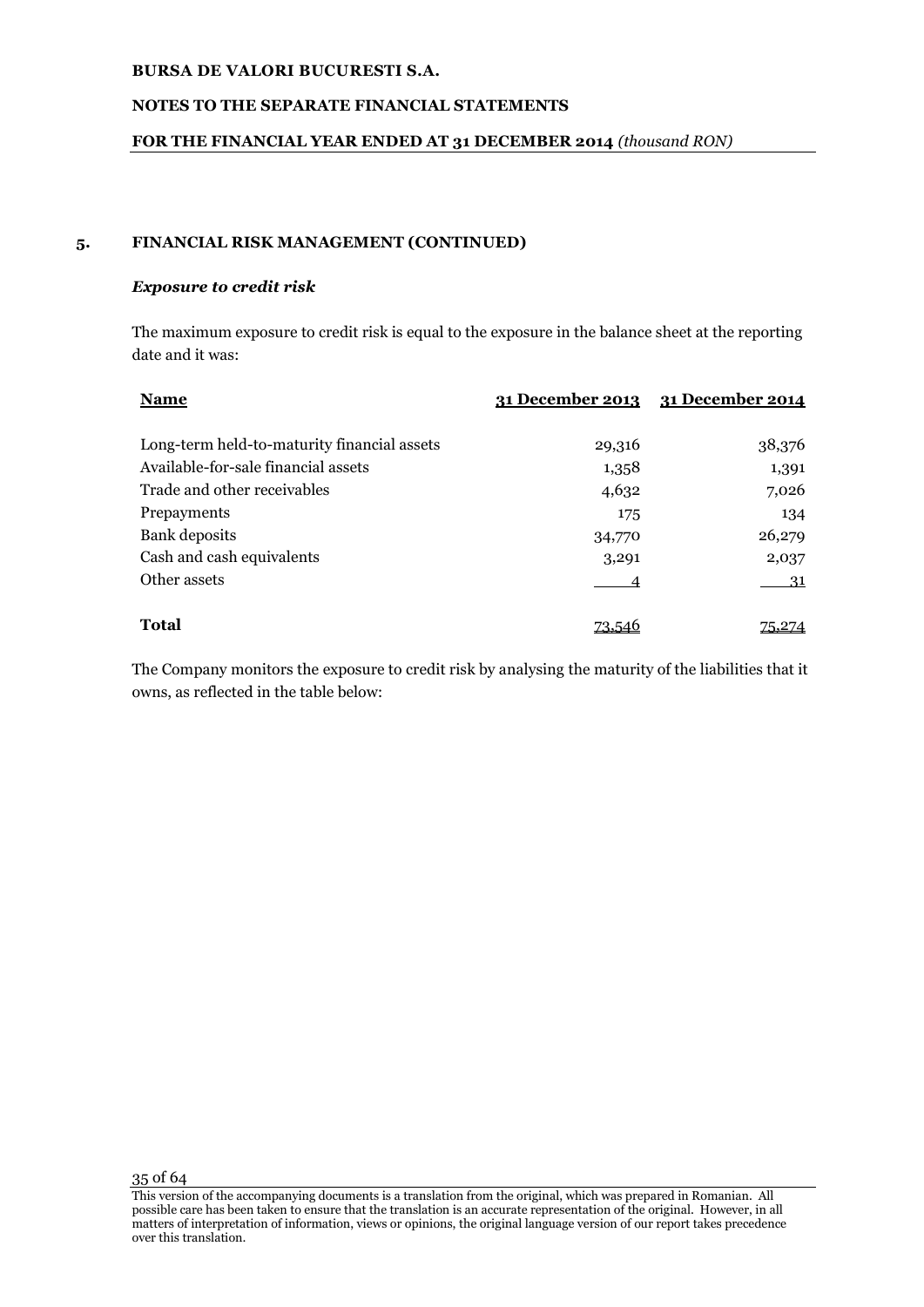# **NOTES TO THE SEPARATE FINANCIAL STATEMENTS**

# **FOR THE FINANCIAL YEAR ENDED AT 31 DECEMBER 2014** *(thousand RON)*

# **5. FINANCIAL RISK MANAGEMENT (CONTINUED)**

# *Exposure to credit risk*

The maximum exposure to credit risk is equal to the exposure in the balance sheet at the reporting date and it was:

| <b>Name</b>                                 |        | 31 December 2013 31 December 2014 |
|---------------------------------------------|--------|-----------------------------------|
| Long-term held-to-maturity financial assets | 29,316 | 38,376                            |
| Available-for-sale financial assets         | 1,358  | 1,391                             |
| Trade and other receivables                 | 4,632  | 7,026                             |
| Prepayments                                 | 175    | 134                               |
| Bank deposits                               | 34,770 | 26,279                            |
| Cash and cash equivalents                   | 3,291  | 2,037                             |
| Other assets                                |        | - 31                              |
| <b>Total</b>                                |        | 75,274                            |

The Company monitors the exposure to credit risk by analysing the maturity of the liabilities that it owns, as reflected in the table below:

This version of the accompanying documents is a translation from the original, which was prepared in Romanian. All possible care has been taken to ensure that the translation is an accurate representation of the original. However, in all matters of interpretation of information, views or opinions, the original language version of our report takes precedence over this translation.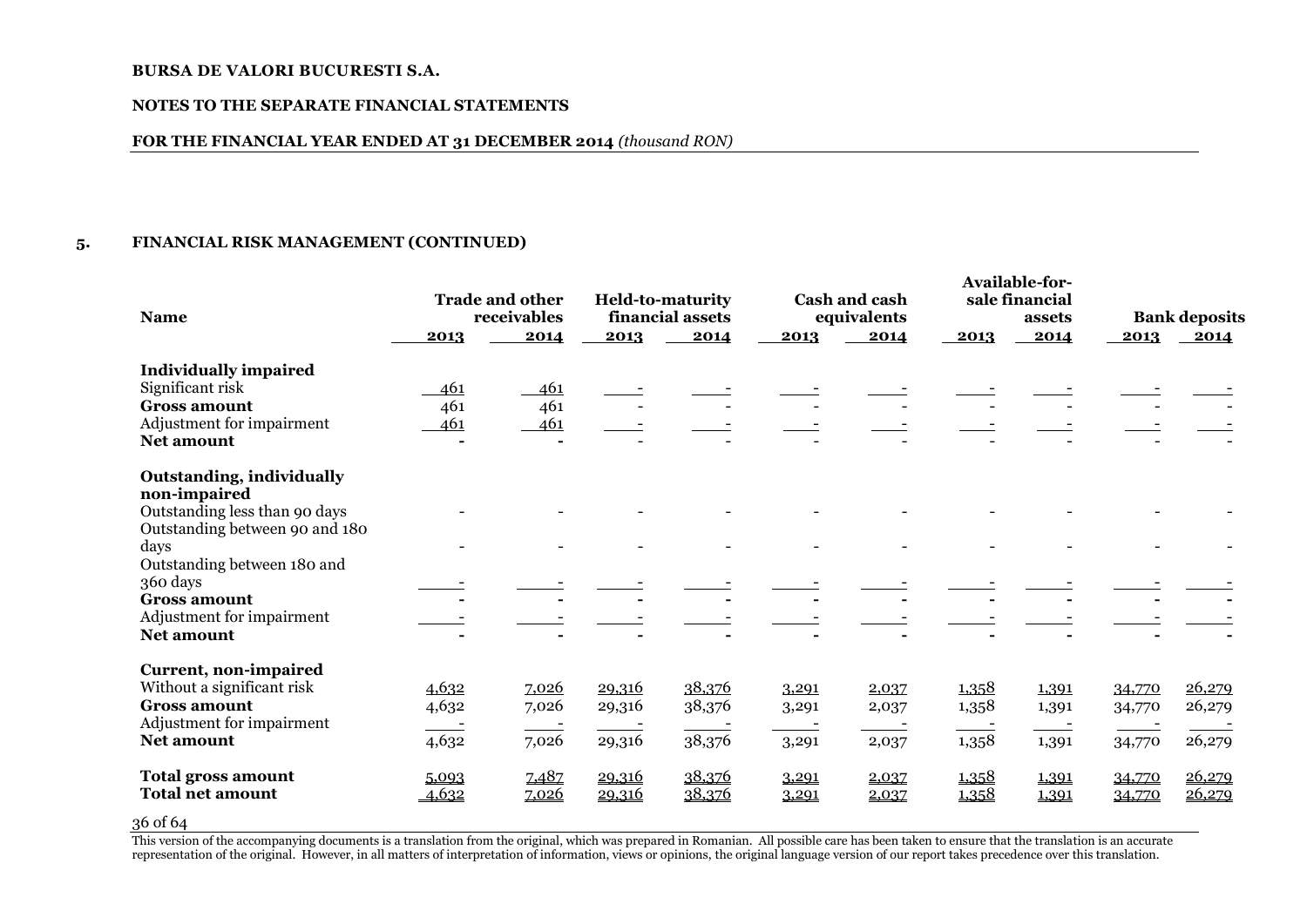#### **NOTES TO THE SEPARATE FINANCIAL STATEMENTS**

#### **FOR THE FINANCIAL YEAR ENDED AT 31 DECEMBER 2014** *(thousand RON)*

# **5. FINANCIAL RISK MANAGEMENT (CONTINUED)**

| <b>Name</b>                                                     |                | <b>Trade and other</b><br>receivables |                         | <b>Held-to-maturity</b><br>financial assets |                | Cash and cash<br>equivalents |                | Available-for-<br>sale financial<br>assets |                  | <b>Bank deposits</b> |
|-----------------------------------------------------------------|----------------|---------------------------------------|-------------------------|---------------------------------------------|----------------|------------------------------|----------------|--------------------------------------------|------------------|----------------------|
|                                                                 | 2013           | 2014                                  | 2013                    | 2014                                        | 2013           | 2014                         | 2013           | 2014                                       | 2013             | 2014                 |
| <b>Individually impaired</b>                                    |                |                                       |                         |                                             |                |                              |                |                                            |                  |                      |
| Significant risk                                                | 461            | 461                                   |                         |                                             |                |                              |                |                                            |                  |                      |
| <b>Gross amount</b>                                             | 461            | 461                                   |                         |                                             |                |                              |                |                                            |                  |                      |
| Adjustment for impairment                                       | 461            | 461                                   |                         |                                             |                |                              |                |                                            |                  |                      |
| <b>Net amount</b>                                               |                |                                       |                         |                                             |                |                              |                |                                            |                  |                      |
| <b>Outstanding, individually</b><br>non-impaired                |                |                                       |                         |                                             |                |                              |                |                                            |                  |                      |
| Outstanding less than 90 days<br>Outstanding between 90 and 180 |                |                                       |                         |                                             |                |                              |                |                                            |                  |                      |
| days<br>Outstanding between 180 and                             |                |                                       |                         |                                             |                |                              |                |                                            |                  |                      |
| 360 days                                                        |                |                                       |                         |                                             |                |                              |                |                                            |                  |                      |
| <b>Gross amount</b>                                             |                |                                       |                         |                                             |                |                              |                |                                            |                  |                      |
| Adjustment for impairment                                       |                |                                       |                         |                                             |                |                              |                |                                            |                  |                      |
| <b>Net amount</b>                                               |                |                                       |                         |                                             |                |                              |                |                                            |                  |                      |
| Current, non-impaired                                           |                |                                       |                         |                                             |                |                              |                |                                            |                  |                      |
| Without a significant risk                                      | 4,632          | 7,026                                 | 29,316                  | 38,376                                      | 3,291          | 2,037                        | 1,358          | 1,391                                      | 34,770           | 26,279               |
| <b>Gross amount</b>                                             | 4,632          | 7,026                                 | 29,316                  | 38,376                                      | 3,291          | 2,037                        | 1,358          | 1,391                                      | 34,770           | 26,279               |
| Adjustment for impairment                                       |                |                                       |                         |                                             |                |                              |                |                                            |                  |                      |
| <b>Net amount</b>                                               | 4,632          | 7,026                                 | 29,316                  | 38,376                                      | 3,291          | 2,037                        | 1,358          | 1,391                                      | 34,770           | 26,279               |
| <b>Total gross amount</b><br><b>Total net amount</b>            | 5,093<br>4,632 | 7,487<br>7,026                        | <u>29,316</u><br>29,316 | 38,376<br>38,376                            | 3,291<br>3,291 | 2,037<br>2,037               | 1,358<br>1,358 | 1,391<br>1,391                             | 34,770<br>34,770 | 26,279<br>26,279     |

# 36 of 64

This version of the accompanying documents is a translation from the original, which was prepared in Romanian. All possible care has been taken to ensure that the translation is an accurate representation of the original. However, in all matters of interpretation of information, views or opinions, the original language version of our report takes precedence over this translation.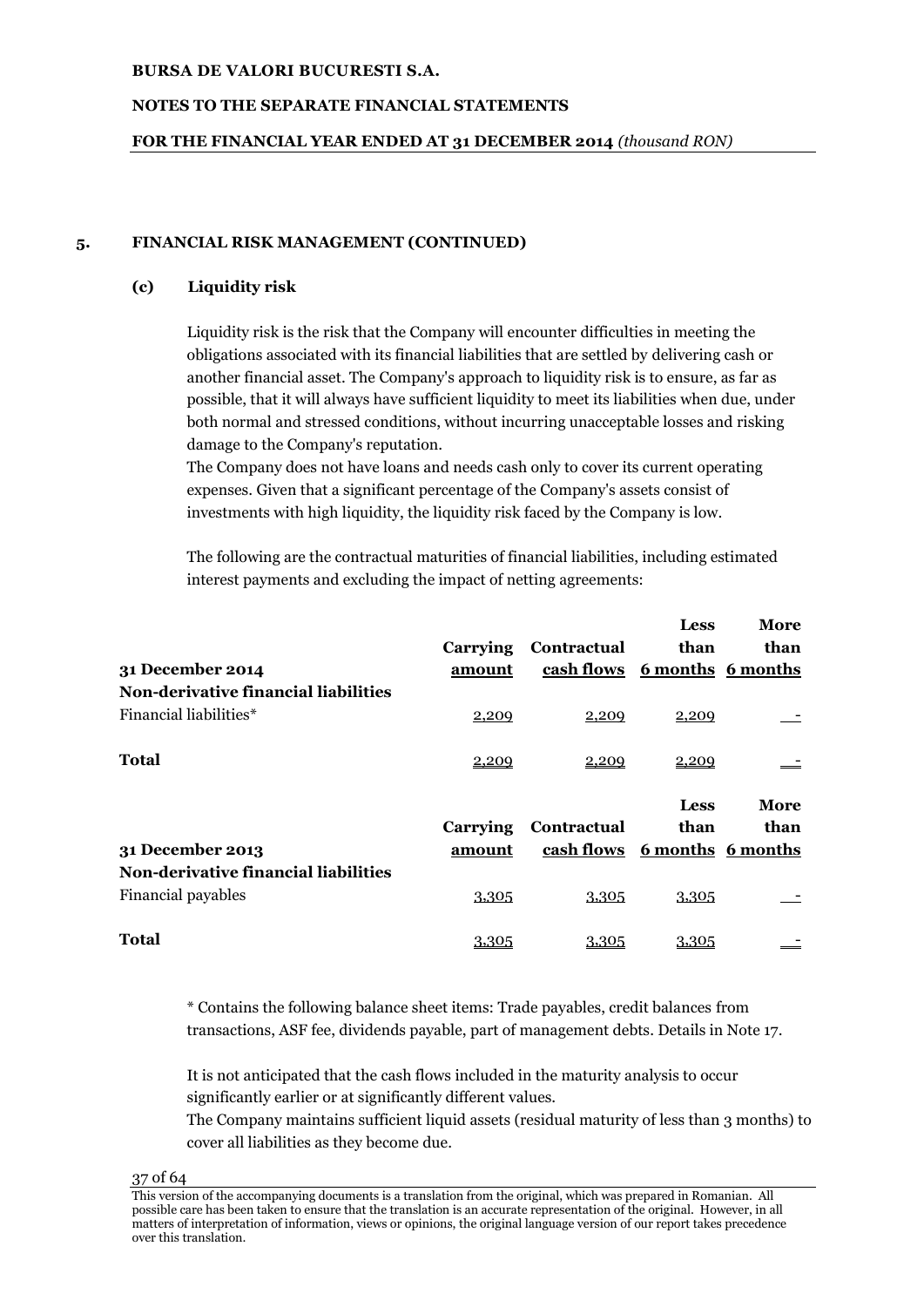# **NOTES TO THE SEPARATE FINANCIAL STATEMENTS**

# **FOR THE FINANCIAL YEAR ENDED AT 31 DECEMBER 2014** *(thousand RON)*

# **5. FINANCIAL RISK MANAGEMENT (CONTINUED)**

# **(c) Liquidity risk**

Liquidity risk is the risk that the Company will encounter difficulties in meeting the obligations associated with its financial liabilities that are settled by delivering cash or another financial asset. The Company's approach to liquidity risk is to ensure, as far as possible, that it will always have sufficient liquidity to meet its liabilities when due, under both normal and stressed conditions, without incurring unacceptable losses and risking damage to the Company's reputation.

The Company does not have loans and needs cash only to cover its current operating expenses. Given that a significant percentage of the Company's assets consist of investments with high liquidity, the liquidity risk faced by the Company is low.

The following are the contractual maturities of financial liabilities, including estimated interest payments and excluding the impact of netting agreements:

| 31 December 2014<br>Non-derivative financial liabilities                       | <b>Carrying</b><br>amount          | <b>Contractual</b><br>cash flows 6 months 6 months          | <b>Less</b><br>than          | More<br>than |
|--------------------------------------------------------------------------------|------------------------------------|-------------------------------------------------------------|------------------------------|--------------|
| Financial liabilities*                                                         | 2,209                              | 2,209                                                       | 2,209                        |              |
| Total                                                                          | 2,209                              | 2,209                                                       | 2,209                        |              |
| 31 December 2013<br>Non-derivative financial liabilities<br>Financial payables | <b>Carrying</b><br>amount<br>3,305 | <b>Contractual</b><br>cash flows 6 months 6 months<br>3,305 | <b>Less</b><br>than<br>3,305 | More<br>than |
| Total                                                                          | 3,305                              | 3,305                                                       | 3,305                        |              |

\* Contains the following balance sheet items: Trade payables, credit balances from transactions, ASF fee, dividends payable, part of management debts. Details in Note 17.

It is not anticipated that the cash flows included in the maturity analysis to occur significantly earlier or at significantly different values.

The Company maintains sufficient liquid assets (residual maturity of less than 3 months) to cover all liabilities as they become due.

This version of the accompanying documents is a translation from the original, which was prepared in Romanian. All possible care has been taken to ensure that the translation is an accurate representation of the original. However, in all matters of interpretation of information, views or opinions, the original language version of our report takes precedence over this translation.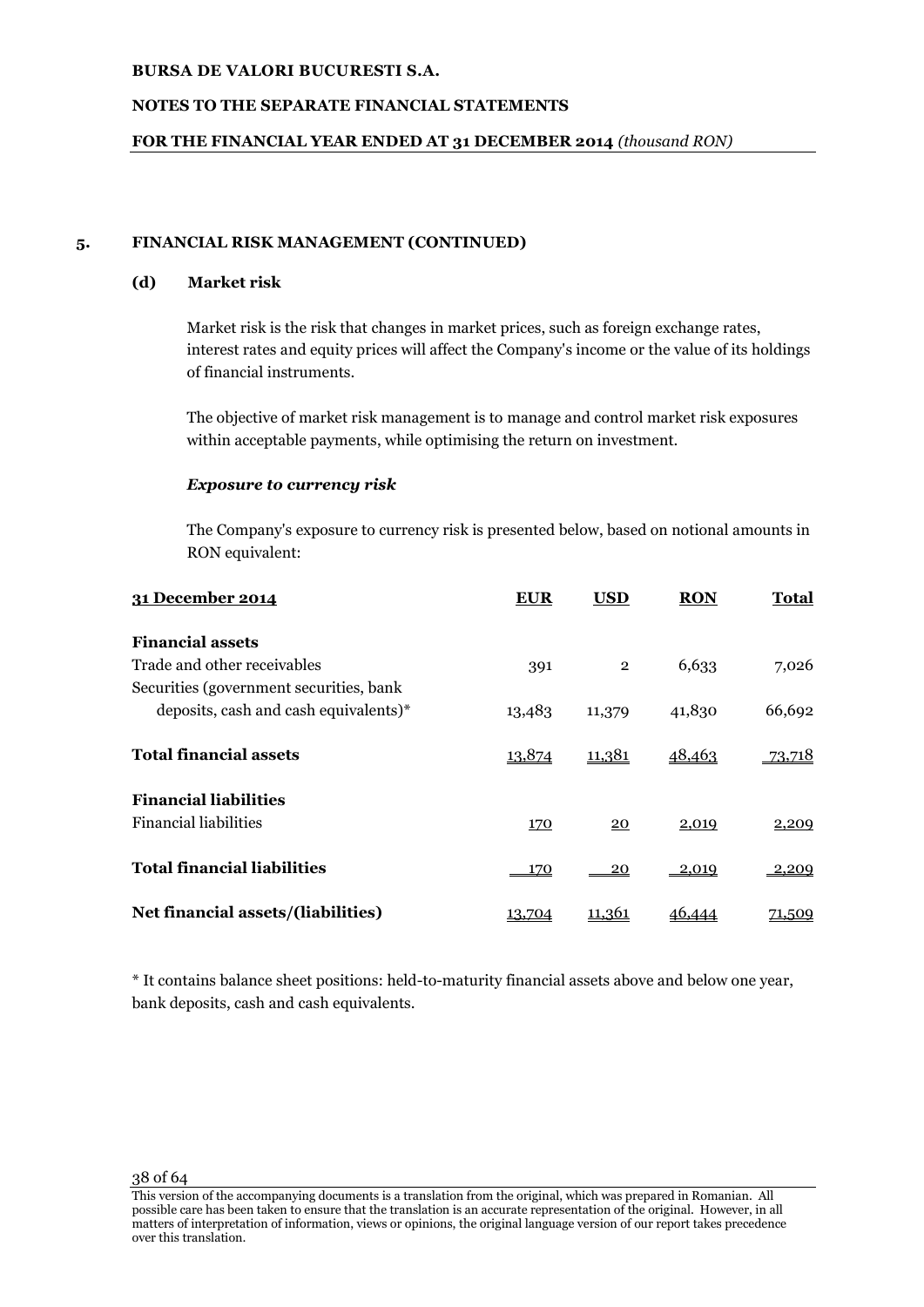# **NOTES TO THE SEPARATE FINANCIAL STATEMENTS**

# **FOR THE FINANCIAL YEAR ENDED AT 31 DECEMBER 2014** *(thousand RON)*

# **5. FINANCIAL RISK MANAGEMENT (CONTINUED)**

# **(d) Market risk**

Market risk is the risk that changes in market prices, such as foreign exchange rates, interest rates and equity prices will affect the Company's income or the value of its holdings of financial instruments.

The objective of market risk management is to manage and control market risk exposures within acceptable payments, while optimising the return on investment.

# *Exposure to currency risk*

The Company's exposure to currency risk is presented below, based on notional amounts in RON equivalent:

| 31 December 2014                        | <b>EUR</b> | <b>USD</b>     | <b>RON</b> | Total          |
|-----------------------------------------|------------|----------------|------------|----------------|
| <b>Financial assets</b>                 |            |                |            |                |
| Trade and other receivables             | 391        | $\overline{2}$ | 6,633      | 7,026          |
| Securities (government securities, bank |            |                |            |                |
| deposits, cash and cash equivalents)*   | 13,483     | 11,379         | 41,830     | 66,692         |
| <b>Total financial assets</b>           | 13,874     | 11,381         | 48,463     | <u>-73,718</u> |
| <b>Financial liabilities</b>            |            |                |            |                |
| <b>Financial liabilities</b>            | 170        | 20             | 2,019      | 2,209          |
| <b>Total financial liabilities</b>      | 170        | 20             | 2,019      | 2,209          |
| Net financial assets/(liabilities)      | 13,704     | 11,361         | 46,444     | 71,509         |

\* It contains balance sheet positions: held-to-maturity financial assets above and below one year, bank deposits, cash and cash equivalents.

This version of the accompanying documents is a translation from the original, which was prepared in Romanian. All possible care has been taken to ensure that the translation is an accurate representation of the original. However, in all matters of interpretation of information, views or opinions, the original language version of our report takes precedence over this translation.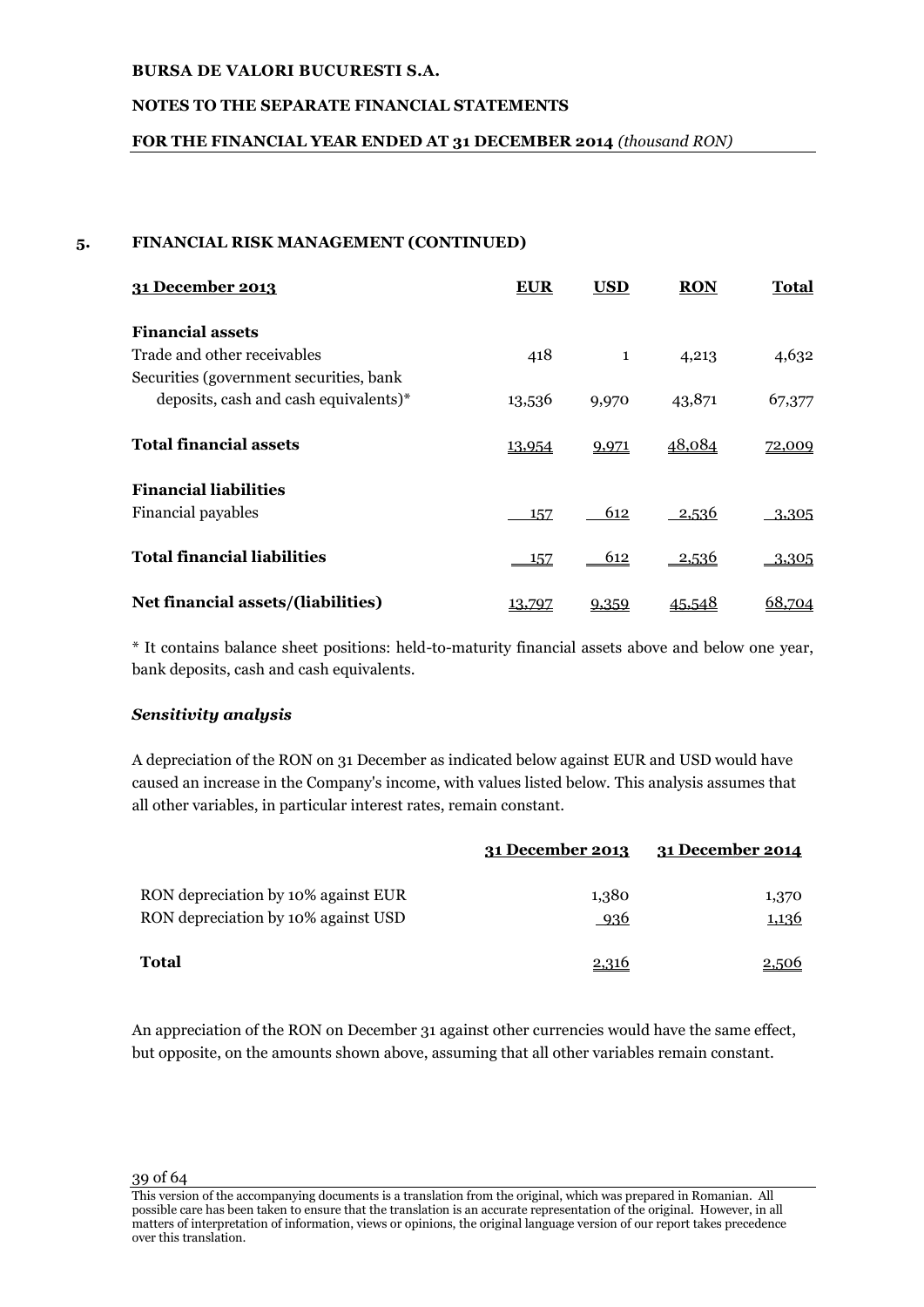# **NOTES TO THE SEPARATE FINANCIAL STATEMENTS**

# **FOR THE FINANCIAL YEAR ENDED AT 31 DECEMBER 2014** *(thousand RON)*

# **5. FINANCIAL RISK MANAGEMENT (CONTINUED)**

| 31 December 2013                         | <b>EUR</b> | <b>USD</b>   | <b>RON</b>    | Total  |
|------------------------------------------|------------|--------------|---------------|--------|
| <b>Financial assets</b>                  |            |              |               |        |
| Trade and other receivables              | 418        | $\mathbf{1}$ | 4,213         | 4,632  |
| Securities (government securities, bank) |            |              |               |        |
| deposits, cash and cash equivalents)*    | 13,536     | 9,970        | 43,871        | 67,377 |
| <b>Total financial assets</b>            | 13,954     | 9,971        | 48,084        | 72,009 |
| <b>Financial liabilities</b>             |            |              |               |        |
| Financial payables                       | 157        | 612          | 2,536         | 3,305  |
| <b>Total financial liabilities</b>       | 157        | <u>612</u>   | 2,536         | 3,305  |
| Net financial assets/(liabilities)       | 13,797     | 9.359        | <u>45.548</u> | 68,704 |

\* It contains balance sheet positions: held-to-maturity financial assets above and below one year, bank deposits, cash and cash equivalents.

# *Sensitivity analysis*

A depreciation of the RON on 31 December as indicated below against EUR and USD would have caused an increase in the Company's income, with values listed below. This analysis assumes that all other variables, in particular interest rates, remain constant.

|                                                                            | 31 December 2013    | 31 December 2014 |
|----------------------------------------------------------------------------|---------------------|------------------|
| RON depreciation by 10% against EUR<br>RON depreciation by 10% against USD | 1,380<br><u>936</u> | 1,370<br>1,136   |
| Total                                                                      | 2,316               | 2,506            |

An appreciation of the RON on December 31 against other currencies would have the same effect, but opposite, on the amounts shown above, assuming that all other variables remain constant.

This version of the accompanying documents is a translation from the original, which was prepared in Romanian. All possible care has been taken to ensure that the translation is an accurate representation of the original. However, in all matters of interpretation of information, views or opinions, the original language version of our report takes precedence over this translation.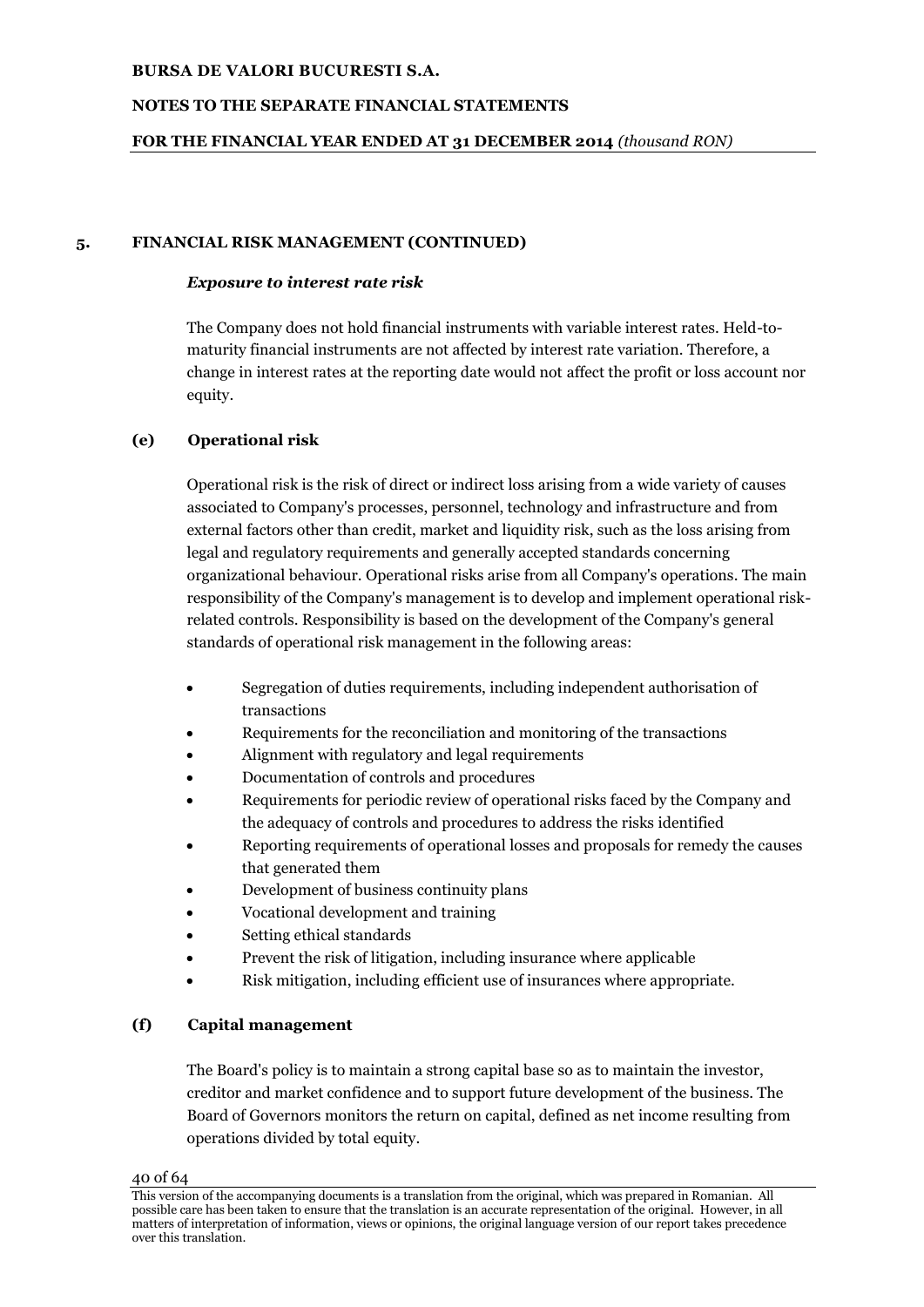# **NOTES TO THE SEPARATE FINANCIAL STATEMENTS**

# **FOR THE FINANCIAL YEAR ENDED AT 31 DECEMBER 2014** *(thousand RON)*

# **5. FINANCIAL RISK MANAGEMENT (CONTINUED)**

# *Exposure to interest rate risk*

The Company does not hold financial instruments with variable interest rates. Held-tomaturity financial instruments are not affected by interest rate variation. Therefore, a change in interest rates at the reporting date would not affect the profit or loss account nor equity.

# **(e) Operational risk**

Operational risk is the risk of direct or indirect loss arising from a wide variety of causes associated to Company's processes, personnel, technology and infrastructure and from external factors other than credit, market and liquidity risk, such as the loss arising from legal and regulatory requirements and generally accepted standards concerning organizational behaviour. Operational risks arise from all Company's operations. The main responsibility of the Company's management is to develop and implement operational riskrelated controls. Responsibility is based on the development of the Company's general standards of operational risk management in the following areas:

- Segregation of duties requirements, including independent authorisation of transactions
- Requirements for the reconciliation and monitoring of the transactions
- Alignment with regulatory and legal requirements
- Documentation of controls and procedures
- Requirements for periodic review of operational risks faced by the Company and the adequacy of controls and procedures to address the risks identified
- Reporting requirements of operational losses and proposals for remedy the causes that generated them
- Development of business continuity plans
- Vocational development and training
- Setting ethical standards
- Prevent the risk of litigation, including insurance where applicable
- Risk mitigation, including efficient use of insurances where appropriate.

# **(f) Capital management**

The Board's policy is to maintain a strong capital base so as to maintain the investor, creditor and market confidence and to support future development of the business. The Board of Governors monitors the return on capital, defined as net income resulting from operations divided by total equity.

This version of the accompanying documents is a translation from the original, which was prepared in Romanian. All possible care has been taken to ensure that the translation is an accurate representation of the original. However, in all matters of interpretation of information, views or opinions, the original language version of our report takes precedence over this translation.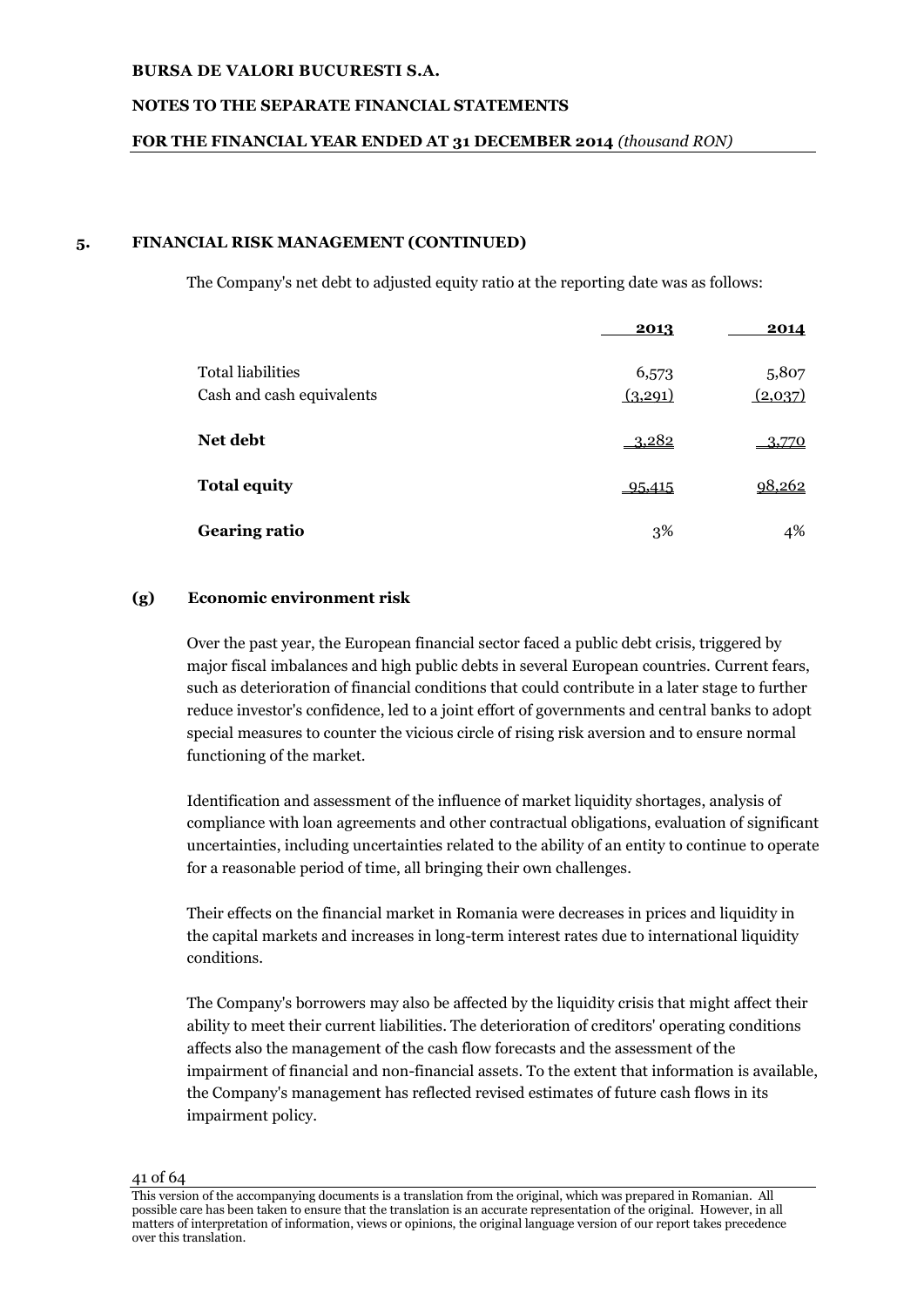# **NOTES TO THE SEPARATE FINANCIAL STATEMENTS**

### **FOR THE FINANCIAL YEAR ENDED AT 31 DECEMBER 2014** *(thousand RON)*

# **5. FINANCIAL RISK MANAGEMENT (CONTINUED)**

The Company's net debt to adjusted equity ratio at the reporting date was as follows:

|                           | 2013      | 2014     |
|---------------------------|-----------|----------|
| <b>Total liabilities</b>  | 6,573     | 5,807    |
| Cash and cash equivalents | (3,291)   | (2,0.37) |
| Net debt                  | 3,282     | 3,770    |
| <b>Total equity</b>       | $-95,415$ | 98,262   |
| <b>Gearing ratio</b>      | 3%        | 4%       |

# **(g) Economic environment risk**

Over the past year, the European financial sector faced a public debt crisis, triggered by major fiscal imbalances and high public debts in several European countries. Current fears, such as deterioration of financial conditions that could contribute in a later stage to further reduce investor's confidence, led to a joint effort of governments and central banks to adopt special measures to counter the vicious circle of rising risk aversion and to ensure normal functioning of the market.

Identification and assessment of the influence of market liquidity shortages, analysis of compliance with loan agreements and other contractual obligations, evaluation of significant uncertainties, including uncertainties related to the ability of an entity to continue to operate for a reasonable period of time, all bringing their own challenges.

Their effects on the financial market in Romania were decreases in prices and liquidity in the capital markets and increases in long-term interest rates due to international liquidity conditions.

The Company's borrowers may also be affected by the liquidity crisis that might affect their ability to meet their current liabilities. The deterioration of creditors' operating conditions affects also the management of the cash flow forecasts and the assessment of the impairment of financial and non-financial assets. To the extent that information is available, the Company's management has reflected revised estimates of future cash flows in its impairment policy.

This version of the accompanying documents is a translation from the original, which was prepared in Romanian. All possible care has been taken to ensure that the translation is an accurate representation of the original. However, in all matters of interpretation of information, views or opinions, the original language version of our report takes precedence over this translation.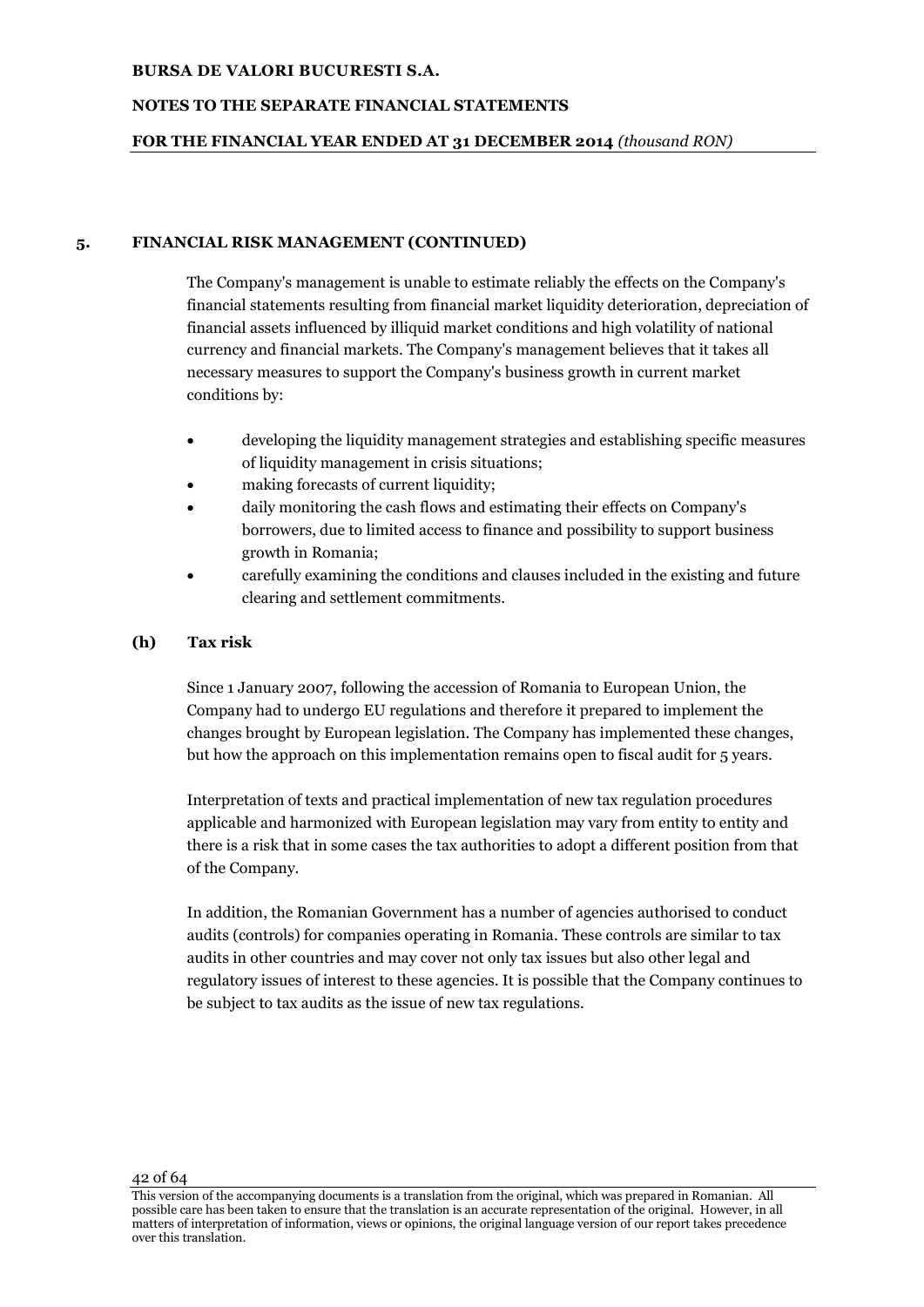# **NOTES TO THE SEPARATE FINANCIAL STATEMENTS**

# **FOR THE FINANCIAL YEAR ENDED AT 31 DECEMBER 2014** *(thousand RON)*

# **5. FINANCIAL RISK MANAGEMENT (CONTINUED)**

The Company's management is unable to estimate reliably the effects on the Company's financial statements resulting from financial market liquidity deterioration, depreciation of financial assets influenced by illiquid market conditions and high volatility of national currency and financial markets. The Company's management believes that it takes all necessary measures to support the Company's business growth in current market conditions by:

- developing the liquidity management strategies and establishing specific measures of liquidity management in crisis situations;
- making forecasts of current liquidity;
- daily monitoring the cash flows and estimating their effects on Company's borrowers, due to limited access to finance and possibility to support business growth in Romania;
- carefully examining the conditions and clauses included in the existing and future clearing and settlement commitments.

# **(h) Tax risk**

Since 1 January 2007, following the accession of Romania to European Union, the Company had to undergo EU regulations and therefore it prepared to implement the changes brought by European legislation. The Company has implemented these changes, but how the approach on this implementation remains open to fiscal audit for 5 years.

Interpretation of texts and practical implementation of new tax regulation procedures applicable and harmonized with European legislation may vary from entity to entity and there is a risk that in some cases the tax authorities to adopt a different position from that of the Company.

In addition, the Romanian Government has a number of agencies authorised to conduct audits (controls) for companies operating in Romania. These controls are similar to tax audits in other countries and may cover not only tax issues but also other legal and regulatory issues of interest to these agencies. It is possible that the Company continues to be subject to tax audits as the issue of new tax regulations.

This version of the accompanying documents is a translation from the original, which was prepared in Romanian. All possible care has been taken to ensure that the translation is an accurate representation of the original. However, in all matters of interpretation of information, views or opinions, the original language version of our report takes precedence over this translation.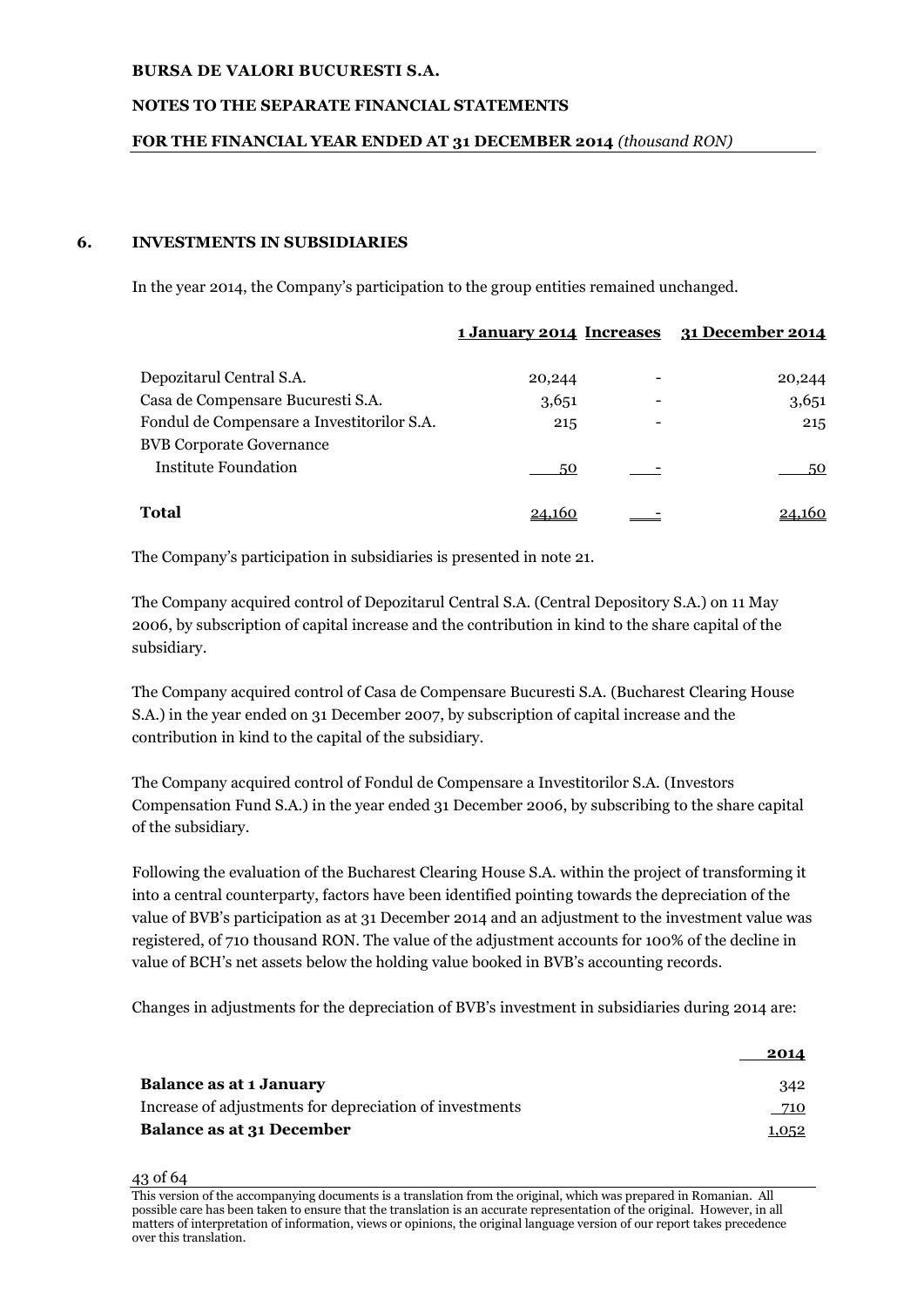# **NOTES TO THE SEPARATE FINANCIAL STATEMENTS**

# **FOR THE FINANCIAL YEAR ENDED AT 31 DECEMBER 2014** *(thousand RON)*

# **6. INVESTMENTS IN SUBSIDIARIES**

In the year 2014, the Company's participation to the group entities remained unchanged.

|                                            |        |                              | 1 January 2014 Increases 31 December 2014 |
|--------------------------------------------|--------|------------------------------|-------------------------------------------|
| Depozitarul Central S.A.                   | 20,244 | $\qquad \qquad \blacksquare$ | 20,244                                    |
| Casa de Compensare Bucuresti S.A.          | 3,651  |                              | 3,651                                     |
| Fondul de Compensare a Investitorilor S.A. | 215    | -                            | 215                                       |
| <b>BVB Corporate Governance</b>            |        |                              |                                           |
| <b>Institute Foundation</b>                | 50     |                              | 50                                        |
|                                            |        |                              |                                           |
| Total                                      |        |                              |                                           |

The Company's participation in subsidiaries is presented in note 21.

The Company acquired control of Depozitarul Central S.A. (Central Depository S.A.) on 11 May 2006, by subscription of capital increase and the contribution in kind to the share capital of the subsidiary.

The Company acquired control of Casa de Compensare Bucuresti S.A. (Bucharest Clearing House S.A.) in the year ended on 31 December 2007, by subscription of capital increase and the contribution in kind to the capital of the subsidiary.

The Company acquired control of Fondul de Compensare a Investitorilor S.A. (Investors Compensation Fund S.A.) in the year ended 31 December 2006, by subscribing to the share capital of the subsidiary.

Following the evaluation of the Bucharest Clearing House S.A. within the project of transforming it into a central counterparty, factors have been identified pointing towards the depreciation of the value of BVB's participation as at 31 December 2014 and an adjustment to the investment value was registered, of 710 thousand RON. The value of the adjustment accounts for 100% of the decline in value of BCH's net assets below the holding value booked in BVB's accounting records.

Changes in adjustments for the depreciation of BVB's investment in subsidiaries during 2014 are:

|                                                         | 2014  |
|---------------------------------------------------------|-------|
| <b>Balance as at 1 January</b>                          | 342   |
| Increase of adjustments for depreciation of investments | 710   |
| <b>Balance as at 31 December</b>                        | 1,052 |

#### 43 of 64

This version of the accompanying documents is a translation from the original, which was prepared in Romanian. All possible care has been taken to ensure that the translation is an accurate representation of the original. However, in all matters of interpretation of information, views or opinions, the original language version of our report takes precedence over this translation.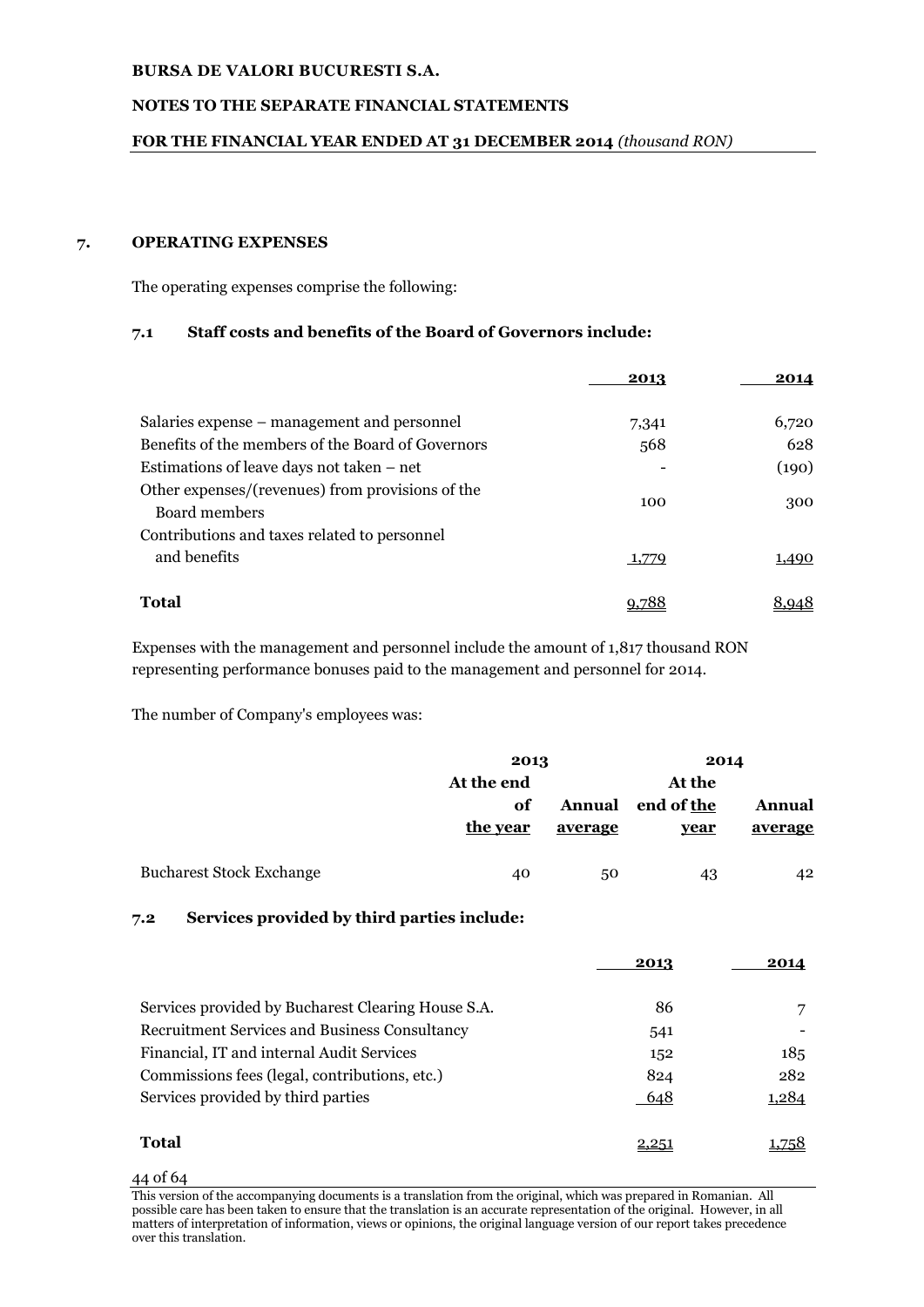# **NOTES TO THE SEPARATE FINANCIAL STATEMENTS**

### **FOR THE FINANCIAL YEAR ENDED AT 31 DECEMBER 2014** *(thousand RON)*

# **7. OPERATING EXPENSES**

The operating expenses comprise the following:

# **7.1 Staff costs and benefits of the Board of Governors include:**

|                                                                   | 2013  | 2014  |
|-------------------------------------------------------------------|-------|-------|
| Salaries expense – management and personnel                       | 7,341 | 6,720 |
| Benefits of the members of the Board of Governors                 | 568   | 628   |
| Estimations of leave days not taken – net                         |       | (190) |
| Other expenses/(revenues) from provisions of the<br>Board members | 100   | 300   |
| Contributions and taxes related to personnel                      |       |       |
| and benefits                                                      | 1,779 | 1,490 |
| Total                                                             |       |       |

Expenses with the management and personnel include the amount of 1,817 thousand RON representing performance bonuses paid to the management and personnel for 2014.

The number of Company's employees was:

|                                 |            | 2013    |                   | 2014    |
|---------------------------------|------------|---------|-------------------|---------|
|                                 | At the end |         |                   |         |
|                                 | of         |         | Annual end of the | Annual  |
|                                 | the year   | average | <u>year</u>       | average |
|                                 |            |         |                   |         |
| <b>Bucharest Stock Exchange</b> | 40         | 50      | 43                | 42      |

# **7.2 Services provided by third parties include:**

|                                                      | 2013 | 2014            |
|------------------------------------------------------|------|-----------------|
| Services provided by Bucharest Clearing House S.A.   | 86   |                 |
| <b>Recruitment Services and Business Consultancy</b> | 541  |                 |
| Financial, IT and internal Audit Services            | 152  | 18 <sub>5</sub> |
| Commissions fees (legal, contributions, etc.)        | 824  | 282             |
| Services provided by third parties                   | 648  | 1,284           |
| <b>Total</b>                                         | 2,25 |                 |

#### 44 of 64

This version of the accompanying documents is a translation from the original, which was prepared in Romanian. All possible care has been taken to ensure that the translation is an accurate representation of the original. However, in all matters of interpretation of information, views or opinions, the original language version of our report takes precedence over this translation.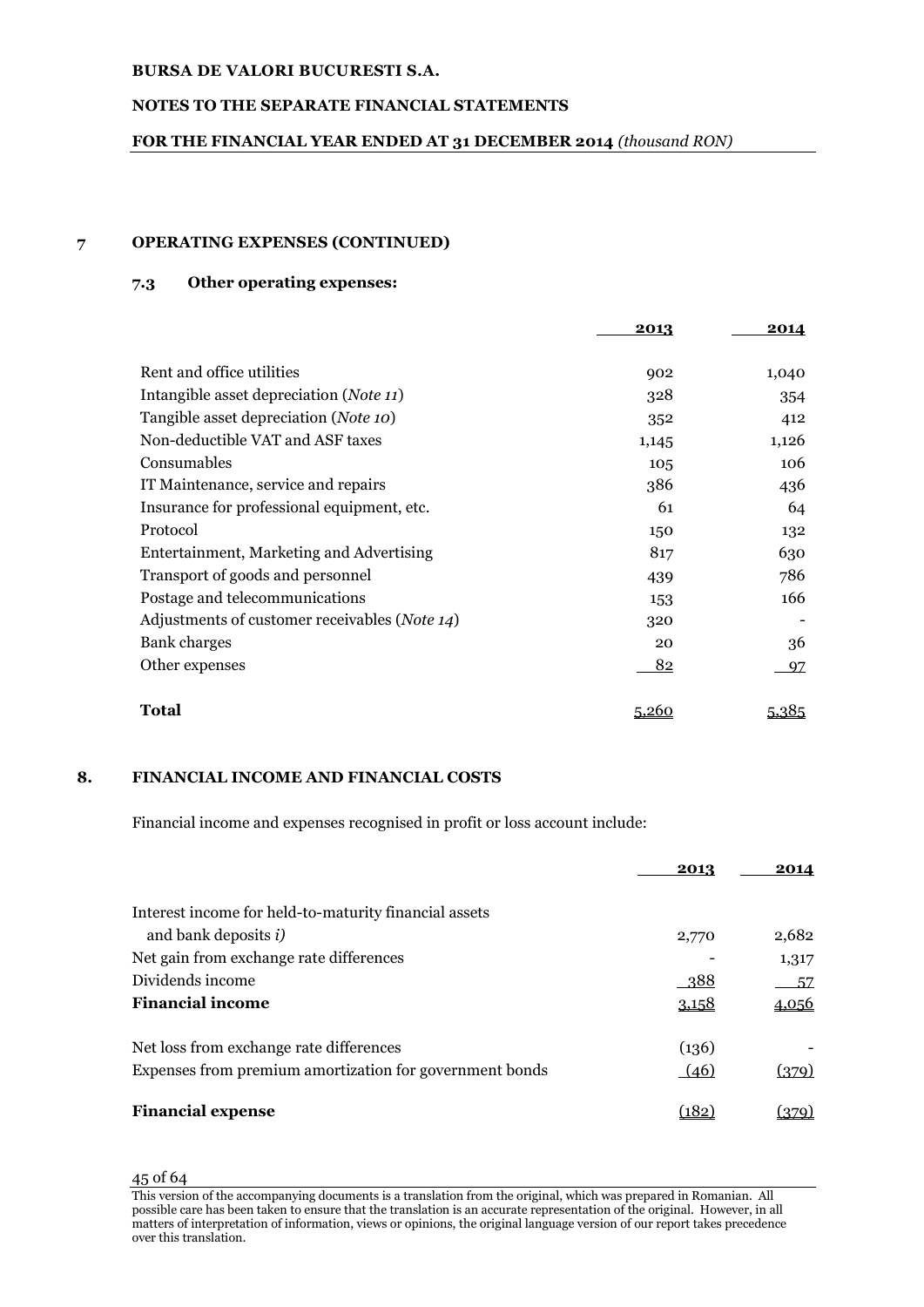# **NOTES TO THE SEPARATE FINANCIAL STATEMENTS**

# **FOR THE FINANCIAL YEAR ENDED AT 31 DECEMBER 2014** *(thousand RON)*

# **7 OPERATING EXPENSES (CONTINUED)**

#### **7.3 Other operating expenses:**

|                                                        | 2013  | 2014  |
|--------------------------------------------------------|-------|-------|
|                                                        |       |       |
| Rent and office utilities                              | 902   | 1,040 |
| Intangible asset depreciation ( <i>Note 11</i> )       | 328   | 354   |
| Tangible asset depreciation (Note 10)                  | 352   | 412   |
| Non-deductible VAT and ASF taxes                       | 1,145 | 1,126 |
| Consumables                                            | 105   | 106   |
| IT Maintenance, service and repairs                    | 386   | 436   |
| Insurance for professional equipment, etc.             | 61    | 64    |
| Protocol                                               | 150   | 132   |
| Entertainment, Marketing and Advertising               | 817   | 630   |
| Transport of goods and personnel                       | 439   | 786   |
| Postage and telecommunications                         | 153   | 166   |
| Adjustments of customer receivables ( <i>Note 14</i> ) | 320   |       |
| <b>Bank</b> charges                                    | 20    | 36    |
| Other expenses                                         | 82    | 97    |
|                                                        |       |       |
| Total                                                  | 5,260 | 5.385 |

# **8. FINANCIAL INCOME AND FINANCIAL COSTS**

Financial income and expenses recognised in profit or loss account include:

|                                                         | 2013        | 2014  |
|---------------------------------------------------------|-------------|-------|
| Interest income for held-to-maturity financial assets   |             |       |
| and bank deposits i)                                    | 2,770       | 2,682 |
| Net gain from exchange rate differences                 |             | 1,317 |
| Dividends income                                        | <u>_388</u> | - 57  |
| <b>Financial income</b>                                 | 3,158       | 4,056 |
| Net loss from exchange rate differences                 | (136)       |       |
| Expenses from premium amortization for government bonds | (46)        | (379) |
| <b>Financial expense</b>                                | (182        |       |

This version of the accompanying documents is a translation from the original, which was prepared in Romanian. All possible care has been taken to ensure that the translation is an accurate representation of the original. However, in all matters of interpretation of information, views or opinions, the original language version of our report takes precedence over this translation.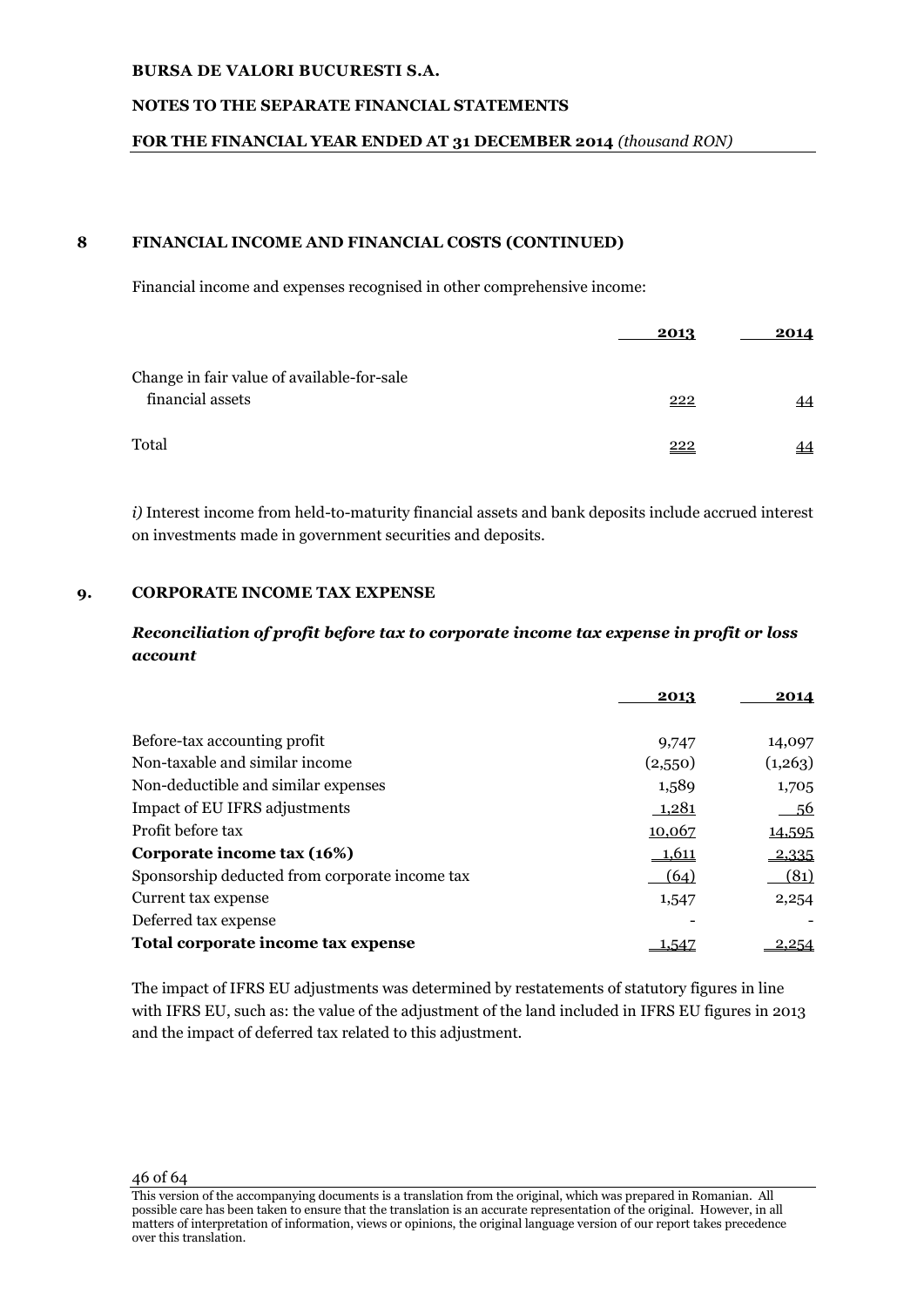# **NOTES TO THE SEPARATE FINANCIAL STATEMENTS**

# **FOR THE FINANCIAL YEAR ENDED AT 31 DECEMBER 2014** *(thousand RON)*

# **8 FINANCIAL INCOME AND FINANCIAL COSTS (CONTINUED)**

Financial income and expenses recognised in other comprehensive income:

|                                            | 2013 | 2014 |
|--------------------------------------------|------|------|
| Change in fair value of available-for-sale |      |      |
| financial assets                           | 222  | 44   |
| Total                                      | 222  | 44   |

*i)* Interest income from held-to-maturity financial assets and bank deposits include accrued interest on investments made in government securities and deposits.

# **9. CORPORATE INCOME TAX EXPENSE**

# *Reconciliation of profit before tax to corporate income tax expense in profit or loss account*

|                                                | 2013    | 2014     |
|------------------------------------------------|---------|----------|
| Before-tax accounting profit                   | 9,747   | 14,097   |
| Non-taxable and similar income                 | (2,550) | (1,263)  |
| Non-deductible and similar expenses            | 1,589   | 1,705    |
| Impact of EU IFRS adjustments                  | 1,281   | 56       |
| Profit before tax                              | 10,067  | 14,595   |
| Corporate income tax (16%)                     | - 1,611 | $-2,335$ |
| Sponsorship deducted from corporate income tax | (64)    | (81)     |
| Current tax expense                            | 1,547   | 2,254    |
| Deferred tax expense                           |         |          |
| Total corporate income tax expense             |         | 2,254    |

The impact of IFRS EU adjustments was determined by restatements of statutory figures in line with IFRS EU, such as: the value of the adjustment of the land included in IFRS EU figures in 2013 and the impact of deferred tax related to this adjustment.

This version of the accompanying documents is a translation from the original, which was prepared in Romanian. All possible care has been taken to ensure that the translation is an accurate representation of the original. However, in all matters of interpretation of information, views or opinions, the original language version of our report takes precedence over this translation.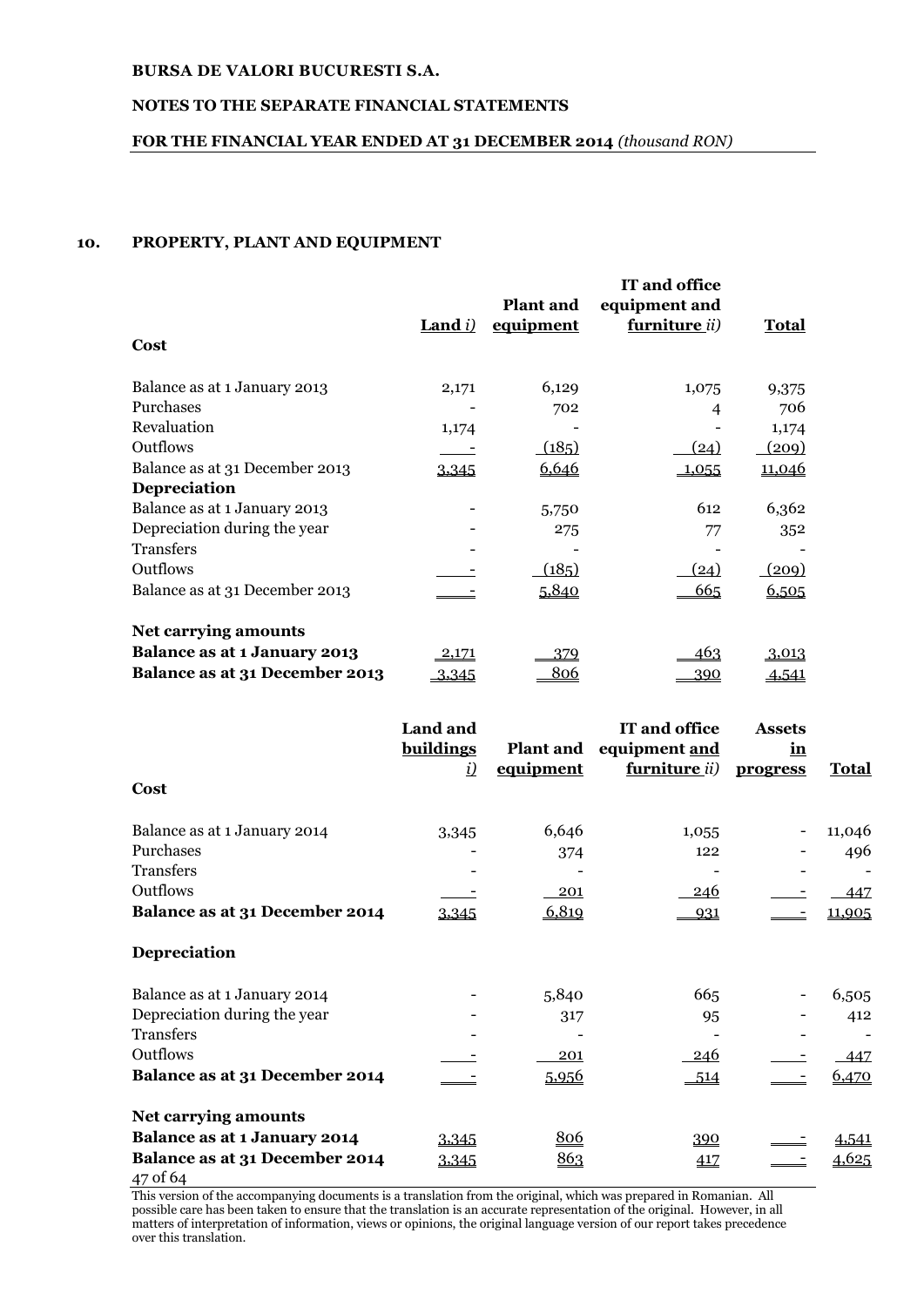# **NOTES TO THE SEPARATE FINANCIAL STATEMENTS**

# **FOR THE FINANCIAL YEAR ENDED AT 31 DECEMBER 2014** *(thousand RON)*

# **10. PROPERTY, PLANT AND EQUIPMENT**

|                                     | Land $i$ ) | <b>Plant and</b><br><u>equipment</u> | IT and office<br>equipment and<br>furniture <i>ii</i> ) | <b>Total</b>  |
|-------------------------------------|------------|--------------------------------------|---------------------------------------------------------|---------------|
| Cost                                |            |                                      |                                                         |               |
| Balance as at 1 January 2013        | 2,171      | 6,129                                | 1,075                                                   | 9,375         |
| Purchases                           |            | 702                                  | 4                                                       | 706           |
| Revaluation                         | 1,174      |                                      |                                                         | 1,174         |
| <b>Outflows</b>                     |            | (185)                                | (24)                                                    | (209)         |
| Balance as at 31 December 2013      | 3,345      | 6,646                                | 1,055                                                   | <u>11,046</u> |
| <b>Depreciation</b>                 |            |                                      |                                                         |               |
| Balance as at 1 January 2013        |            | 5,750                                | 612                                                     | 6,362         |
| Depreciation during the year        |            | 275                                  | 77                                                      | 352           |
| <b>Transfers</b>                    |            |                                      |                                                         |               |
| Outflows                            |            | (185)                                | (24)                                                    | (209)         |
| Balance as at 31 December 2013      |            | 5,840                                | 665                                                     | 6,505         |
| Net carrying amounts                |            |                                      |                                                         |               |
| <b>Balance as at 1 January 2013</b> | 2,171      | 379                                  | 463                                                     | 3,013         |
| Balance as at 31 December 2013      | -3.345     | 806                                  | <u>390</u>                                              | 4,541         |

|                                            | <b>Land and</b>  |                  | IT and office         | <b>Assets</b> |              |
|--------------------------------------------|------------------|------------------|-----------------------|---------------|--------------|
|                                            | <b>buildings</b> | <b>Plant and</b> | equipment and         | in            |              |
|                                            | <u>i)</u>        | equipment        | furniture <i>ii</i> ) | progress      | <b>Total</b> |
| Cost                                       |                  |                  |                       |               |              |
| Balance as at 1 January 2014               | 3,345            | 6,646            | 1,055                 |               | 11,046       |
| Purchases                                  |                  | 374              | 122                   |               | 496          |
| <b>Transfers</b>                           |                  |                  |                       |               |              |
| Outflows                                   |                  | 201              | <u>246</u>            |               | 447          |
| Balance as at 31 December 2014             | 3,345            | 6,819            | $-931$                |               | 11,905       |
| Depreciation                               |                  |                  |                       |               |              |
| Balance as at 1 January 2014               |                  | 5,840            | 665                   |               | 6,505        |
| Depreciation during the year               |                  | 317              | 95                    |               | 412          |
| <b>Transfers</b>                           |                  |                  |                       |               |              |
| Outflows                                   |                  | 201              | <u>. 246</u>          |               | 447          |
| Balance as at 31 December 2014             |                  | 5,956            | $-514$                |               | 6,470        |
| <b>Net carrying amounts</b>                |                  |                  |                       |               |              |
| Balance as at 1 January 2014               | <u>3,345</u>     | 806              | 390                   |               | 4,541        |
| Balance as at 31 December 2014<br>47 of 64 | 3,345            | 863              | 417                   |               | 4,625        |

This version of the accompanying documents is a translation from the original, which was prepared in Romanian. All possible care has been taken to ensure that the translation is an accurate representation of the original. However, in all matters of interpretation of information, views or opinions, the original language version of our report takes precedence over this translation.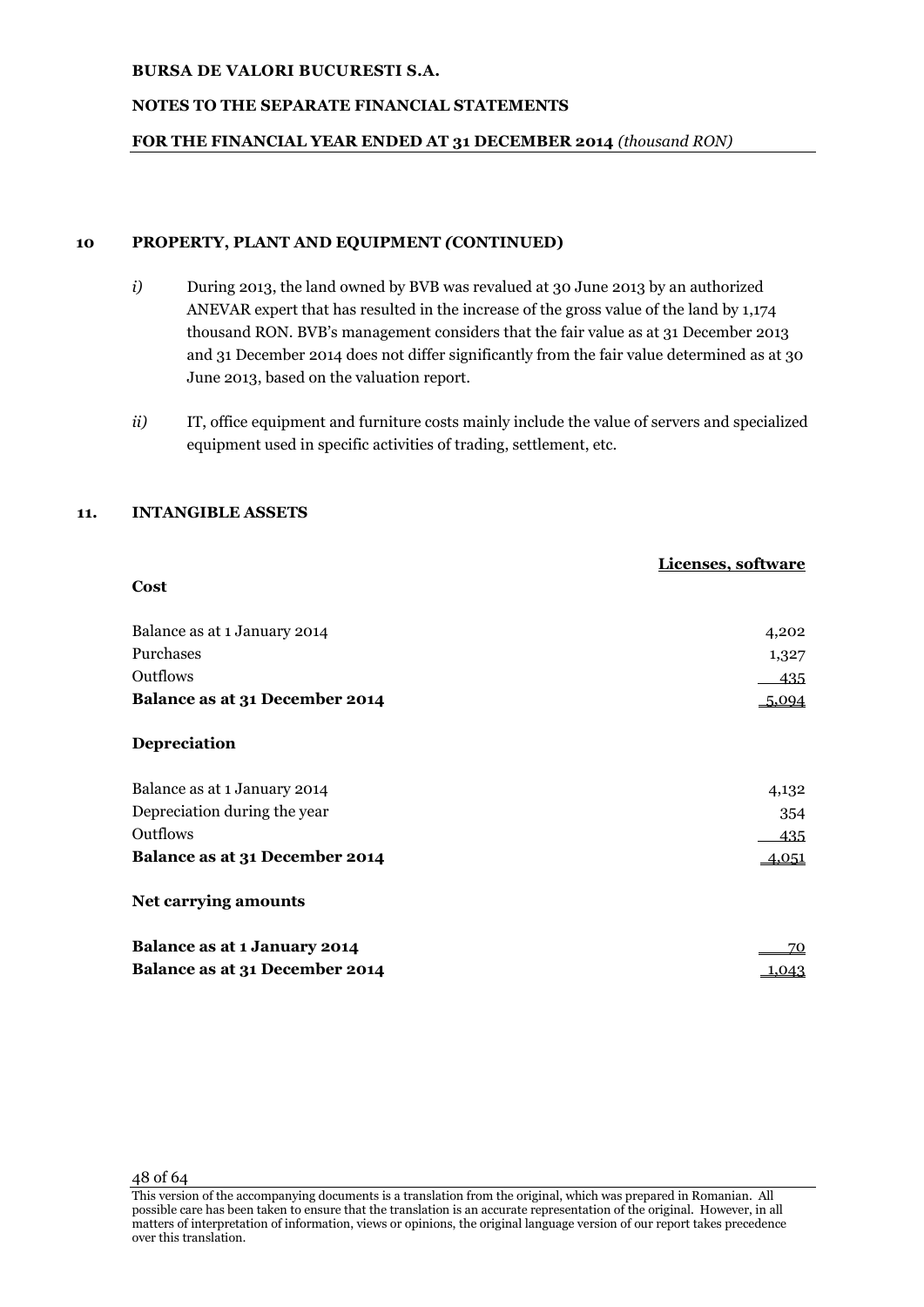# **NOTES TO THE SEPARATE FINANCIAL STATEMENTS**

# **FOR THE FINANCIAL YEAR ENDED AT 31 DECEMBER 2014** *(thousand RON)*

# **10 PROPERTY, PLANT AND EQUIPMENT** *(***CONTINUED)**

- *i)* During 2013, the land owned by BVB was revalued at 30 June 2013 by an authorized ANEVAR expert that has resulted in the increase of the gross value of the land by 1,174 thousand RON. BVB's management considers that the fair value as at 31 December 2013 and 31 December 2014 does not differ significantly from the fair value determined as at 30 June 2013, based on the valuation report.
- *ii)* IT, office equipment and furniture costs mainly include the value of servers and specialized equipment used in specific activities of trading, settlement, etc.

# **11. INTANGIBLE ASSETS**

|                                | Licenses, software |
|--------------------------------|--------------------|
| Cost                           |                    |
| Balance as at 1 January 2014   | 4,202              |
| Purchases                      | 1,327              |
| Outflows                       | 435                |
| Balance as at 31 December 2014 | 5,094              |
| Depreciation                   |                    |
| Balance as at 1 January 2014   | 4,132              |
| Depreciation during the year   | 354                |
| Outflows                       | 435                |
| Balance as at 31 December 2014 | 4,051              |
| Net carrying amounts           |                    |
| Balance as at 1 January 2014   | 70                 |
| Balance as at 31 December 2014 | 1,043              |

This version of the accompanying documents is a translation from the original, which was prepared in Romanian. All possible care has been taken to ensure that the translation is an accurate representation of the original. However, in all matters of interpretation of information, views or opinions, the original language version of our report takes precedence over this translation.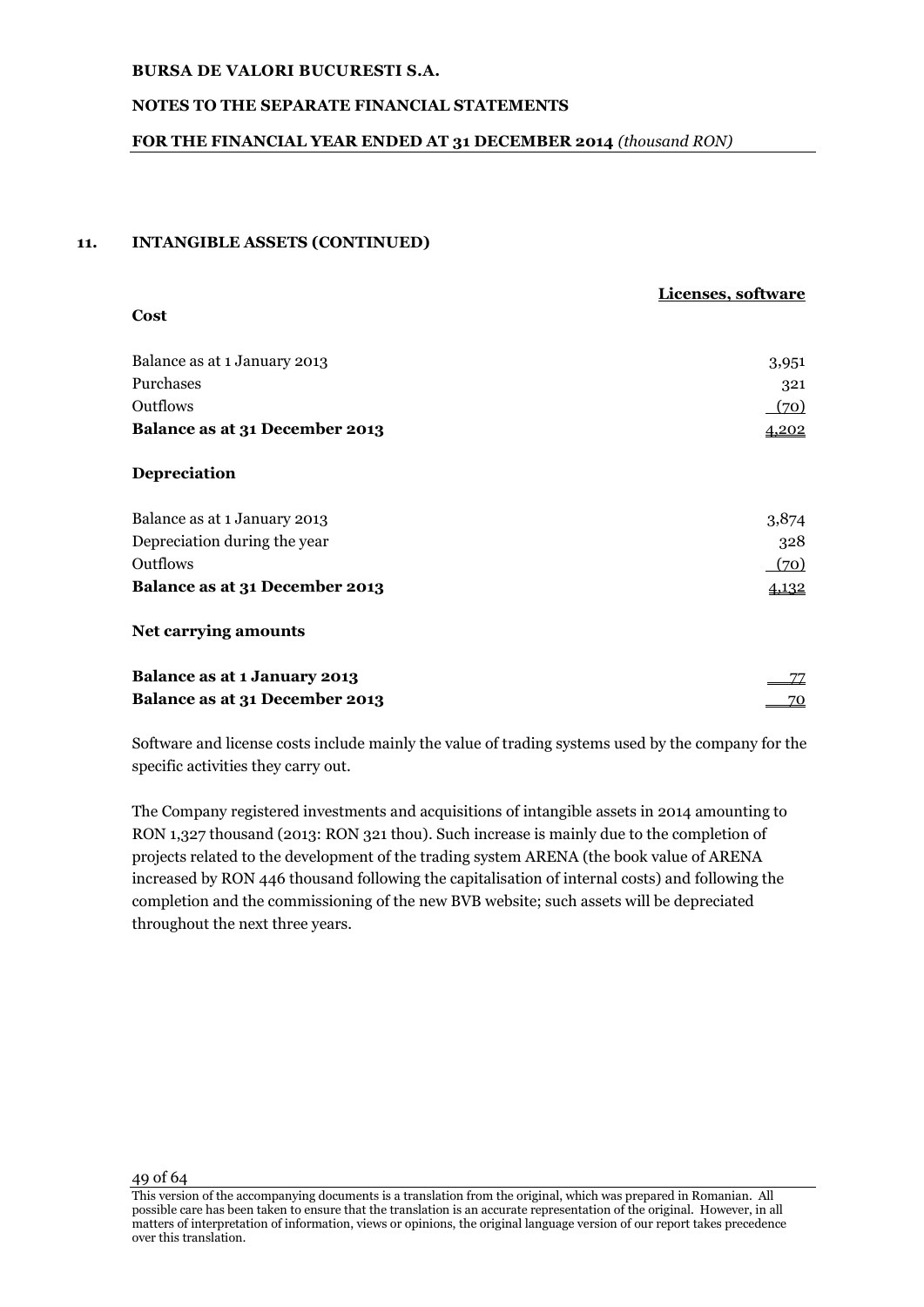# **NOTES TO THE SEPARATE FINANCIAL STATEMENTS**

# **FOR THE FINANCIAL YEAR ENDED AT 31 DECEMBER 2014** *(thousand RON)*

# **11. INTANGIBLE ASSETS (CONTINUED)**

|                                     | Licenses, software |
|-------------------------------------|--------------------|
| Cost                                |                    |
| Balance as at 1 January 2013        | 3,951              |
| Purchases                           | 321                |
| Outflows                            | (70)               |
| Balance as at 31 December 2013      | 4,202              |
| <b>Depreciation</b>                 |                    |
| Balance as at 1 January 2013        | 3,874              |
| Depreciation during the year        | 328                |
| Outflows                            | (70)               |
| Balance as at 31 December 2013      | 4,132              |
| <b>Net carrying amounts</b>         |                    |
| <b>Balance as at 1 January 2013</b> |                    |
| Balance as at 31 December 2013      | 70                 |

Software and license costs include mainly the value of trading systems used by the company for the specific activities they carry out.

The Company registered investments and acquisitions of intangible assets in 2014 amounting to RON 1,327 thousand (2013: RON 321 thou). Such increase is mainly due to the completion of projects related to the development of the trading system ARENA (the book value of ARENA increased by RON 446 thousand following the capitalisation of internal costs) and following the completion and the commissioning of the new BVB website; such assets will be depreciated throughout the next three years.

This version of the accompanying documents is a translation from the original, which was prepared in Romanian. All possible care has been taken to ensure that the translation is an accurate representation of the original. However, in all matters of interpretation of information, views or opinions, the original language version of our report takes precedence over this translation.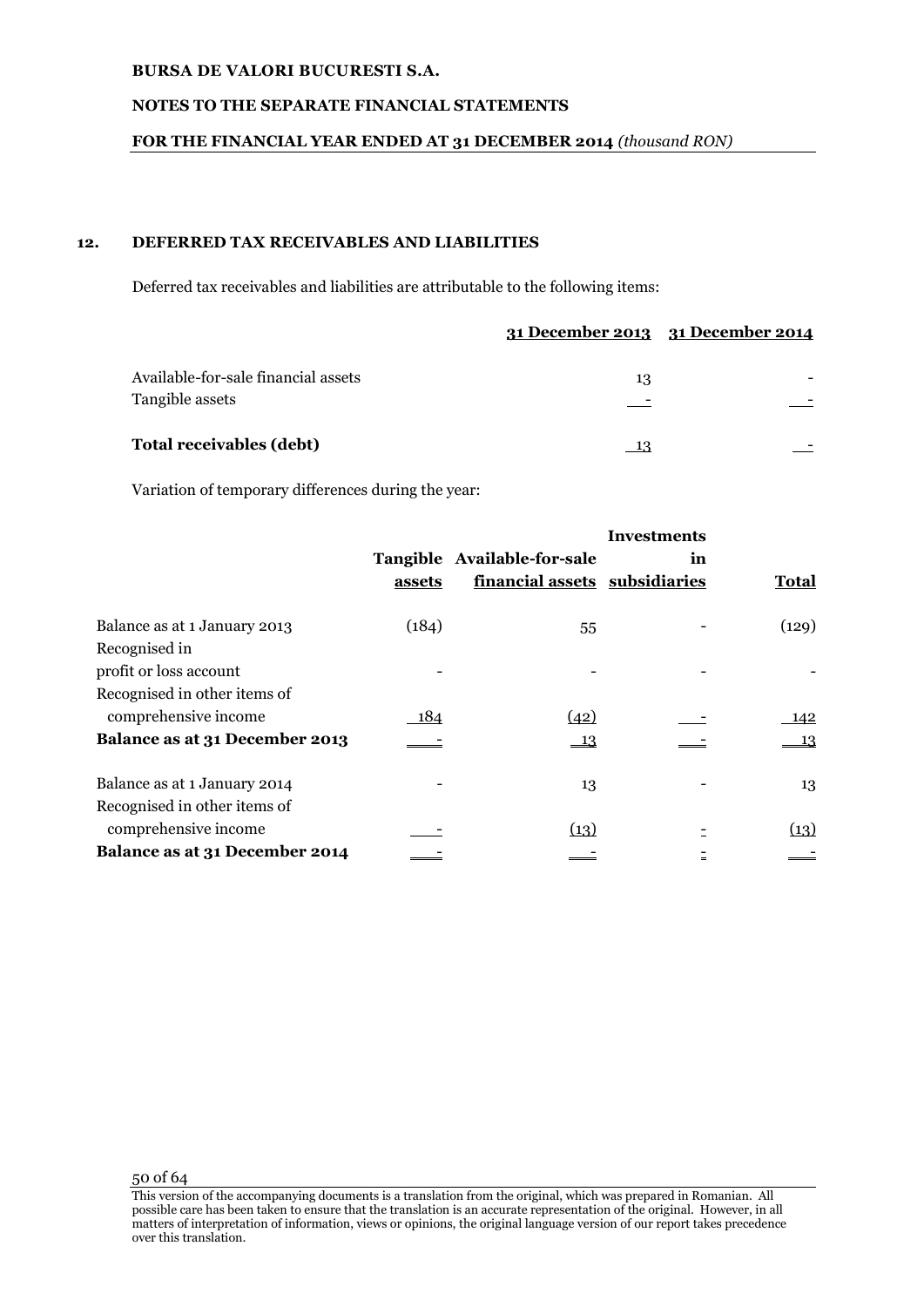# **NOTES TO THE SEPARATE FINANCIAL STATEMENTS**

### **FOR THE FINANCIAL YEAR ENDED AT 31 DECEMBER 2014** *(thousand RON)*

# **12. DEFERRED TAX RECEIVABLES AND LIABILITIES**

Deferred tax receivables and liabilities are attributable to the following items:

|                                                        |    | 31 December 2013 31 December 2014 |
|--------------------------------------------------------|----|-----------------------------------|
| Available-for-sale financial assets<br>Tangible assets | 13 |                                   |
| Total receivables (debt)                               | 12 |                                   |

Variation of temporary differences during the year:

|                                | assets | Tangible Available-for-sale<br>financial assets subsidiaries | <b>Investments</b><br>in | Total       |
|--------------------------------|--------|--------------------------------------------------------------|--------------------------|-------------|
| Balance as at 1 January 2013   | (184)  | 55                                                           |                          | (129)       |
| Recognised in                  |        |                                                              |                          |             |
| profit or loss account         |        |                                                              |                          |             |
| Recognised in other items of   |        |                                                              |                          |             |
| comprehensive income           | 184    | (42)                                                         |                          | <u> 142</u> |
| Balance as at 31 December 2013 |        | $\frac{13}{2}$                                               |                          | <u>13</u>   |
| Balance as at 1 January 2014   |        | 13                                                           |                          | 13          |
| Recognised in other items of   |        |                                                              |                          |             |
| comprehensive income           |        | (13)                                                         |                          | (13)        |
| Balance as at 31 December 2014 |        |                                                              |                          |             |

This version of the accompanying documents is a translation from the original, which was prepared in Romanian. All possible care has been taken to ensure that the translation is an accurate representation of the original. However, in all matters of interpretation of information, views or opinions, the original language version of our report takes precedence over this translation.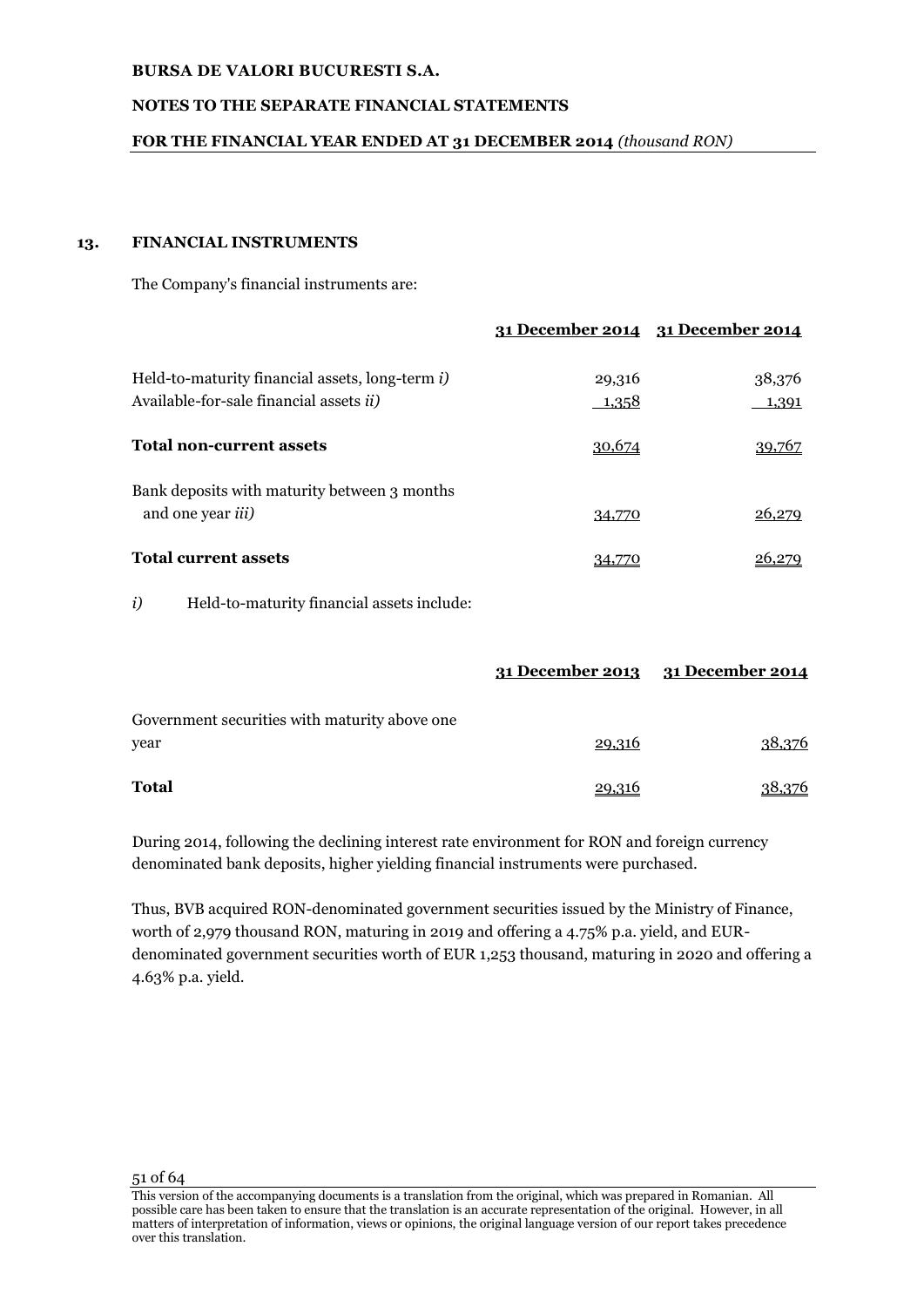# **NOTES TO THE SEPARATE FINANCIAL STATEMENTS**

# **FOR THE FINANCIAL YEAR ENDED AT 31 DECEMBER 2014** *(thousand RON)*

#### **13. FINANCIAL INSTRUMENTS**

The Company's financial instruments are:

|                                                                                                    |                 | 31 December 2014 31 December 2014 |
|----------------------------------------------------------------------------------------------------|-----------------|-----------------------------------|
| Held-to-maturity financial assets, long-term i)<br>Available-for-sale financial assets <i>ii</i> ) | 29,316<br>1,358 | 38,376<br>1,391                   |
| <b>Total non-current assets</b>                                                                    | 30,674          | 39.767                            |
| Bank deposits with maturity between 3 months<br>and one year <i>iii</i> )                          | 34,770          | 26,279                            |
| <b>Total current assets</b>                                                                        |                 |                                   |

*i*) Held-to-maturity financial assets include:

|                                                        |        | 31 December 2013 31 December 2014 |
|--------------------------------------------------------|--------|-----------------------------------|
| Government securities with maturity above one.<br>year | 29,316 | 38,376                            |
|                                                        |        |                                   |
| <b>Total</b>                                           | 29,316 | 38.376                            |

During 2014, following the declining interest rate environment for RON and foreign currency denominated bank deposits, higher yielding financial instruments were purchased.

Thus, BVB acquired RON-denominated government securities issued by the Ministry of Finance, worth of 2,979 thousand RON, maturing in 2019 and offering a 4.75% p.a. yield, and EURdenominated government securities worth of EUR 1,253 thousand, maturing in 2020 and offering a 4.63% p.a. yield.

This version of the accompanying documents is a translation from the original, which was prepared in Romanian. All possible care has been taken to ensure that the translation is an accurate representation of the original. However, in all matters of interpretation of information, views or opinions, the original language version of our report takes precedence over this translation.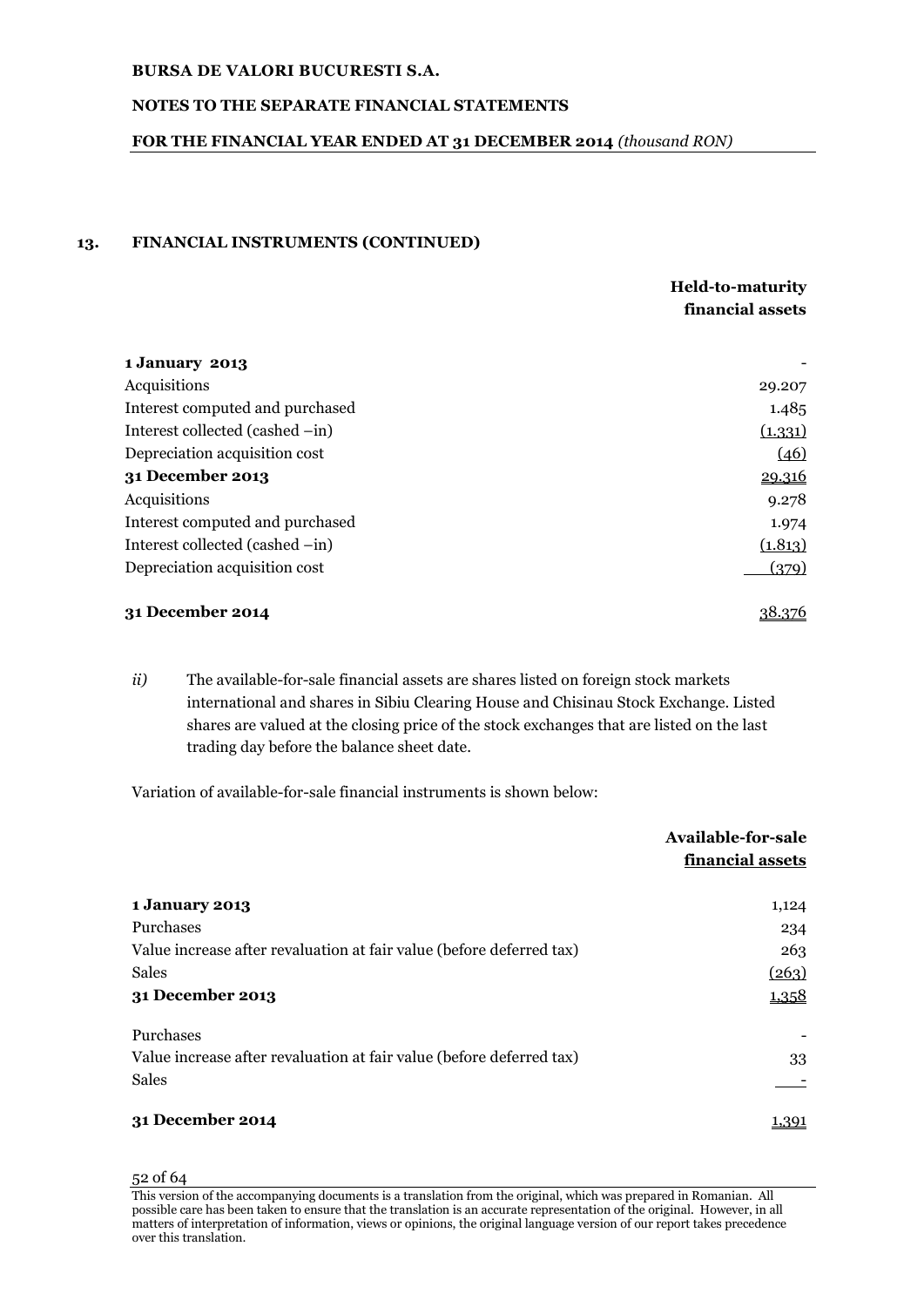# **NOTES TO THE SEPARATE FINANCIAL STATEMENTS**

# **FOR THE FINANCIAL YEAR ENDED AT 31 DECEMBER 2014** *(thousand RON)*

#### **13. FINANCIAL INSTRUMENTS (CONTINUED)**

# **Held-to-maturity financial assets**

| 1 January 2013                  |         |
|---------------------------------|---------|
| Acquisitions                    | 29.207  |
| Interest computed and purchased | 1.485   |
| Interest collected (cashed -in) | (1.331) |
| Depreciation acquisition cost   | (46)    |
| 31 December 2013                | 29.316  |
| Acquisitions                    | 9.278   |
| Interest computed and purchased | 1.974   |
| Interest collected (cashed -in) | (1.813) |
| Depreciation acquisition cost   | (379)   |
|                                 |         |

# **31 December 2014** 32.376

*ii*) The available-for-sale financial assets are shares listed on foreign stock markets international and shares in Sibiu Clearing House and Chisinau Stock Exchange. Listed shares are valued at the closing price of the stock exchanges that are listed on the last trading day before the balance sheet date.

Variation of available-for-sale financial instruments is shown below:

|                                                                      | <b>Available-for-sale</b><br>financial assets |
|----------------------------------------------------------------------|-----------------------------------------------|
| <b>1 January 2013</b>                                                | 1,124                                         |
| Purchases                                                            | 234                                           |
| Value increase after revaluation at fair value (before deferred tax) | 263                                           |
| <b>Sales</b>                                                         | (263)                                         |
| 31 December 2013                                                     | 1,358                                         |
| Purchases                                                            |                                               |
| Value increase after revaluation at fair value (before deferred tax) | 33                                            |
| <b>Sales</b>                                                         |                                               |
| 31 December 2014                                                     | <u>1.391</u>                                  |

This version of the accompanying documents is a translation from the original, which was prepared in Romanian. All possible care has been taken to ensure that the translation is an accurate representation of the original. However, in all matters of interpretation of information, views or opinions, the original language version of our report takes precedence over this translation.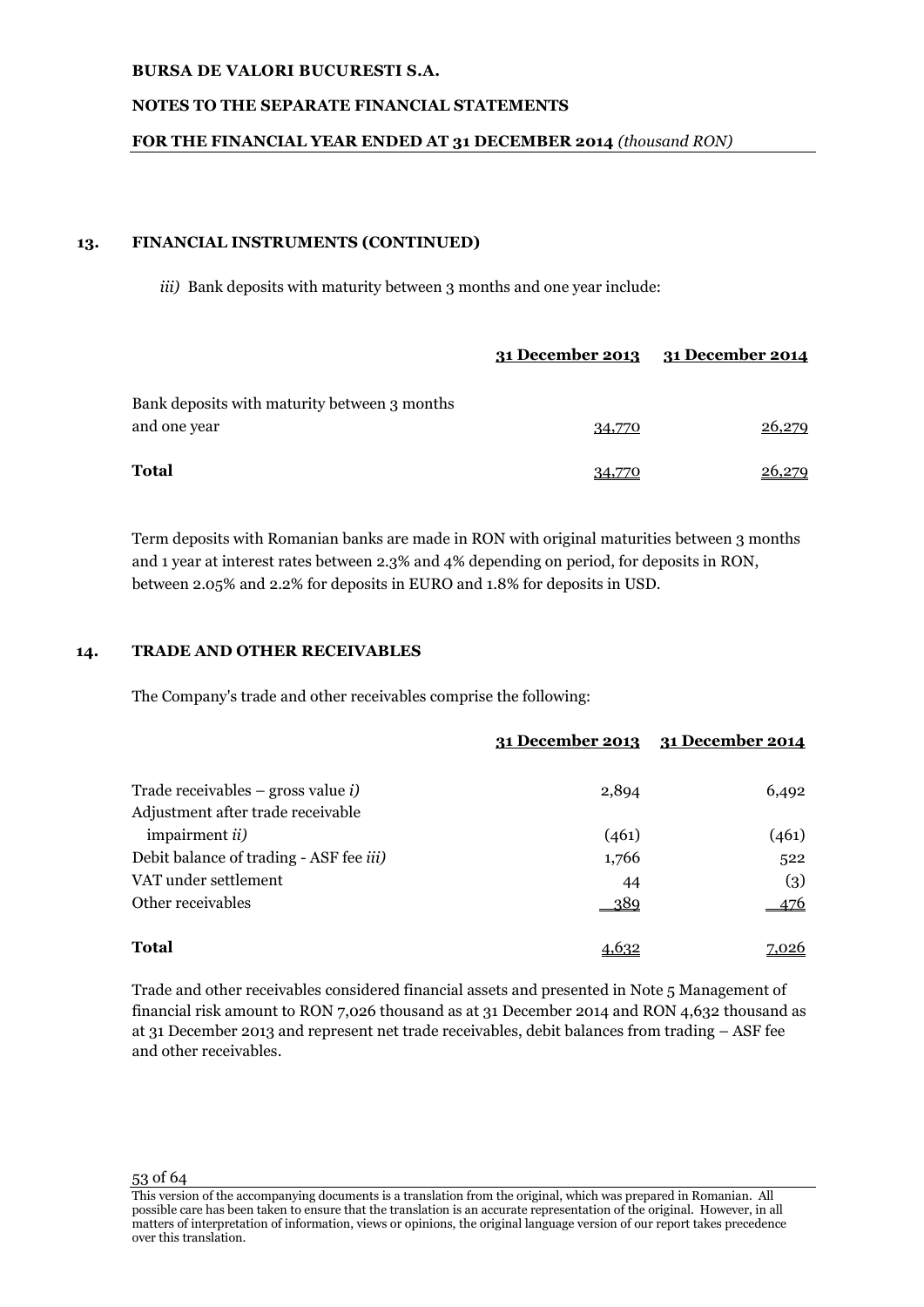# **NOTES TO THE SEPARATE FINANCIAL STATEMENTS**

### **FOR THE FINANCIAL YEAR ENDED AT 31 DECEMBER 2014** *(thousand RON)*

#### **13. FINANCIAL INSTRUMENTS (CONTINUED)**

*iii*) Bank deposits with maturity between 3 months and one year include:

|                                              |        | 31 December 2013 31 December 2014 |
|----------------------------------------------|--------|-----------------------------------|
| Bank deposits with maturity between 3 months |        |                                   |
| and one year                                 | 34,770 | 26,279                            |
| Total                                        | 34.770 | 26.279                            |

Term deposits with Romanian banks are made in RON with original maturities between 3 months and 1 year at interest rates between 2.3% and 4% depending on period, for deposits in RON, between 2.05% and 2.2% for deposits in EURO and 1.8% for deposits in USD.

# **14. TRADE AND OTHER RECEIVABLES**

The Company's trade and other receivables comprise the following:

|                                                 |       | 31 December 2013 31 December 2014 |
|-------------------------------------------------|-------|-----------------------------------|
| Trade receivables – gross value $i$ )           | 2,894 | 6,492                             |
| Adjustment after trade receivable               |       |                                   |
| impairment <i>ii</i> )                          | (461) | (461)                             |
| Debit balance of trading - ASF fee <i>iii</i> ) | 1,766 | 522                               |
| VAT under settlement                            | 44    | (3)                               |
| Other receivables                               | -389  | 476                               |
| <b>Total</b>                                    |       | 7,026                             |

Trade and other receivables considered financial assets and presented in Note 5 Management of financial risk amount to RON 7,026 thousand as at 31 December 2014 and RON 4,632 thousand as at 31 December 2013 and represent net trade receivables, debit balances from trading – ASF fee and other receivables.

This version of the accompanying documents is a translation from the original, which was prepared in Romanian. All possible care has been taken to ensure that the translation is an accurate representation of the original. However, in all matters of interpretation of information, views or opinions, the original language version of our report takes precedence over this translation.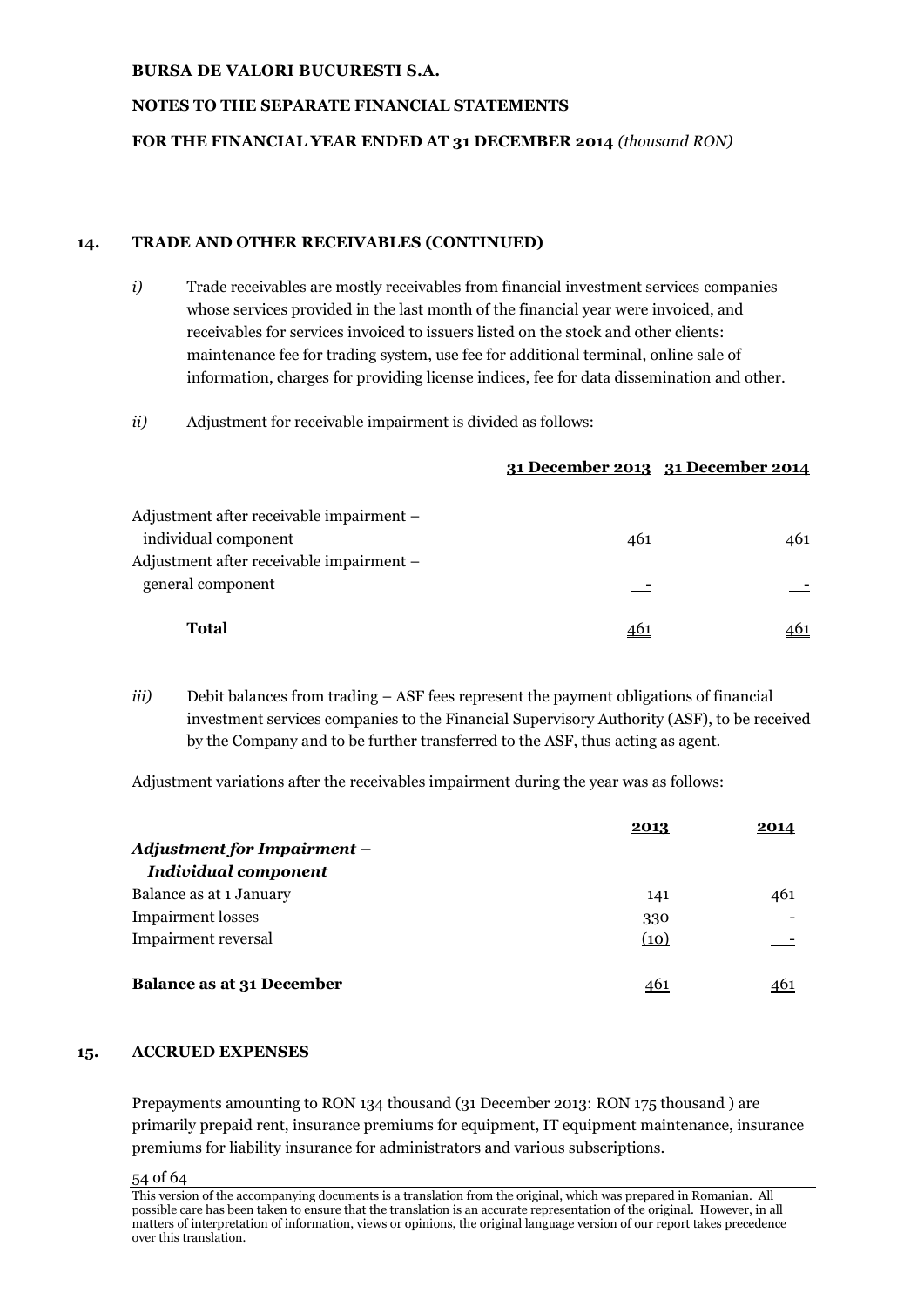# **NOTES TO THE SEPARATE FINANCIAL STATEMENTS**

# **FOR THE FINANCIAL YEAR ENDED AT 31 DECEMBER 2014** *(thousand RON)*

# **14. TRADE AND OTHER RECEIVABLES (CONTINUED)**

*i*) Trade receivables are mostly receivables from financial investment services companies whose services provided in the last month of the financial year were invoiced, and receivables for services invoiced to issuers listed on the stock and other clients: maintenance fee for trading system, use fee for additional terminal, online sale of information, charges for providing license indices, fee for data dissemination and other.

*ii)* Adjustment for receivable impairment is divided as follows:

# **31 December 2013 31 December 2014**

| Adjustment after receivable impairment – |     |     |
|------------------------------------------|-----|-----|
| individual component                     | 461 | 461 |
| Adjustment after receivable impairment – |     |     |
| general component                        |     |     |
|                                          |     |     |
| <b>Total</b>                             |     | 461 |

*iii*) Debit balances from trading – ASF fees represent the payment obligations of financial investment services companies to the Financial Supervisory Authority (ASF), to be received by the Company and to be further transferred to the ASF, thus acting as agent.

Adjustment variations after the receivables impairment during the year was as follows:

|                                    | 2013       | 2014 |
|------------------------------------|------------|------|
| <b>Adjustment for Impairment -</b> |            |      |
| <b>Individual component</b>        |            |      |
| Balance as at 1 January            | 141        | 461  |
| <b>Impairment</b> losses           | 330        |      |
| Impairment reversal                | (10)       |      |
| <b>Balance as at 31 December</b>   | <u>461</u> |      |

# **15. ACCRUED EXPENSES**

Prepayments amounting to RON 134 thousand (31 December 2013: RON 175 thousand ) are primarily prepaid rent, insurance premiums for equipment, IT equipment maintenance, insurance premiums for liability insurance for administrators and various subscriptions.

 $\frac{54 \text{ of } 64}{54}$ This version of the accompanying documents is a translation from the original, which was prepared in Romanian. All possible care has been taken to ensure that the translation is an accurate representation of the original. However, in all matters of interpretation of information, views or opinions, the original language version of our report takes precedence over this translation.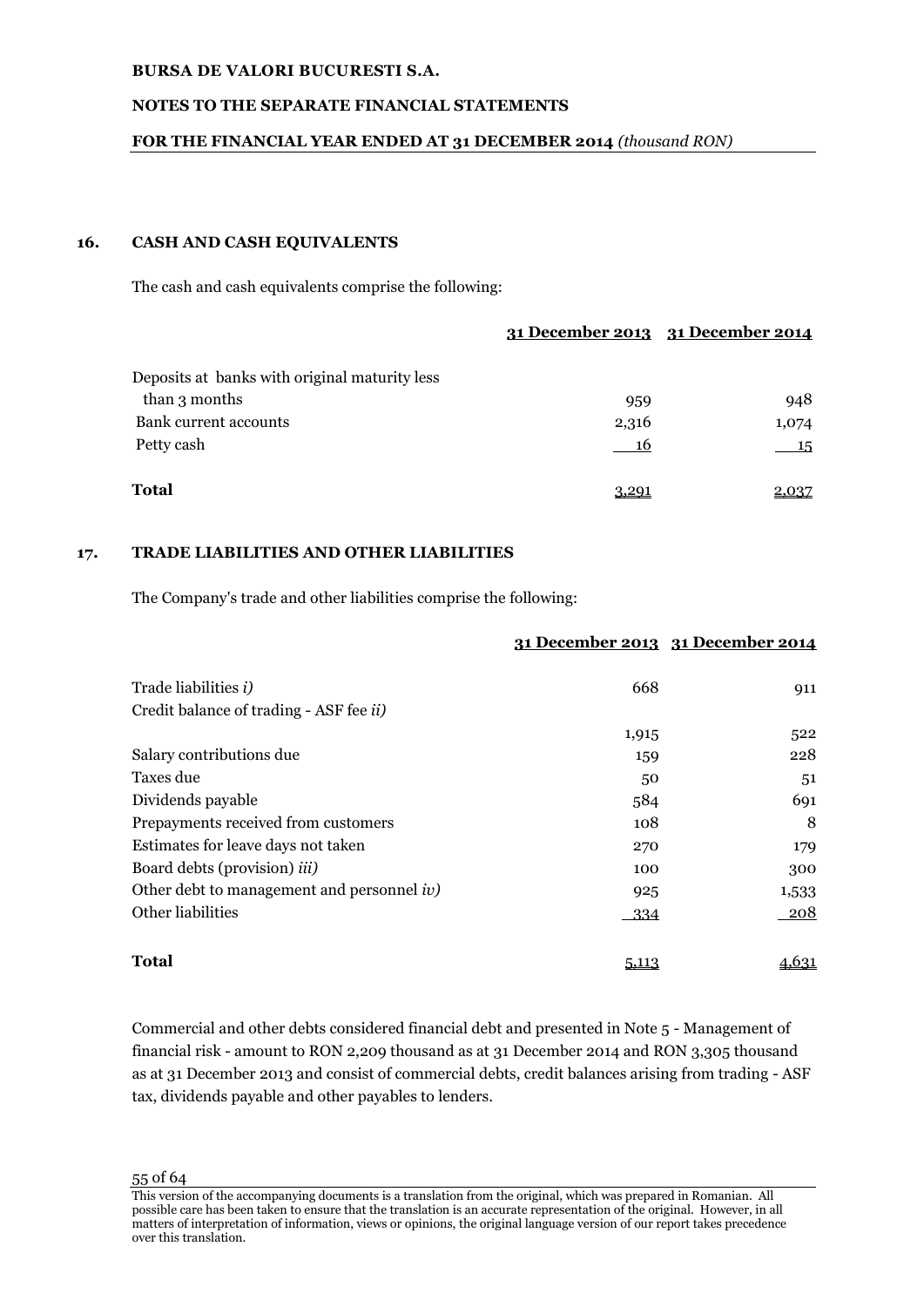# **NOTES TO THE SEPARATE FINANCIAL STATEMENTS**

### **FOR THE FINANCIAL YEAR ENDED AT 31 DECEMBER 2014** *(thousand RON)*

#### **16. CASH AND CASH EQUIVALENTS**

The cash and cash equivalents comprise the following:

|                                               |       | 31 December 2013 31 December 2014 |
|-----------------------------------------------|-------|-----------------------------------|
| Deposits at banks with original maturity less |       |                                   |
| than 3 months                                 | 959   | 948                               |
| Bank current accounts                         | 2,316 | 1,074                             |
| Petty cash                                    | 16    | - 15                              |
| <b>Total</b>                                  | 3,291 |                                   |

# **17. TRADE LIABILITIES AND OTHER LIABILITIES**

The Company's trade and other liabilities comprise the following:

|                                               |        | 31 December 2013 31 December 2014 |
|-----------------------------------------------|--------|-----------------------------------|
| Trade liabilities <i>i</i> )                  | 668    | 911                               |
| Credit balance of trading - ASF fee ii)       |        |                                   |
|                                               | 1,915  | 522                               |
| Salary contributions due                      | 159    | 228                               |
| Taxes due                                     | 50     | 51                                |
| Dividends payable                             | 584    | 691                               |
| Prepayments received from customers           | 108    | 8                                 |
| Estimates for leave days not taken            | 270    | 179                               |
| Board debts (provision) <i>iii</i> )          | 100    | 300                               |
| Other debt to management and personnel $iv$ ) | 925    | 1,533                             |
| Other liabilities                             | $-334$ | <u> 208</u>                       |
| <b>Total</b>                                  | 5,113  | 4,631                             |

Commercial and other debts considered financial debt and presented in Note 5 - Management of financial risk - amount to RON 2,209 thousand as at 31 December 2014 and RON 3,305 thousand as at 31 December 2013 and consist of commercial debts, credit balances arising from trading - ASF tax, dividends payable and other payables to lenders.

This version of the accompanying documents is a translation from the original, which was prepared in Romanian. All possible care has been taken to ensure that the translation is an accurate representation of the original. However, in all matters of interpretation of information, views or opinions, the original language version of our report takes precedence over this translation.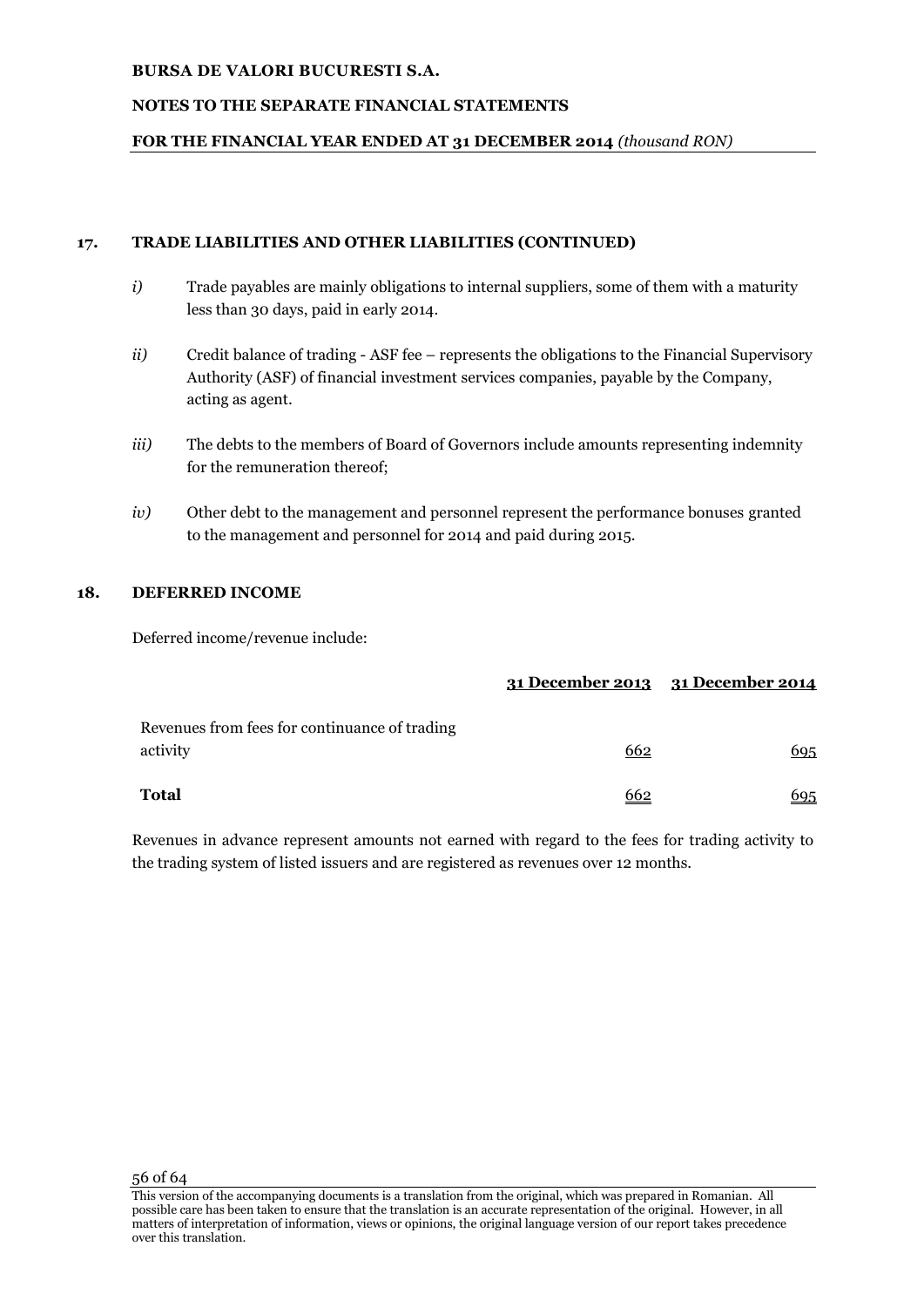# **NOTES TO THE SEPARATE FINANCIAL STATEMENTS**

# **FOR THE FINANCIAL YEAR ENDED AT 31 DECEMBER 2014** *(thousand RON)*

# **17. TRADE LIABILITIES AND OTHER LIABILITIES (CONTINUED)**

- *i)* Trade payables are mainly obligations to internal suppliers, some of them with a maturity less than 30 days, paid in early 2014.
- *ii)* Credit balance of trading ASF fee represents the obligations to the Financial Supervisory Authority (ASF) of financial investment services companies, payable by the Company, acting as agent.
- *iii*) The debts to the members of Board of Governors include amounts representing indemnity for the remuneration thereof;
- *iv*) Other debt to the management and personnel represent the performance bonuses granted to the management and personnel for 2014 and paid during 2015.

# **18. DEFERRED INCOME**

Deferred income/revenue include:

|                                                           |     | 31 December 2013 31 December 2014 |
|-----------------------------------------------------------|-----|-----------------------------------|
| Revenues from fees for continuance of trading<br>activity | 662 | 695                               |
| <b>Total</b>                                              | 662 | 695                               |

Revenues in advance represent amounts not earned with regard to the fees for trading activity to the trading system of listed issuers and are registered as revenues over 12 months.

This version of the accompanying documents is a translation from the original, which was prepared in Romanian. All possible care has been taken to ensure that the translation is an accurate representation of the original. However, in all matters of interpretation of information, views or opinions, the original language version of our report takes precedence over this translation.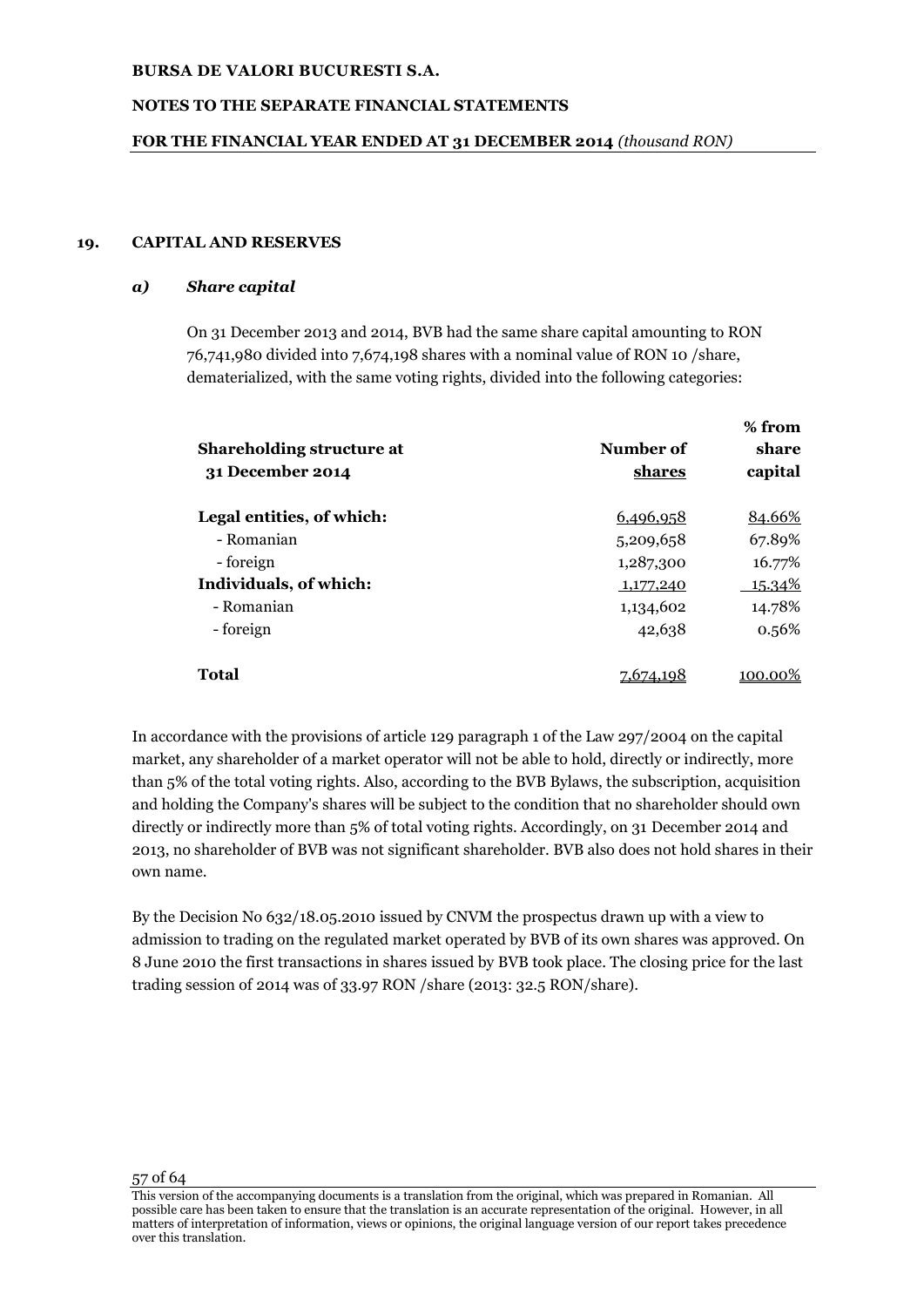# **NOTES TO THE SEPARATE FINANCIAL STATEMENTS**

### **FOR THE FINANCIAL YEAR ENDED AT 31 DECEMBER 2014** *(thousand RON)*

#### **19. CAPITAL AND RESERVES**

# *a) Share capital*

On 31 December 2013 and 2014, BVB had the same share capital amounting to RON 76,741,980 divided into 7,674,198 shares with a nominal value of RON 10 /share, dematerialized, with the same voting rights, divided into the following categories:

| <b>Shareholding structure at</b><br>31 December 2014 | Number of<br>shares | % from<br>share<br>capital |
|------------------------------------------------------|---------------------|----------------------------|
| Legal entities, of which:                            | 6,496,958           | 84.66%                     |
| - Romanian                                           | 5,209,658           | 67.89%                     |
| - foreign                                            | 1,287,300           | 16.77%                     |
| Individuals, of which:                               | 1,177,240           | <u>15.34%</u>              |
| - Romanian                                           | 1,134,602           | 14.78%                     |
| - foreign                                            | 42,638              | 0.56%                      |
| Total                                                |                     | 100.00%                    |

In accordance with the provisions of article 129 paragraph 1 of the Law 297/2004 on the capital market, any shareholder of a market operator will not be able to hold, directly or indirectly, more than 5% of the total voting rights. Also, according to the BVB Bylaws, the subscription, acquisition and holding the Company's shares will be subject to the condition that no shareholder should own directly or indirectly more than 5% of total voting rights. Accordingly, on 31 December 2014 and 2013, no shareholder of BVB was not significant shareholder. BVB also does not hold shares in their own name.

By the Decision No 632/18.05.2010 issued by CNVM the prospectus drawn up with a view to admission to trading on the regulated market operated by BVB of its own shares was approved. On 8 June 2010 the first transactions in shares issued by BVB took place. The closing price for the last trading session of 2014 was of 33.97 RON /share (2013: 32.5 RON/share).

This version of the accompanying documents is a translation from the original, which was prepared in Romanian. All possible care has been taken to ensure that the translation is an accurate representation of the original. However, in all matters of interpretation of information, views or opinions, the original language version of our report takes precedence over this translation.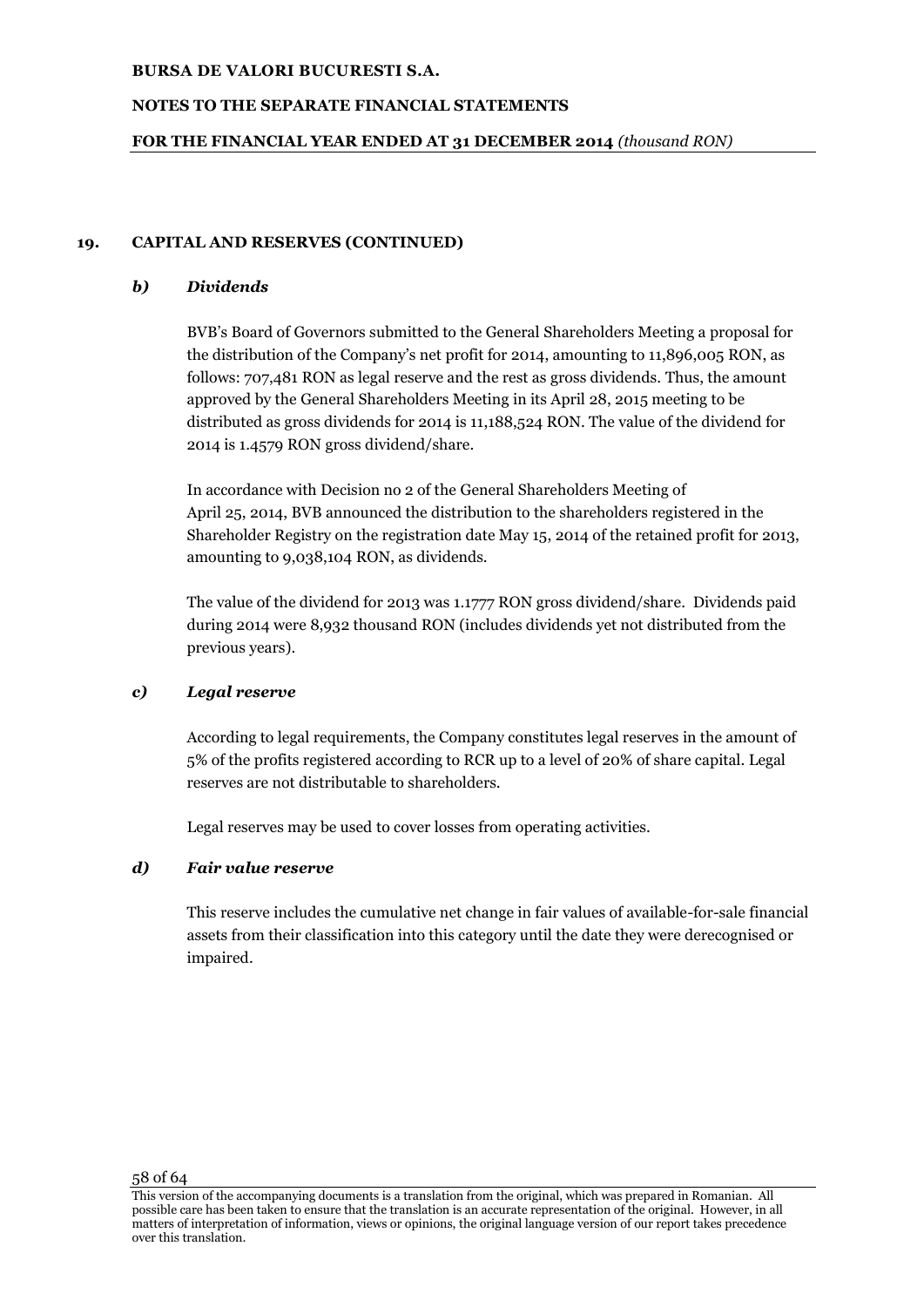# **NOTES TO THE SEPARATE FINANCIAL STATEMENTS**

# **FOR THE FINANCIAL YEAR ENDED AT 31 DECEMBER 2014** *(thousand RON)*

# **19. CAPITAL AND RESERVES (CONTINUED)**

# *b) Dividends*

BVB's Board of Governors submitted to the General Shareholders Meeting a proposal for the distribution of the Company's net profit for 2014, amounting to 11,896,005 RON, as follows: 707,481 RON as legal reserve and the rest as gross dividends. Thus, the amount approved by the General Shareholders Meeting in its April 28, 2015 meeting to be distributed as gross dividends for 2014 is 11,188,524 RON. The value of the dividend for 2014 is 1.4579 RON gross dividend/share.

In accordance with Decision no 2 of the General Shareholders Meeting of April 25, 2014, BVB announced the distribution to the shareholders registered in the Shareholder Registry on the registration date May 15, 2014 of the retained profit for 2013, amounting to 9,038,104 RON, as dividends.

The value of the dividend for 2013 was 1.1777 RON gross dividend/share. Dividends paid during 2014 were 8,932 thousand RON (includes dividends yet not distributed from the previous years).

# *c) Legal reserve*

According to legal requirements, the Company constitutes legal reserves in the amount of 5% of the profits registered according to RCR up to a level of 20% of share capital. Legal reserves are not distributable to shareholders.

Legal reserves may be used to cover losses from operating activities.

# *d) Fair value reserve*

This reserve includes the cumulative net change in fair values of available-for-sale financial assets from their classification into this category until the date they were derecognised or impaired.

This version of the accompanying documents is a translation from the original, which was prepared in Romanian. All possible care has been taken to ensure that the translation is an accurate representation of the original. However, in all matters of interpretation of information, views or opinions, the original language version of our report takes precedence over this translation.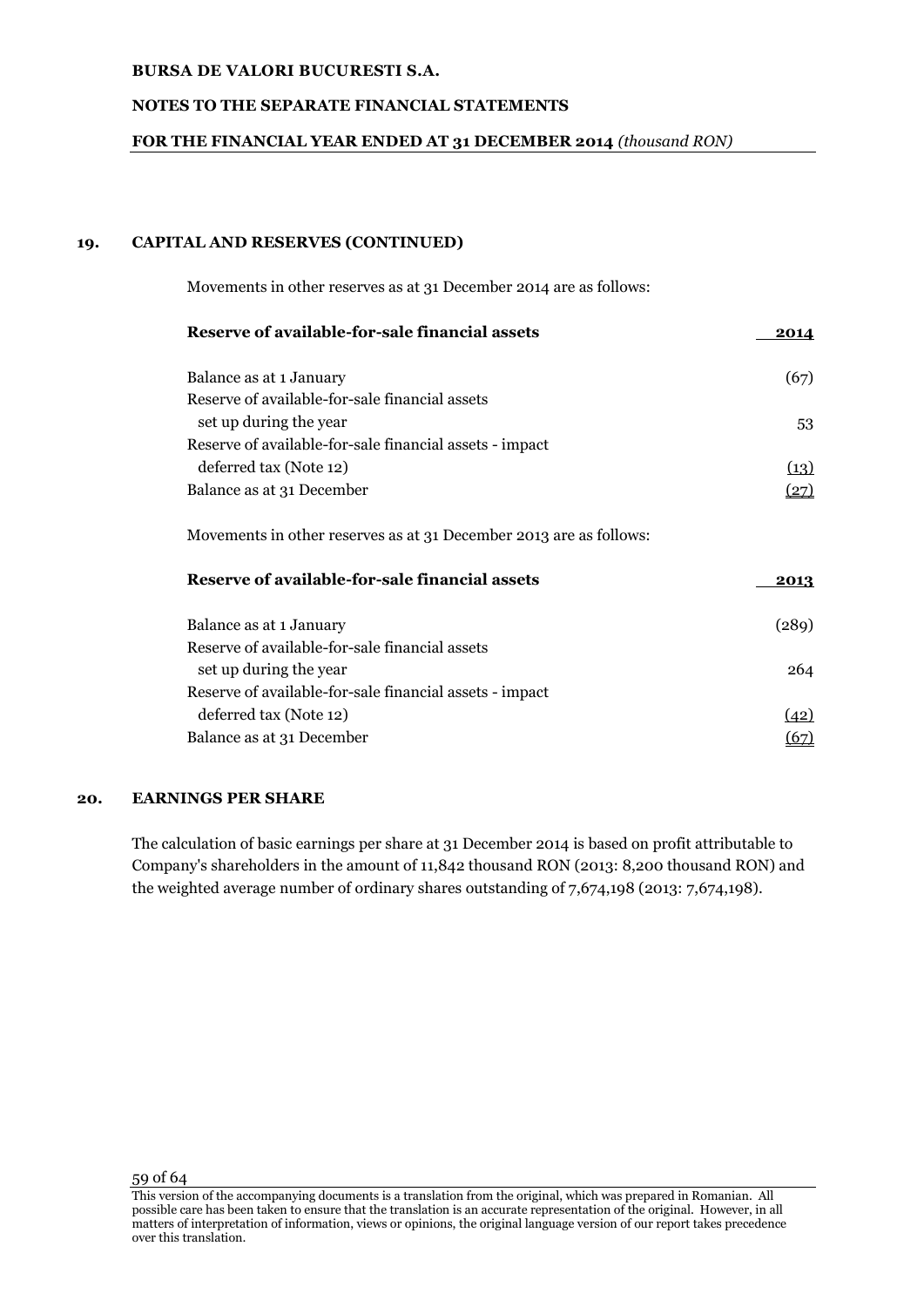# **NOTES TO THE SEPARATE FINANCIAL STATEMENTS**

### **FOR THE FINANCIAL YEAR ENDED AT 31 DECEMBER 2014** *(thousand RON)*

# **19. CAPITAL AND RESERVES (CONTINUED)**

Movements in other reserves as at 31 December 2014 are as follows:

| Reserve of available-for-sale financial assets                     | 2014  |
|--------------------------------------------------------------------|-------|
| Balance as at 1 January                                            | (67)  |
| Reserve of available-for-sale financial assets                     |       |
| set up during the year                                             | 53    |
| Reserve of available-for-sale financial assets - impact            |       |
| deferred tax (Note 12)                                             | (13)  |
| Balance as at 31 December                                          | (27)  |
| Movements in other reserves as at 31 December 2013 are as follows: |       |
| Reserve of available-for-sale financial assets                     | 2013  |
| Balance as at 1 January                                            | (289) |
| Reserve of available-for-sale financial assets                     |       |
| set up during the year                                             | 264   |
| Reserve of available-for-sale financial assets - impact            |       |
| deferred tax (Note 12)                                             | (42)  |
| Balance as at 31 December                                          | (67)  |

# **20. EARNINGS PER SHARE**

The calculation of basic earnings per share at 31 December 2014 is based on profit attributable to Company's shareholders in the amount of 11,842 thousand RON (2013: 8,200 thousand RON) and the weighted average number of ordinary shares outstanding of 7,674,198 (2013: 7,674,198).

This version of the accompanying documents is a translation from the original, which was prepared in Romanian. All possible care has been taken to ensure that the translation is an accurate representation of the original. However, in all matters of interpretation of information, views or opinions, the original language version of our report takes precedence over this translation.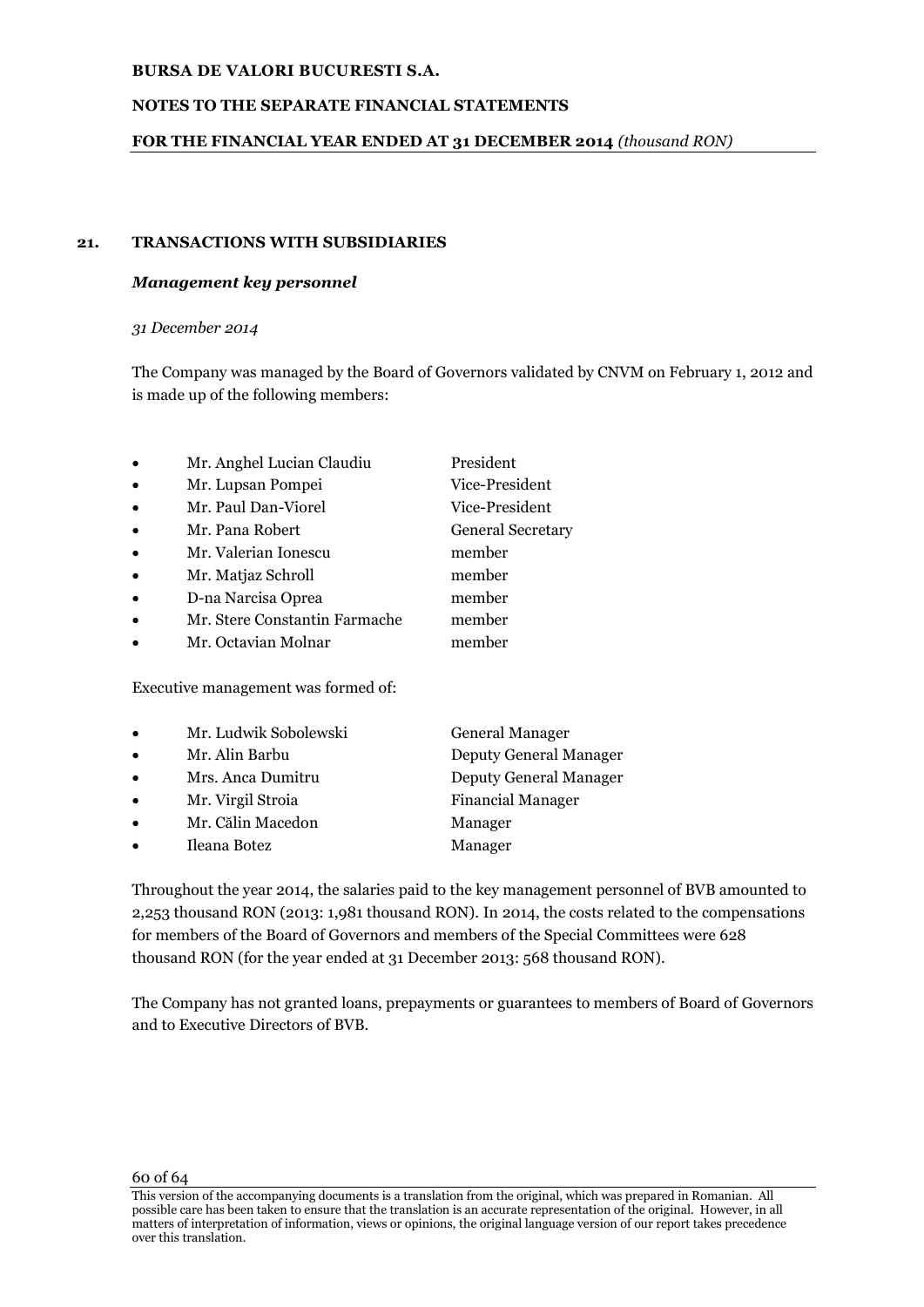# **NOTES TO THE SEPARATE FINANCIAL STATEMENTS**

# **FOR THE FINANCIAL YEAR ENDED AT 31 DECEMBER 2014** *(thousand RON)*

# **21. TRANSACTIONS WITH SUBSIDIARIES**

# *Management key personnel*

# *31 December 2014*

The Company was managed by the Board of Governors validated by CNVM on February 1, 2012 and is made up of the following members:

| $\bullet$ | Mr. Anghel Lucian Claudiu     | President                |
|-----------|-------------------------------|--------------------------|
| $\bullet$ | Mr. Lupsan Pompei             | Vice-President           |
| $\bullet$ | Mr. Paul Dan-Viorel           | Vice-President           |
| $\bullet$ | Mr. Pana Robert               | <b>General Secretary</b> |
| $\bullet$ | Mr. Valerian Ionescu          | member                   |
| $\bullet$ | Mr. Matjaz Schroll            | member                   |
| $\bullet$ | D-na Narcisa Oprea            | member                   |
| $\bullet$ | Mr. Stere Constantin Farmache | member                   |
|           | Mr. Octavian Molnar           | member                   |

Executive management was formed of:

| $\bullet$ | Mr. Ludwik Sobolewski | General Manager               |
|-----------|-----------------------|-------------------------------|
| $\bullet$ | Mr. Alin Barbu        | <b>Deputy General Manager</b> |
| $\bullet$ | Mrs. Anca Dumitru     | <b>Deputy General Manager</b> |
| $\bullet$ | Mr. Virgil Stroia     | <b>Financial Manager</b>      |
| $\bullet$ | Mr. Călin Macedon     | Manager                       |
| $\bullet$ | Ileana Botez          | Manager                       |

Throughout the year 2014, the salaries paid to the key management personnel of BVB amounted to 2,253 thousand RON (2013: 1,981 thousand RON). In 2014, the costs related to the compensations for members of the Board of Governors and members of the Special Committees were 628 thousand RON (for the year ended at 31 December 2013: 568 thousand RON).

The Company has not granted loans, prepayments or guarantees to members of Board of Governors and to Executive Directors of BVB.

This version of the accompanying documents is a translation from the original, which was prepared in Romanian. All possible care has been taken to ensure that the translation is an accurate representation of the original. However, in all matters of interpretation of information, views or opinions, the original language version of our report takes precedence over this translation.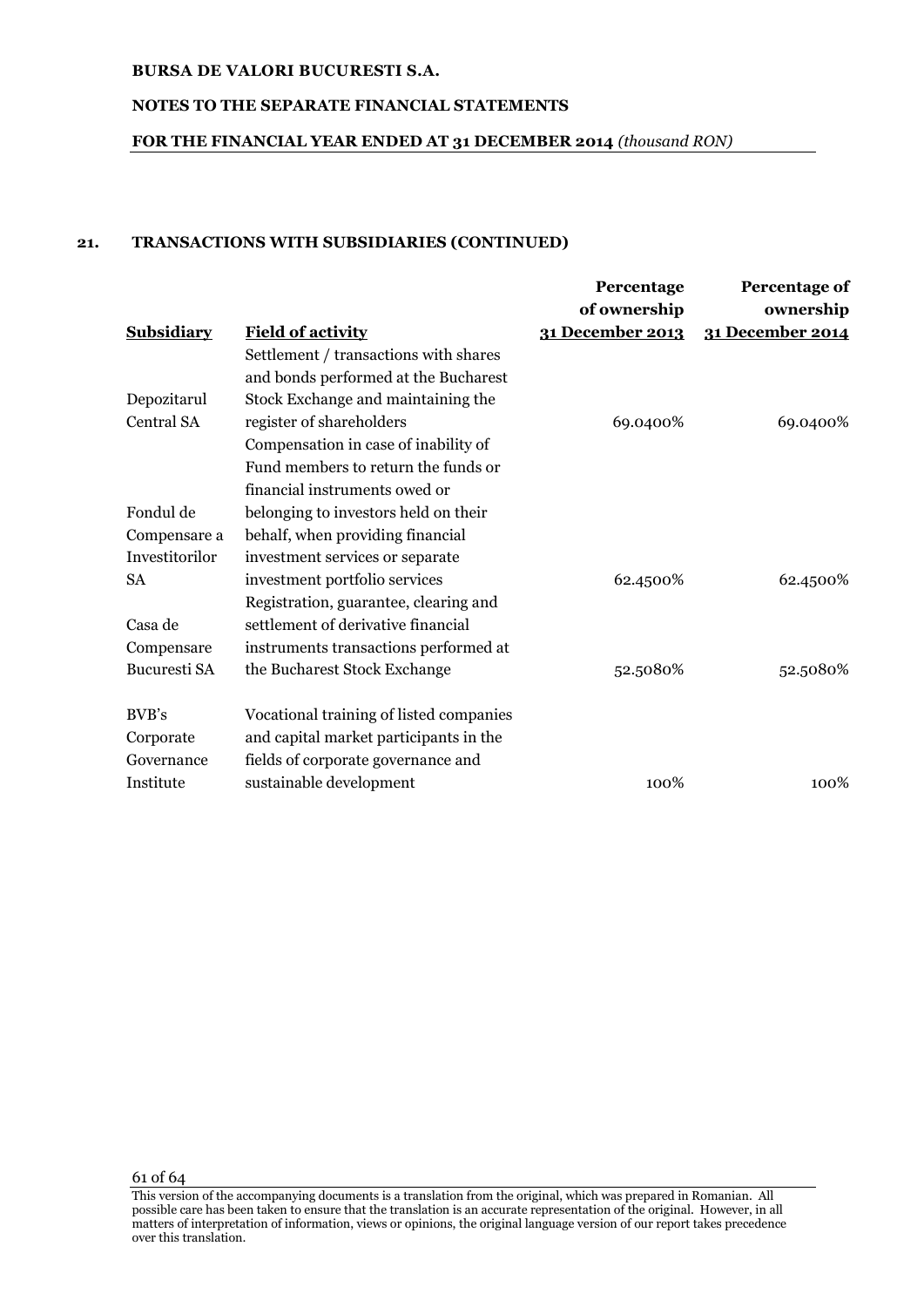# **NOTES TO THE SEPARATE FINANCIAL STATEMENTS**

# **FOR THE FINANCIAL YEAR ENDED AT 31 DECEMBER 2014** *(thousand RON)*

# **21. TRANSACTIONS WITH SUBSIDIARIES (CONTINUED)**

|                     |                                         | Percentage       | Percentage of    |
|---------------------|-----------------------------------------|------------------|------------------|
|                     |                                         | of ownership     | ownership        |
| <b>Subsidiary</b>   | <b>Field of activity</b>                | 31 December 2013 | 31 December 2014 |
|                     | Settlement / transactions with shares   |                  |                  |
|                     | and bonds performed at the Bucharest    |                  |                  |
| Depozitarul         | Stock Exchange and maintaining the      |                  |                  |
| Central SA          | register of shareholders                | 69.0400%         | 69.0400%         |
|                     | Compensation in case of inability of    |                  |                  |
|                     | Fund members to return the funds or     |                  |                  |
|                     | financial instruments owed or           |                  |                  |
| Fondul de           | belonging to investors held on their    |                  |                  |
| Compensare a        | behalf, when providing financial        |                  |                  |
| Investitorilor      | investment services or separate         |                  |                  |
| <b>SA</b>           | investment portfolio services           | 62.4500%         | 62.4500%         |
|                     | Registration, guarantee, clearing and   |                  |                  |
| Casa de             | settlement of derivative financial      |                  |                  |
| Compensare          | instruments transactions performed at   |                  |                  |
| <b>Bucuresti SA</b> | the Bucharest Stock Exchange            | 52.5080%         | 52.5080%         |
| BVB's               | Vocational training of listed companies |                  |                  |
| Corporate           | and capital market participants in the  |                  |                  |
| Governance          | fields of corporate governance and      |                  |                  |
| Institute           | sustainable development                 | 100%             | 100%             |
|                     |                                         |                  |                  |

This version of the accompanying documents is a translation from the original, which was prepared in Romanian. All possible care has been taken to ensure that the translation is an accurate representation of the original. However, in all matters of interpretation of information, views or opinions, the original language version of our report takes precedence over this translation.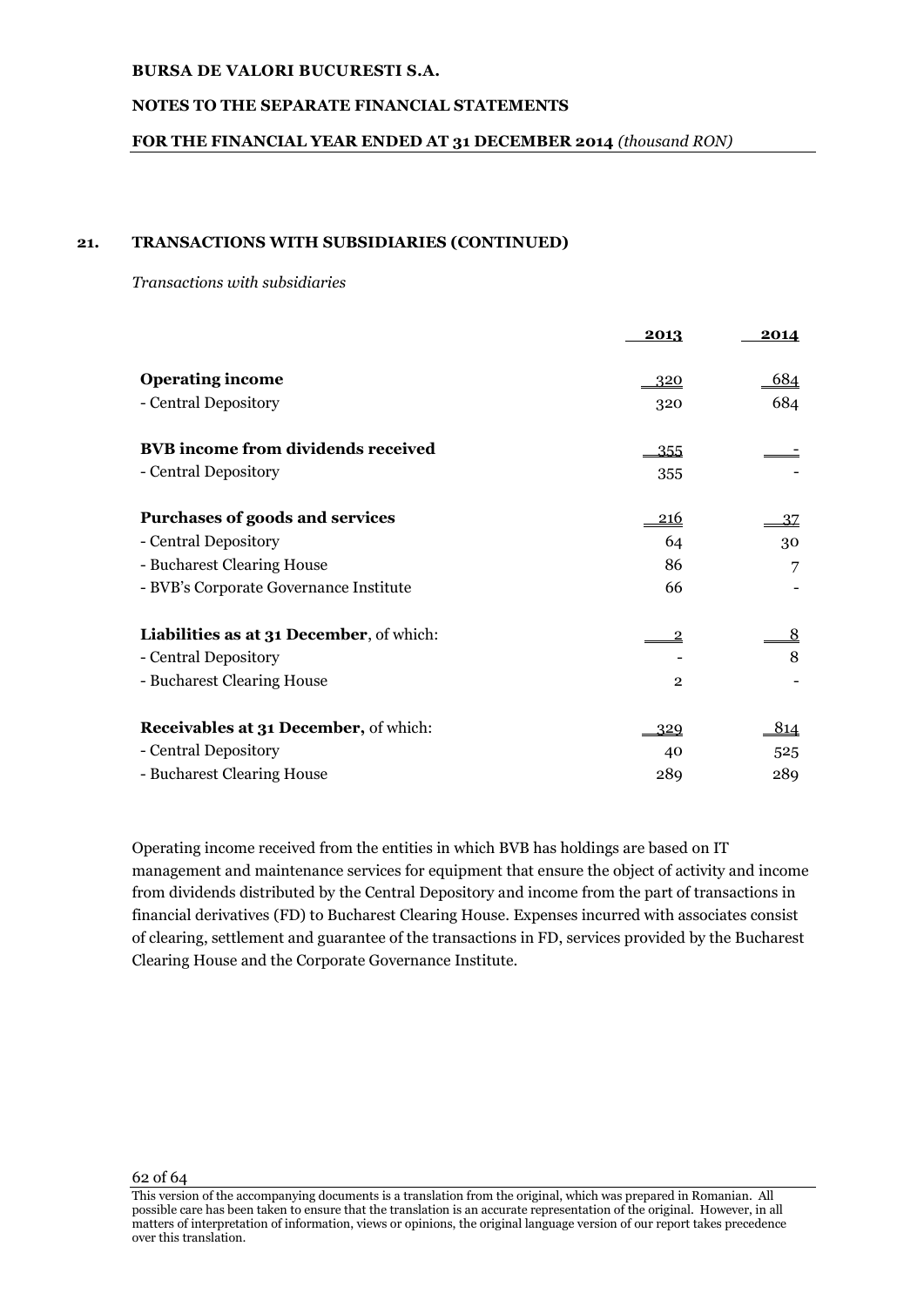# **NOTES TO THE SEPARATE FINANCIAL STATEMENTS**

# **FOR THE FINANCIAL YEAR ENDED AT 31 DECEMBER 2014** *(thousand RON)*

# **21. TRANSACTIONS WITH SUBSIDIARIES (CONTINUED)**

*Transactions with subsidiaries*

|                                                 | 2013           | 2014     |
|-------------------------------------------------|----------------|----------|
|                                                 |                |          |
| <b>Operating income</b>                         | -320           | 684      |
| - Central Depository                            | 320            | 684      |
|                                                 |                |          |
| <b>BVB</b> income from dividends received       | 355            |          |
| - Central Depository                            | 355            |          |
| Purchases of goods and services                 | <u> 216</u>    | 37       |
| - Central Depository                            | 64             | 30       |
| - Bucharest Clearing House                      | 86             | 7        |
| - BVB's Corporate Governance Institute          | 66             |          |
| <b>Liabilities as at 31 December, of which:</b> | $\overline{2}$ | <u>8</u> |
| - Central Depository                            |                | 8        |
| - Bucharest Clearing House                      | $\overline{2}$ |          |
| Receivables at 31 December, of which:           | 329            | 814      |
| - Central Depository                            | 40             | 525      |
| - Bucharest Clearing House                      | 289            | 289      |
|                                                 |                |          |

Operating income received from the entities in which BVB has holdings are based on IT management and maintenance services for equipment that ensure the object of activity and income from dividends distributed by the Central Depository and income from the part of transactions in financial derivatives (FD) to Bucharest Clearing House. Expenses incurred with associates consist of clearing, settlement and guarantee of the transactions in FD, services provided by the Bucharest Clearing House and the Corporate Governance Institute.

This version of the accompanying documents is a translation from the original, which was prepared in Romanian. All possible care has been taken to ensure that the translation is an accurate representation of the original. However, in all matters of interpretation of information, views or opinions, the original language version of our report takes precedence over this translation.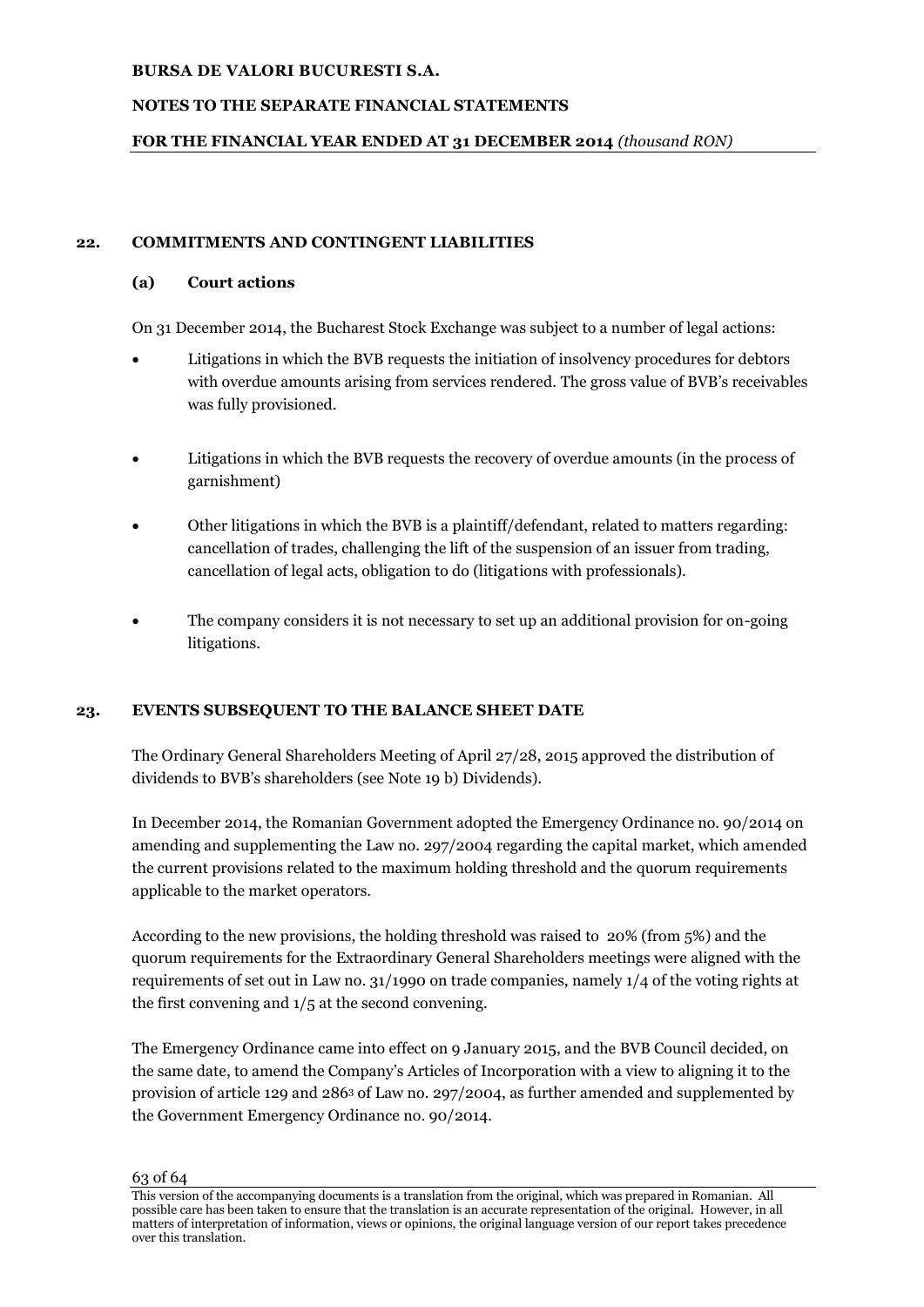# **NOTES TO THE SEPARATE FINANCIAL STATEMENTS**

# **FOR THE FINANCIAL YEAR ENDED AT 31 DECEMBER 2014** *(thousand RON)*

# **22. COMMITMENTS AND CONTINGENT LIABILITIES**

# **(a) Court actions**

On 31 December 2014, the Bucharest Stock Exchange was subject to a number of legal actions:

- Litigations in which the BVB requests the initiation of insolvency procedures for debtors with overdue amounts arising from services rendered. The gross value of BVB's receivables was fully provisioned.
- Litigations in which the BVB requests the recovery of overdue amounts (in the process of garnishment)
- Other litigations in which the BVB is a plaintiff/defendant, related to matters regarding: cancellation of trades, challenging the lift of the suspension of an issuer from trading, cancellation of legal acts, obligation to do (litigations with professionals).
- The company considers it is not necessary to set up an additional provision for on-going litigations.

# **23. EVENTS SUBSEQUENT TO THE BALANCE SHEET DATE**

The Ordinary General Shareholders Meeting of April 27/28, 2015 approved the distribution of dividends to BVB's shareholders (see Note 19 b) Dividends).

In December 2014, the Romanian Government adopted the Emergency Ordinance no. 90/2014 on amending and supplementing the Law no. 297/2004 regarding the capital market, which amended the current provisions related to the maximum holding threshold and the quorum requirements applicable to the market operators.

According to the new provisions, the holding threshold was raised to 20% (from 5%) and the quorum requirements for the Extraordinary General Shareholders meetings were aligned with the requirements of set out in Law no. 31/1990 on trade companies, namely 1/4 of the voting rights at the first convening and 1/5 at the second convening.

The Emergency Ordinance came into effect on 9 January 2015, and the BVB Council decided, on the same date, to amend the Company's Articles of Incorporation with a view to aligning it to the provision of article 129 and 286<sup>3</sup> of Law no. 297/2004, as further amended and supplemented by the Government Emergency Ordinance no. 90/2014.

This version of the accompanying documents is a translation from the original, which was prepared in Romanian. All possible care has been taken to ensure that the translation is an accurate representation of the original. However, in all matters of interpretation of information, views or opinions, the original language version of our report takes precedence over this translation.